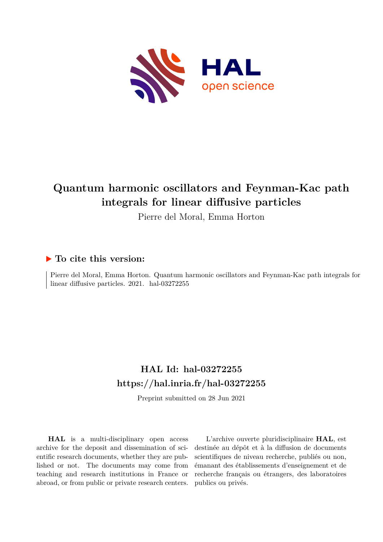

# **Quantum harmonic oscillators and Feynman-Kac path integrals for linear diffusive particles**

Pierre del Moral, Emma Horton

# **To cite this version:**

Pierre del Moral, Emma Horton. Quantum harmonic oscillators and Feynman-Kac path integrals for linear diffusive particles.  $2021.$  hal- $03272255$ 

# **HAL Id: hal-03272255 <https://hal.inria.fr/hal-03272255>**

Preprint submitted on 28 Jun 2021

**HAL** is a multi-disciplinary open access archive for the deposit and dissemination of scientific research documents, whether they are published or not. The documents may come from teaching and research institutions in France or abroad, or from public or private research centers.

L'archive ouverte pluridisciplinaire **HAL**, est destinée au dépôt et à la diffusion de documents scientifiques de niveau recherche, publiés ou non, émanant des établissements d'enseignement et de recherche français ou étrangers, des laboratoires publics ou privés.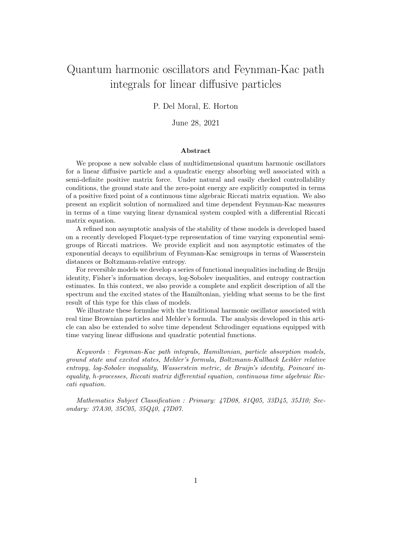# Quantum harmonic oscillators and Feynman-Kac path integrals for linear diffusive particles

### P. Del Moral, E. Horton

### June 28, 2021

#### Abstract

We propose a new solvable class of multidimensional quantum harmonic oscillators for a linear diffusive particle and a quadratic energy absorbing well associated with a semi-definite positive matrix force. Under natural and easily checked controllability conditions, the ground state and the zero-point energy are explicitly computed in terms of a positive fixed point of a continuous time algebraic Riccati matrix equation. We also present an explicit solution of normalized and time dependent Feynman-Kac measures in terms of a time varying linear dynamical system coupled with a differential Riccati matrix equation.

A refined non asymptotic analysis of the stability of these models is developed based on a recently developed Floquet-type representation of time varying exponential semigroups of Riccati matrices. We provide explicit and non asymptotic estimates of the exponential decays to equilibrium of Feynman-Kac semigroups in terms of Wasserstein distances or Boltzmann-relative entropy.

For reversible models we develop a series of functional inequalities including de Bruijn identity, Fisher's information decays, log-Sobolev inequalities, and entropy contraction estimates. In this context, we also provide a complete and explicit description of all the spectrum and the excited states of the Hamiltonian, yielding what seems to be the first result of this type for this class of models.

We illustrate these formulae with the traditional harmonic oscillator associated with real time Brownian particles and Mehler's formula. The analysis developed in this article can also be extended to solve time dependent Schrodinger equations equipped with time varying linear diffusions and quadratic potential functions.

Keywords : Feynman-Kac path integrals, Hamiltonian, particle absorption models, ground state and excited states, Mehler's formula, Boltzmann-Kullback Leibler relative  $entropy, log-Sobolev inequality, Wasserstein metric, de Bruijn's identity, Poincaré in$ equality, h-processes, Riccati matrix differential equation, continuous time algebraic Riccati equation.

Mathematics Subject Classification : Primary: 47D08, 81Q05, 33D45, 35J10; Secondary: 37A30, 35C05, 35Q40, 47D07.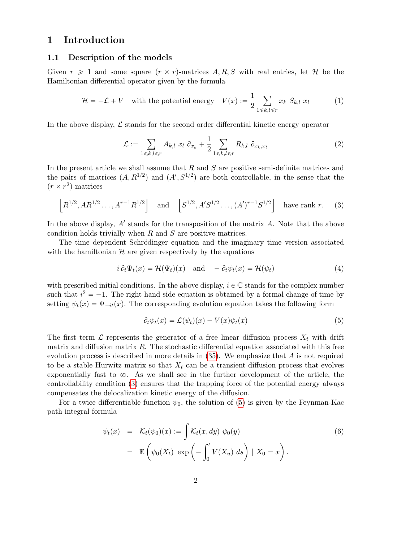### 1 Introduction

### 1.1 Description of the models

Given  $r \geq 1$  and some square  $(r \times r)$ -matrices A, R, S with real entries, let H be the Hamiltonian differential operator given by the formula

$$
\mathcal{H} = -\mathcal{L} + V \quad \text{with the potential energy} \quad V(x) := \frac{1}{2} \sum_{1 \le k, l \le r} x_k \ S_{k,l} \ x_l \tag{1}
$$

In the above display,  $\mathcal L$  stands for the second order differential kinetic energy operator

$$
\mathcal{L} := \sum_{1 \leq k, l \leq r} A_{k,l} \ x_l \ \partial_{x_k} + \frac{1}{2} \sum_{1 \leq k, l \leq r} R_{k,l} \ \partial_{x_k, x_l} \tag{2}
$$

In the present article we shall assume that  $R$  and  $S$  are positive semi-definite matrices and the pairs of matrices  $(A, R^{1/2})$  and  $(A', S^{1/2})$  are both controllable, in the sense that the  $(r \times r^2)$ -matrices

$$
\[R^{1/2}, AR^{1/2}, \ldots, A^{r-1}R^{1/2}\] \quad \text{and} \quad \left[S^{1/2}, A'S^{1/2}, \ldots, (A')^{r-1}S^{1/2}\right] \quad \text{have rank } r. \tag{3}
$$

In the above display,  $A'$  stands for the transposition of the matrix  $A$ . Note that the above condition holds trivially when  $R$  and  $S$  are positive matrices.

The time dependent Schrödinger equation and the imaginary time version associated with the hamiltonian  $H$  are given respectively by the equations

$$
i \partial_t \Psi_t(x) = \mathcal{H}(\Psi_t)(x) \quad \text{and} \quad -\partial_t \psi_t(x) = \mathcal{H}(\psi_t) \tag{4}
$$

with prescribed initial conditions. In the above display,  $i \in \mathbb{C}$  stands for the complex number such that  $i^2 = -1$ . The right hand side equation is obtained by a formal change of time by setting  $\psi_t(x) = \Psi_{-it}(x)$ . The corresponding evolution equation takes the following form

$$
\partial_t \psi_t(x) = \mathcal{L}(\psi_t)(x) - V(x)\psi_t(x) \tag{5}
$$

The first term  $\mathcal L$  represents the generator of a free linear diffusion process  $X_t$  with drift matrix and diffusion matrix  $R$ . The stochastic differential equation associated with this free evolution process is described in more details in  $(35)$ . We emphasize that A is not required to be a stable Hurwitz matrix so that  $X_t$  can be a transient diffusion process that evolves exponentially fast to  $\infty$ . As we shall see in the further development of the article, the controllability condition (3) ensures that the trapping force of the potential energy always compensates the delocalization kinetic energy of the diffusion.

For a twice differentiable function  $\psi_0$ , the solution of (5) is given by the Feynman-Kac path integral formula

$$
\psi_t(x) = \mathcal{K}_t(\psi_0)(x) := \int \mathcal{K}_t(x, dy) \psi_0(y)
$$
  
=  $\mathbb{E}\left(\psi_0(X_t) \exp\left(-\int_0^t V(X_u) ds\right) \mid X_0 = x\right).$  (6)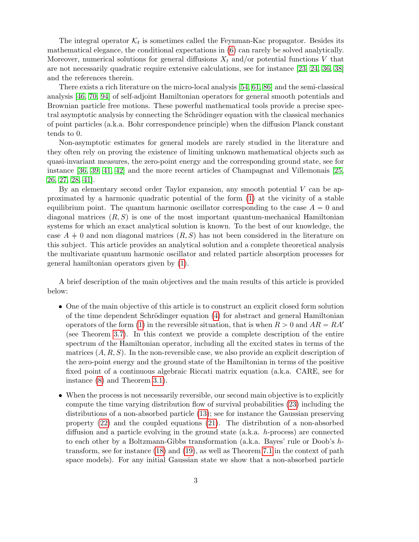The integral operator  $\mathcal{K}_t$  is sometimes called the Feynman-Kac propagator. Besides its mathematical elegance, the conditional expectations in (6) can rarely be solved analytically. Moreover, numerical solutions for general diffusions  $X_t$  and/or potential functions V that are not necessarily quadratic require extensive calculations, see for instance [23, 24, 36, 38] and the references therein.

There exists a rich literature on the micro-local analysis [54, 61, 86] and the semi-classical analysis [46, 70, 94] of self-adjoint Hamiltonian operators for general smooth potentials and Brownian particle free motions. These powerful mathematical tools provide a precise spectral asymptotic analysis by connecting the Schrödinger equation with the classical mechanics of point particles (a.k.a. Bohr correspondence principle) when the diffusion Planck constant tends to 0.

Non-asymptotic estimates for general models are rarely studied in the literature and they often rely on proving the existence of limiting unknown mathematical objects such as quasi-invariant measures, the zero-point energy and the corresponding ground state, see for instance [36, 39, 41, 42] and the more recent articles of Champagnat and Villemonais [25, 26, 27, 28, 41].

By an elementary second order Taylor expansion, any smooth potential V can be approximated by a harmonic quadratic potential of the form (1) at the vicinity of a stable equilibrium point. The quantum harmonic oscillator corresponding to the case  $A = 0$  and diagonal matrices  $(R, S)$  is one of the most important quantum-mechanical Hamiltonian systems for which an exact analytical solution is known. To the best of our knowledge, the case  $A \neq 0$  and non diagonal matrices  $(R, S)$  has not been considered in the literature on this subject. This article provides an analytical solution and a complete theoretical analysis the multivariate quantum harmonic oscillator and related particle absorption processes for general hamiltonian operators given by (1).

A brief description of the main objectives and the main results of this article is provided below:

- One of the main objective of this article is to construct an explicit closed form solution of the time dependent Schrödinger equation  $(4)$  for abstract and general Hamiltonian operators of the form (1) in the reversible situation, that is when  $R > 0$  and  $AR = RA'$ (see Theorem 3.7). In this context we provide a complete description of the entire spectrum of the Hamiltonian operator, including all the excited states in terms of the matrices  $(A, R, S)$ . In the non-reversible case, we also provide an explicit description of the zero-point energy and the ground state of the Hamiltonian in terms of the positive fixed point of a continuous algebraic Riccati matrix equation (a.k.a. CARE, see for instance (8) and Theorem 3.1).
- When the process is not necessarily reversible, our second main objective is to explicitly compute the time varying distribution flow of survival probabilities (23) including the distributions of a non-absorbed particle (13); see for instance the Gaussian preserving property (22) and the coupled equations (21). The distribution of a non-absorbed diffusion and a particle evolving in the ground state (a.k.a. h-process) are connected to each other by a Boltzmann-Gibbs transformation (a.k.a. Bayes' rule or Doob's htransform, see for instance (18) and (19), as well as Theorem 7.1 in the context of path space models). For any initial Gaussian state we show that a non-absorbed particle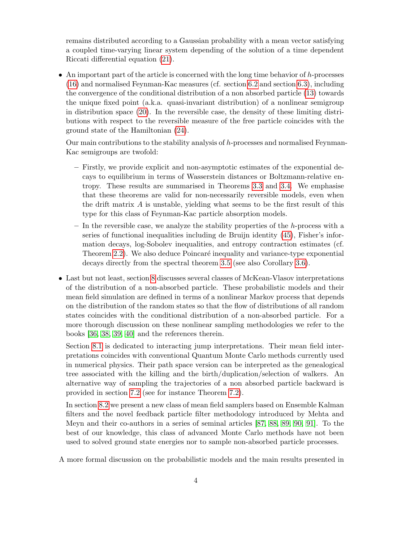remains distributed according to a Gaussian probability with a mean vector satisfying a coupled time-varying linear system depending of the solution of a time dependent Riccati differential equation (21).

• An important part of the article is concerned with the long time behavior of h-processes (16) and normalised Feynman-Kac measures (cf. section 6.2 and section 6.3), including the convergence of the conditional distribution of a non absorbed particle (13) towards the unique fixed point (a.k.a. quasi-invariant distribution) of a nonlinear semigroup in distribution space (20). In the reversible case, the density of these limiting distributions with respect to the reversible measure of the free particle coincides with the ground state of the Hamiltonian (24).

Our main contributions to the stability analysis of h-processes and normalised Feynman-Kac semigroups are twofold:

- Firstly, we provide explicit and non-asymptotic estimates of the exponential decays to equilibrium in terms of Wasserstein distances or Boltzmann-relative entropy. These results are summarised in Theorems 3.3 and 3.4. We emphasise that these theorems are valid for non-necessarily reversible models, even when the drift matrix  $\vec{A}$  is unstable, yielding what seems to be the first result of this type for this class of Feynman-Kac particle absorption models.
- $-$  In the reversible case, we analyze the stability properties of the h-process with a series of functional inequalities including de Bruijn identity (45), Fisher's information decays, log-Sobolev inequalities, and entropy contraction estimates (cf. Theorem 2.2). We also deduce Poincaré inequality and variance-type exponential decays directly from the spectral theorem 3.5 (see also Corollary 3.6).
- Last but not least, section 8 discusses several classes of McKean-Vlasov interpretations of the distribution of a non-absorbed particle. These probabilistic models and their mean field simulation are defined in terms of a nonlinear Markov process that depends on the distribution of the random states so that the flow of distributions of all random states coincides with the conditional distribution of a non-absorbed particle. For a more thorough discussion on these nonlinear sampling methodologies we refer to the books [36, 38, 39, 40] and the references therein.

Section 8.1 is dedicated to interacting jump interpretations. Their mean field interpretations coincides with conventional Quantum Monte Carlo methods currently used in numerical physics. Their path space version can be interpreted as the genealogical tree associated with the killing and the birth/duplication/selection of walkers. An alternative way of sampling the trajectories of a non absorbed particle backward is provided in section 7.2 (see for instance Theorem 7.2).

In section 8.2 we present a new class of mean field samplers based on Ensemble Kalman filters and the novel feedback particle filter methodology introduced by Mehta and Meyn and their co-authors in a series of seminal articles [87, 88, 89, 90, 91]. To the best of our knowledge, this class of advanced Monte Carlo methods have not been used to solved ground state energies nor to sample non-absorbed particle processes.

A more formal discussion on the probabilistic models and the main results presented in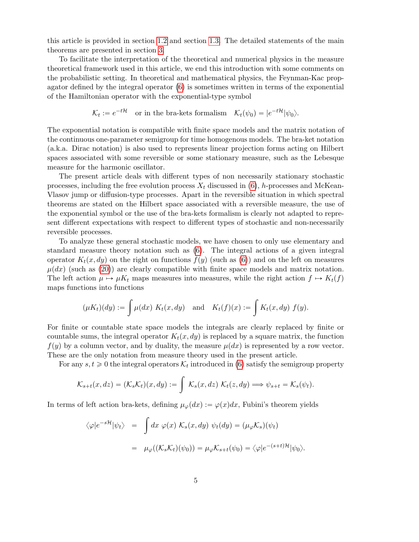this article is provided in section 1.2 and section 1.3. The detailed statements of the main theorems are presented in section 3.

To facilitate the interpretation of the theoretical and numerical physics in the measure theoretical framework used in this article, we end this introduction with some comments on the probabilistic setting. In theoretical and mathematical physics, the Feynman-Kac propagator defined by the integral operator (6) is sometimes written in terms of the exponential of the Hamiltonian operator with the exponential-type symbol

$$
\mathcal{K}_t := e^{-t\mathcal{H}} \quad \text{or in the bra-kets formalism} \quad \mathcal{K}_t(\psi_0) = |e^{-t\mathcal{H}}|\psi_0\rangle.
$$

The exponential notation is compatible with finite space models and the matrix notation of the continuous one-parameter semigroup for time homogenous models. The bra-ket notation (a.k.a. Dirac notation) is also used to represents linear projection forms acting on Hilbert spaces associated with some reversible or some stationary measure, such as the Lebesque measure for the harmonic oscillator.

The present article deals with different types of non necessarily stationary stochastic processes, including the free evolution process  $X_t$  discussed in (6), h-processes and McKean-Vlasov jump or diffusion-type processes. Apart in the reversible situation in which spectral theorems are stated on the Hilbert space associated with a reversible measure, the use of the exponential symbol or the use of the bra-kets formalism is clearly not adapted to represent different expectations with respect to different types of stochastic and non-necessarily reversible processes.

To analyze these general stochastic models, we have chosen to only use elementary and standard measure theory notation such as (6). The integral actions of a given integral operator  $K_t(x, dy)$  on the right on functions  $f(y)$  (such as (6)) and on the left on measures  $\mu(dx)$  (such as (20)) are clearly compatible with finite space models and matrix notation. The left action  $\mu \mapsto \mu K_t$  maps measures into measures, while the right action  $f \mapsto K_t(f)$ maps functions into functions

$$
(\mu K_t)(dy) := \int \mu(dx) K_t(x, dy) \quad \text{and} \quad K_t(f)(x) := \int K_t(x, dy) f(y).
$$

For finite or countable state space models the integrals are clearly replaced by finite or countable sums, the integral operator  $K_t(x, dy)$  is replaced by a square matrix, the function  $f(y)$  by a column vector, and by duality, the measure  $\mu(dx)$  is represented by a row vector. These are the only notation from measure theory used in the present article.

For any  $s, t \geq 0$  the integral operators  $\mathcal{K}_t$  introduced in (6) satisfy the semigroup property

$$
\mathcal{K}_{s+t}(x,dz) = (\mathcal{K}_s\mathcal{K}_t)(x,dy) := \int \mathcal{K}_s(x,dz) \; \mathcal{K}_t(z,dy) \Longrightarrow \psi_{s+t} = \mathcal{K}_s(\psi_t).
$$

In terms of left action bra-kets, defining  $\mu_{\varphi}(dx) := \varphi(x)dx$ , Fubini's theorem yields

$$
\langle \varphi | e^{-s\mathcal{H}} | \psi_t \rangle = \int dx \; \varphi(x) \; \mathcal{K}_s(x, dy) \; \psi_t(dy) = (\mu_{\varphi} \mathcal{K}_s)(\psi_t)
$$

$$
= \mu_{\varphi}((\mathcal{K}_s \mathcal{K}_t)(\psi_0)) = \mu_{\varphi} \mathcal{K}_{s+t}(\psi_0) = \langle \varphi | e^{-(s+t)\mathcal{H}} | \psi_0 \rangle.
$$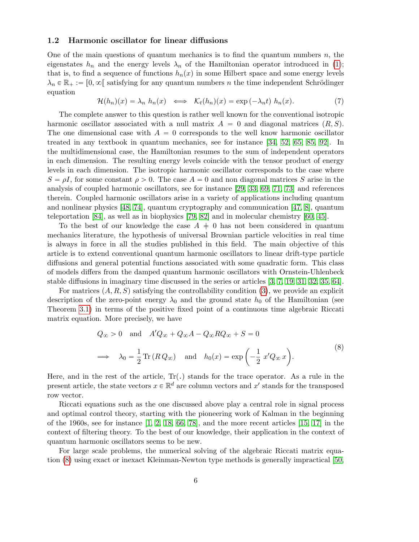### 1.2 Harmonic oscillator for linear diffusions

One of the main questions of quantum mechanics is to find the quantum numbers  $n$ , the eigenstates  $h_n$  and the energy levels  $\lambda_n$  of the Hamiltonian operator introduced in (1); that is, to find a sequence of functions  $h_n(x)$  in some Hilbert space and some energy levels  $\lambda_n \in \mathbb{R}_+ := [0, \infty]$  satisfying for any quantum numbers n the time independent Schrödinger equation

$$
\mathcal{H}(h_n)(x) = \lambda_n \ h_n(x) \iff \mathcal{K}_t(h_n)(x) = \exp(-\lambda_n t) \ h_n(x). \tag{7}
$$

The complete answer to this question is rather well known for the conventional isotropic harmonic oscillator associated with a null matrix  $A = 0$  and diagonal matrices  $(R, S)$ . The one dimensional case with  $A = 0$  corresponds to the well know harmonic oscillator treated in any textbook in quantum mechanics, see for instance [34, 52, 65, 85, 92]. In the multidimensional case, the Hamiltonian resumes to the sum of independent operators in each dimension. The resulting energy levels coincide with the tensor product of energy levels in each dimension. The isotropic harmonic oscillator corresponds to the case where  $S = \rho I$ , for some constant  $\rho > 0$ . The case  $A = 0$  and non diagonal matrices S arise in the analysis of coupled harmonic oscillators, see for instance [29, 33, 69, 71, 73] and references therein. Coupled harmonic oscillators arise in a variety of applications including quantum and nonlinear physics [48, 74], quantum cryptography and communication [47, 8], quantum teleportation [84], as well as in biophysics [79, 82] and in molecular chemistry [60, 45].

To the best of our knowledge the case  $A \neq 0$  has not been considered in quantum mechanics literature, the hypothesis of universal Brownian particle velocities in real time is always in force in all the studies published in this field. The main objective of this article is to extend conventional quantum harmonic oscillators to linear drift-type particle diffusions and general potential functions associated with some quadratic form. This class of models differs from the damped quantum harmonic oscillators with Ornstein-Uhlenbeck stable diffusions in imaginary time discussed in the series or articles [3, 7, 19, 31, 32, 35, 64].

For matrices  $(A, R, S)$  satisfying the controllability condition (3), we provide an explicit description of the zero-point energy  $\lambda_0$  and the ground state  $h_0$  of the Hamiltonian (see Theorem 3.1) in terms of the positive fixed point of a continuous time algebraic Riccati matrix equation. More precisely, we have

$$
Q_{\infty} > 0 \text{ and } A'Q_{\infty} + Q_{\infty}A - Q_{\infty}RQ_{\infty} + S = 0
$$
  

$$
\implies \lambda_0 = \frac{1}{2} \text{Tr}(RQ_{\infty}) \text{ and } h_0(x) = \exp\left(-\frac{1}{2}x'Q_{\infty}x\right).
$$
 (8)

Here, and in the rest of the article,  $Tr(.)$  stands for the trace operator. As a rule in the present article, the state vectors  $x \in \mathbb{R}^d$  are column vectors and  $x'$  stands for the transposed row vector.

Riccati equations such as the one discussed above play a central role in signal process and optimal control theory, starting with the pioneering work of Kalman in the beginning of the 1960s, see for instance  $\left[1, 2, 18, 66, 78\right]$ , and the more recent articles  $\left[15, 17\right]$  in the context of filtering theory. To the best of our knowledge, their application in the context of quantum harmonic oscillators seems to be new.

For large scale problems, the numerical solving of the algebraic Riccati matrix equation (8) using exact or inexact Kleinman-Newton type methods is generally impractical [50,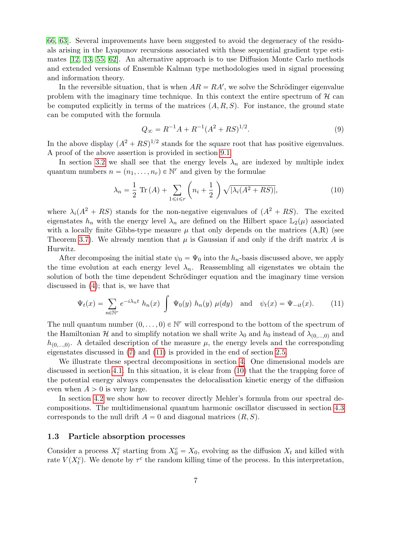66, 63]. Several improvements have been suggested to avoid the degeneracy of the residuals arising in the Lyapunov recursions associated with these sequential gradient type estimates [12, 13, 55, 62]. An alternative approach is to use Diffusion Monte Carlo methods and extended versions of Ensemble Kalman type methodologies used in signal processing and information theory.

In the reversible situation, that is when  $AR = RA'$ , we solve the Schrödinger eigenvalue problem with the imaginary time technique. In this context the entire spectrum of  $\mathcal{H}$  can be computed explicitly in terms of the matrices  $(A, R, S)$ . For instance, the ground state can be computed with the formula

$$
Q_{\infty} = R^{-1}A + R^{-1}(A^2 + RS)^{1/2}.
$$
\n(9)

In the above display  $(A^2 + RS)^{1/2}$  stands for the square root that has positive eigenvalues. A proof of the above assertion is provided in section 9.1.

In section 3.2 we shall see that the energy levels  $\lambda_n$  are indexed by multiple index quantum numbers  $n = (n_1, \ldots, n_r) \in \mathbb{N}^r$  and given by the formulae

$$
\lambda_n = \frac{1}{2} \operatorname{Tr}(A) + \sum_{1 \leq i \leq r} \left( n_i + \frac{1}{2} \right) \sqrt{|\lambda_i(A^2 + RS)|},\tag{10}
$$

where  $\lambda_i(A^2 + RS)$  stands for the non-negative eigenvalues of  $(A^2 + RS)$ . The excited eigenstates  $h_n$  with the energy level  $\lambda_n$  are defined on the Hilbert space  $\mathbb{L}_2(\mu)$  associated with a locally finite Gibbs-type measure  $\mu$  that only depends on the matrices  $(A,R)$  (see Theorem 3.7). We already mention that  $\mu$  is Gaussian if and only if the drift matrix A is Hurwitz.

After decomposing the initial state  $\psi_0 = \Psi_0$  into the  $h_n$ -basis discussed above, we apply the time evolution at each energy level  $\lambda_n$ . Reassembling all eigenstates we obtain the solution of both the time dependent Schrödinger equation and the imaginary time version discussed in (4); that is, we have that

$$
\Psi_t(x) = \sum_{n \in \mathbb{N}^r} e^{-i\lambda_n t} h_n(x) \int \Psi_0(y) h_n(y) \mu(dy) \text{ and } \psi_t(x) = \Psi_{-it}(x). \tag{11}
$$

The null quantum number  $(0, \ldots, 0) \in \mathbb{N}^r$  will correspond to the bottom of the spectrum of the Hamiltonian H and to simplify notation we shall write  $\lambda_0$  and  $h_0$  instead of  $\lambda_{(0,...,0)}$  and  $h_{(0,...,0)}$ . A detailed description of the measure  $\mu$ , the energy levels and the corresponding eigenstates discussed in (7) and (11) is provided in the end of section 2.5.

We illustrate these spectral decompositions in section 4. One dimensional models are discussed in section 4.1. In this situation, it is clear from (10) that the the trapping force of the potential energy always compensates the delocalisation kinetic energy of the diffusion even when  $A > 0$  is very large.

In section 4.2 we show how to recover directly Mehler's formula from our spectral decompositions. The multidimensional quantum harmonic oscillator discussed in section 4.3 corresponds to the null drift  $A = 0$  and diagonal matrices  $(R, S)$ .

### 1.3 Particle absorption processes

Consider a process  $X_t^c$  starting from  $X_0^c = X_0$ , evolving as the diffusion  $X_t$  and killed with rate  $V(X_t^c)$ . We denote by  $\tau^c$  the random killing time of the process. In this interpretation,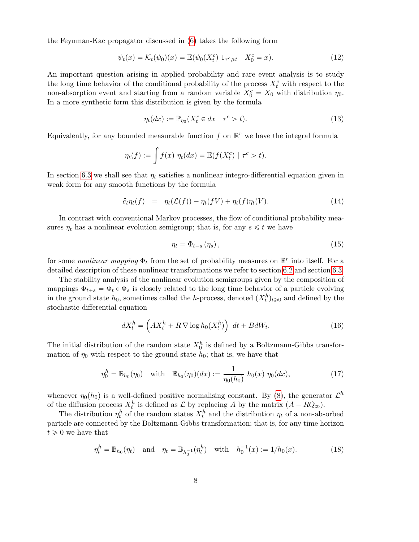the Feynman-Kac propagator discussed in (6) takes the following form

$$
\psi_t(x) = \mathcal{K}_t(\psi_0)(x) = \mathbb{E}(\psi_0(X_t^c) 1_{\tau^c \geq t} | X_0^c = x).
$$
 (12)

An important question arising in applied probability and rare event analysis is to study the long time behavior of the conditional probability of the process  $X_t^c$  with respect to the non-absorption event and starting from a random variable  $X_0^c = X_0$  with distribution  $\eta_0$ . In a more synthetic form this distribution is given by the formula

$$
\eta_t(dx) := \mathbb{P}_{\eta_0}(X_t^c \in dx \mid \tau^c > t). \tag{13}
$$

Equivalently, for any bounded measurable function  $f$  on  $\mathbb{R}^r$  we have the integral formula

$$
\eta_t(f) := \int f(x) \; \eta_t(dx) = \mathbb{E}(f(X_t^c) \mid \tau^c > t).
$$

In section 6.3 we shall see that  $\eta_t$  satisfies a nonlinear integro-differential equation given in weak form for any smooth functions by the formula

$$
\partial_t \eta_t(f) = \eta_t(\mathcal{L}(f)) - \eta_t(fV) + \eta_t(f)\eta_t(V). \tag{14}
$$

In contrast with conventional Markov processes, the flow of conditional probability measures  $\eta_t$  has a nonlinear evolution semigroup; that is, for any  $s \leq t$  we have

$$
\eta_t = \Phi_{t-s} \left( \eta_s \right), \tag{15}
$$

for some *nonlinear mapping*  $\Phi_t$  from the set of probability measures on  $\mathbb{R}^r$  into itself. For a detailed description of these nonlinear transformations we refer to section 6.2 and section 6.3.

The stability analysis of the nonlinear evolution semigroups given by the composition of mappings  $\Phi_{t+s} = \Phi_t \circ \Phi_s$  is closely related to the long time behavior of a particle evolving in the ground state  $h_0$ , sometimes called the h-process, denoted  $(X_t^h)_{t\geq 0}$  and defined by the stochastic differential equation

$$
dX_t^h = \left( AX_t^h + R \nabla \log h_0(X_t^h) \right) dt + BdW_t.
$$
 (16)

The initial distribution of the random state  $X_0^h$  is defined by a Boltzmann-Gibbs transformation of  $\eta_0$  with respect to the ground state  $h_0$ ; that is, we have that

$$
\eta_0^h = \mathbb{B}_{h_0}(\eta_0) \quad \text{with} \quad \mathbb{B}_{h_0}(\eta_0)(dx) := \frac{1}{\eta_0(h_0)} \ h_0(x) \ \eta_0(dx), \tag{17}
$$

whenever  $\eta_0(h_0)$  is a well-defined positive normalising constant. By (8), the generator  $\mathcal{L}^h$ of the diffusion process  $X_t^h$  is defined as  $\mathcal L$  by replacing A by the matrix  $(A - RQ_\infty)$ .

The distribution  $\eta_t^h$  of the random states  $X_t^h$  and the distribution  $\eta_t$  of a non-absorbed particle are connected by the Boltzmann-Gibbs transformation; that is, for any time horizon  $t \geq 0$  we have that

$$
\eta_t^h = \mathbb{B}_{h_0}(\eta_t) \quad \text{and} \quad \eta_t = \mathbb{B}_{h_0^{-1}}(\eta_t^h) \quad \text{with} \quad h_0^{-1}(x) := 1/h_0(x). \tag{18}
$$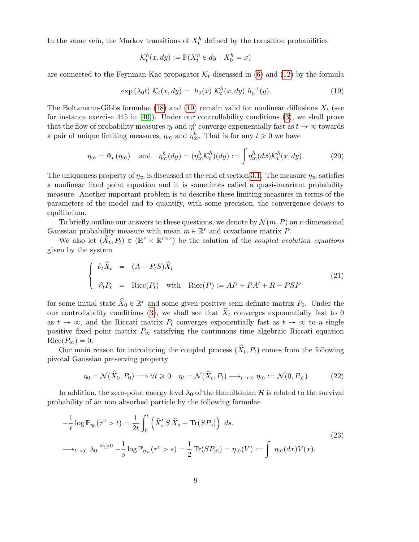In the same vein, the Markov transitions of  $X_t^h$  defined by the transition probabilities

$$
\mathcal{K}_t^h(x, dy) := \mathbb{P}(X_t^h \in dy \mid X_0^h = x)
$$

are connected to the Feynman-Kac propagator  $\mathcal{K}_t$  discussed in (6) and (12) by the formula

$$
\exp\left(\lambda_0 t\right) \mathcal{K}_t(x, dy) = h_0(x) \mathcal{K}_t^h(x, dy) h_0^{-1}(y). \tag{19}
$$

The Boltzmann-Gibbs formulae (18) and (19) remain valid for nonlinear diffusions  $X_t$  (see for instance exercise 445 in [40]). Under our controllability conditions (3), we shall prove that the flow of probability measures  $\eta_t$  and  $\eta_t^h$  converge exponentially fast as  $t \to \infty$  towards a pair of unique limiting measures,  $\eta_{\infty}$  and  $\eta_{\infty}^{h}$ . That is for any  $t \geq 0$  we have

$$
\eta_{\infty} = \Phi_t(\eta_{\infty}) \quad \text{and} \quad \eta_{\infty}^h(dy) = (\eta_{\infty}^h \mathcal{K}_t^h)(dy) := \int \eta_{\infty}^h(dx) \mathcal{K}_t^h(x, dy). \tag{20}
$$

The uniqueness property of  $\eta_{\infty}$  is discussed at the end of section 3.1. The measure  $\eta_{\infty}$  satisfies a nonlinear fixed point equation and it is sometimes called a quasi-invariant probability measure. Another important problem is to describe these limiting measures in terms of the parameters of the model and to quantify, with some precision, the convergence decays to equilibrium.

To briefly outline our answers to these questions, we denote by  $\mathcal{N}(m, P)$  an r-dimensional Gaussian probability measure with mean  $m \in \mathbb{R}^r$  and covariance matrix P.

We also let  $(\hat{X}_t, P_t) \in (\mathbb{R}^r \times \mathbb{R}^{r \times r})$  be the solution of the *coupled evolution equations* given by the system

$$
\begin{cases}\n\partial_t \hat{X}_t = (A - P_t S) \hat{X}_t \\
\partial_t P_t = \text{Ricc}(P_t) \quad \text{with} \quad \text{Ricc}(P) := AP + PA' + R - PSP\n\end{cases}
$$
\n(21)

for some initial state  $\hat{X}_0 \in \mathbb{R}^r$  and some given positive semi-definite matrix  $P_0$ . Under the our controllability conditions (3), we shall see that  $\hat{X}_t$  converges exponentially fast to 0 as  $t \to \infty$ , and the Riccati matrix  $P_t$  converges exponentially fast as  $t \to \infty$  to a single positive fixed point matrix  $P_{\infty}$  satisfying the continuous time algebraic Riccati equation  $Ricc(P_{\infty}) = 0.$ 

Our main reason for introducing the coupled process  $(\hat{X}_t, P_t)$  comes from the following pivotal Gaussian preserving property

$$
\eta_0 = \mathcal{N}(\hat{X}_0, P_0) \Longrightarrow \forall t \ge 0 \quad \eta_t = \mathcal{N}(\hat{X}_t, P_t) \longrightarrow_{t \to \infty} \eta_\infty := \mathcal{N}(0, P_\infty)
$$
 (22)

In addition, the zero-point energy level  $\lambda_0$  of the Hamiltonian H is related to the survival probability of an non absorbed particle by the following formulae

$$
-\frac{1}{t}\log \mathbb{P}_{\eta_0}(\tau^c > t) = \frac{1}{2t} \int_0^t \left(\hat{X}_s' S \hat{X}_s + \text{Tr}(SP_s)\right) ds.
$$
  

$$
\longrightarrow_{t \to \infty} \lambda_0 \stackrel{\forall s > 0}{=} -\frac{1}{s}\log \mathbb{P}_{\eta_\infty}(\tau^c > s) = \frac{1}{2} \text{Tr}(SP_\infty) = \eta_\infty(V) := \int \eta_\infty(dx) V(x).
$$
 (23)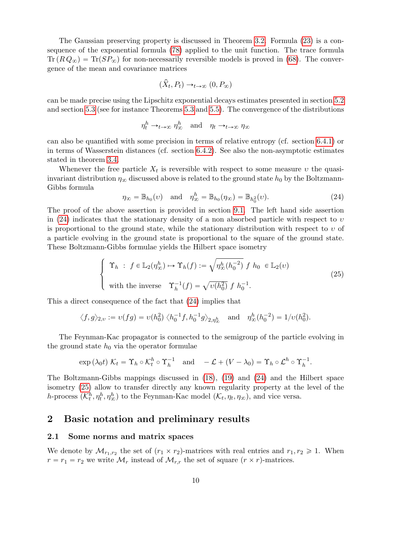The Gaussian preserving property is discussed in Theorem 3.2. Formula (23) is a consequence of the exponential formula (78) applied to the unit function. The trace formula  $\text{Tr}(R Q_{\infty}) = \text{Tr}(S P_{\infty})$  for non-necessarily reversible models is proved in (68). The convergence of the mean and covariance matrices

$$
(\hat{X}_t, P_t) \to_{t \to \infty} (0, P_{\infty})
$$

can be made precise using the Lipschitz exponential decays estimates presented in section 5.2 and section 5.3 (see for instance Theorems 5.3 and 5.5). The convergence of the distributions

$$
\eta_t^h \to_{t \to \infty} \eta_\infty^h \quad \text{and} \quad \eta_t \to_{t \to \infty} \eta_\infty
$$

can also be quantified with some precision in terms of relative entropy (cf. section 6.4.1) or in terms of Wasserstein distances (cf. section 6.4.2). See also the non-asymptotic estimates stated in theorem 3.4.

Whenever the free particle  $X_t$  is reversible with respect to some measure v the quasiinvariant distribution  $\eta_{\infty}$  discussed above is related to the ground state  $h_0$  by the Boltzmann-Gibbs formula

$$
\eta_{\infty} = \mathbb{B}_{h_0}(v) \quad \text{and} \quad \eta_{\infty}^h = \mathbb{B}_{h_0}(\eta_{\infty}) = \mathbb{B}_{h_0^2}(v). \tag{24}
$$

The proof of the above assertion is provided in section 9.1. The left hand side assertion in (24) indicates that the stationary density of a non absorbed particle with respect to  $v$ is proportional to the ground state, while the stationary distribution with respect to  $v$  of a particle evolving in the ground state is proportional to the square of the ground state. These Boltzmann-Gibbs formulae yields the Hilbert space isometry

$$
\begin{cases}\n\Upsilon_h : f \in \mathbb{L}_2(\eta_\infty^h) \mapsto \Upsilon_h(f) := \sqrt{\eta_\infty^h(h_0^{-2})} f h_0 \in \mathbb{L}_2(\nu) \\
\text{with the inverse } \Upsilon_h^{-1}(f) = \sqrt{\nu(h_0^2)} f h_0^{-1}.\n\end{cases}
$$
\n(25)

This a direct consequence of the fact that (24) implies that

$$
\langle f, g \rangle_{2,v} := \nu(fg) = \nu(h_0^2) \langle h_0^{-1} f, h_0^{-1} g \rangle_{2,\eta_{\infty}^h}
$$
 and  $\eta_{\infty}^h(h_0^{-2}) = 1/\nu(h_0^2)$ .

The Feynman-Kac propagator is connected to the semigroup of the particle evolving in the ground state  $h_0$  via the operator formulae

$$
\exp\left(\lambda_0 t\right) \mathcal{K}_t = \Upsilon_h \circ \mathcal{K}_t^h \circ \Upsilon_h^{-1} \quad \text{and} \quad -\mathcal{L} + (V - \lambda_0) = \Upsilon_h \circ \mathcal{L}^h \circ \Upsilon_h^{-1}.
$$

The Boltzmann-Gibbs mappings discussed in (18), (19) and (24) and the Hilbert space isometry (25) allow to transfer directly any known regularity property at the level of the h-process  $(\mathcal{K}_t^h, \eta_t^h, \eta_\infty^h)$  to the Feynman-Kac model  $(\mathcal{K}_t, \eta_t, \eta_\infty)$ , and vice versa.

## 2 Basic notation and preliminary results

#### 2.1 Some norms and matrix spaces

We denote by  $\mathcal{M}_{r_1,r_2}$  the set of  $(r_1 \times r_2)$ -matrices with real entries and  $r_1, r_2 \geq 1$ . When  $r = r_1 = r_2$  we write  $\mathcal{M}_r$  instead of  $\mathcal{M}_{r,r}$  the set of square  $(r \times r)$ -matrices.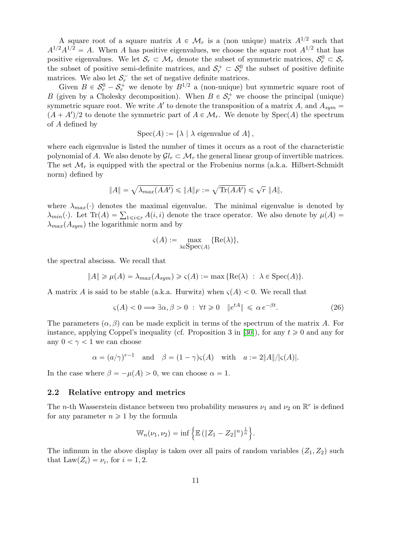A square root of a square matrix  $A \in \mathcal{M}_r$  is a (non unique) matrix  $A^{1/2}$  such that  $A^{1/2}A^{1/2} = A$ . When A has positive eigenvalues, we choose the square root  $A^{1/2}$  that has positive eigenvalues. We let  $S_r \subset \mathcal{M}_r$  denote the subset of symmetric matrices,  $S_r^0 \subset S_r$ the subset of positive semi-definite matrices, and  $S_r^+ \subset S_r^0$  the subset of positive definite matrices. We also let  $S_r^-$  the set of negative definite matrices.

Given  $B \in S_r^0 - S_r^+$  we denote by  $B^{1/2}$  a (non-unique) but symmetric square root of B (given by a Cholesky decomposition). When  $B \in \mathcal{S}_r^+$  we choose the principal (unique) symmetric square root. We write  $A'$  to denote the transposition of a matrix A, and  $A_{sym} =$  $(A + A')/2$  to denote the symmetric part of  $A \in \mathcal{M}_r$ . We denote by  $Spec(A)$  the spectrum of A defined by

 $Spec(A) := {\lambda | \lambda}$  eigenvalue of  $A$ ,

where each eigenvalue is listed the number of times it occurs as a root of the characteristic polynomial of A. We also denote by  $\mathcal{G}l_r \subset \mathcal{M}_r$  the general linear group of invertible matrices. The set  $\mathcal{M}_r$  is equipped with the spectral or the Frobenius norms (a.k.a. Hilbert-Schmidt norm) defined by

$$
||A|| = \sqrt{\lambda_{max}(AA')} \le ||A||_F := \sqrt{\text{Tr}(AA')} \le \sqrt{r} ||A||,
$$

where  $\lambda_{max}(\cdot)$  denotes the maximal eigenvalue. The minimal eigenvalue is denoted by where  $\lambda_{max}(\cdot)$  denotes the maximal eigenvalue. The minimal eigenvalue is denoted by  $\lambda_{min}(\cdot)$ . Let  $\text{Tr}(A) = \sum_{1 \leq i \leq r} A(i, i)$  denote the trace operator. We also denote by  $\mu(A)$  $\lambda_{max}(A_{sym})$  the logarithmic norm and by

$$
\varsigma(A) := \max_{\lambda \in \text{Spec}(A)} \{ \text{Re}(\lambda) \},
$$

the spectral abscissa. We recall that

$$
||A|| \ge \mu(A) = \lambda_{max}(A_{sym}) \ge \varsigma(A) := \max \{ \text{Re}(\lambda) : \lambda \in \text{Spec}(A) \}.
$$

A matrix A is said to be stable (a.k.a. Hurwitz) when  $\varsigma(A) < 0$ . We recall that

$$
\varsigma(A) < 0 \Longrightarrow \exists \alpha, \beta > 0 \; : \; \forall t \geq 0 \quad \|e^{tA}\| \leq \alpha \, e^{-\beta t}.\tag{26}
$$

The parameters  $(\alpha, \beta)$  can be made explicit in terms of the spectrum of the matrix A. For instance, applying Coppel's inequality (cf. Proposition 3 in [30]), for any  $t \ge 0$  and any for any  $0 < \gamma < 1$  we can choose

$$
\alpha = (a/\gamma)^{r-1}
$$
 and  $\beta = (1 - \gamma)\varsigma(A)$  with  $a := 2||A||/|\varsigma(A)|$ .

In the case where  $\beta = -\mu(A) > 0$ , we can choose  $\alpha = 1$ .

### 2.2 Relative entropy and metrics

The *n*-th Wasserstein distance between two probability measures  $\nu_1$  and  $\nu_2$  on  $\mathbb{R}^r$  is defined for any parameter  $n \geq 1$  by the formula )

$$
\mathbb{W}_{n}(\nu_1, \nu_2) = \inf \left\{ \mathbb{E} (\|Z_1 - Z_2\|^n)^{\frac{1}{n}} \right\}.
$$

The infimum in the above display is taken over all pairs of random variables  $(Z_1, Z_2)$  such that  $\text{Law}(Z_i) = \nu_i$ , for  $i = 1, 2$ .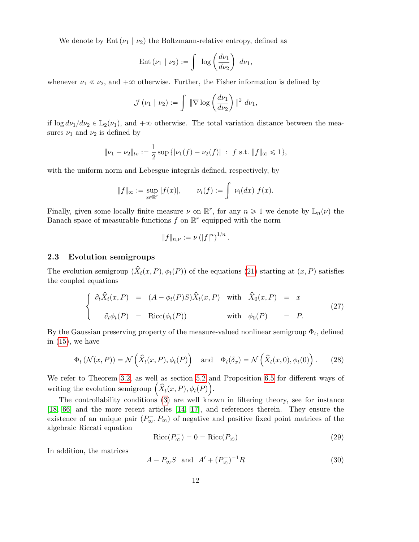We denote by Ent  $(\nu_1 | \nu_2)$  the Boltzmann-relative entropy, defined as

$$
\operatorname{Ent}(\nu_1 \mid \nu_2) := \int \log \left(\frac{d\nu_1}{d\nu_2}\right) d\nu_1,
$$

whenever  $\nu_1 \ll \nu_2$ , and  $+\infty$  otherwise. Further, the Fisher information is defined by

$$
\mathcal{J}(\nu_1 \mid \nu_2) := \int \|\nabla \log \left(\frac{d\nu_1}{d\nu_2}\right)\|^2 d\nu_1,
$$

if  $\log d\nu_1/d\nu_2 \in \mathbb{L}_2(\nu_1)$ , and  $+\infty$  otherwise. The total variation distance between the measures  $\nu_1$  and  $\nu_2$  is defined by

$$
\|\nu_1 - \nu_2\|_{\text{tv}} := \frac{1}{2} \sup \{|\nu_1(f) - \nu_2(f)| : f \text{ s.t. } \|f\|_{\infty} \leq 1\},\
$$

with the uniform norm and Lebesgue integrals defined, respectively, by

$$
||f||_{\infty} := \sup_{x \in \mathbb{R}^r} |f(x)|, \qquad \nu_i(f) := \int \nu_i(dx) \ f(x).
$$

Finally, given some locally finite measure  $\nu$  on  $\mathbb{R}^r$ , for any  $n \geq 1$  we denote by  $\mathbb{L}_n(\nu)$  the Banach space of measurable functions  $f$  on  $\mathbb{R}^r$  equipped with the norm

$$
||f||_{n,\nu} := \nu (|f|^n)^{1/n}.
$$

### 2.3 Evolution semigroups

The evolution semigroup  $(\hat{X}_t(x, P), \phi_t(P))$  of the equations (21) starting at  $(x, P)$  satisfies the coupled equations

$$
\begin{cases}\n\partial_t \hat{X}_t(x, P) = (A - \phi_t(P)S)\hat{X}_t(x, P) \text{ with } \hat{X}_0(x, P) = x \\
\partial_t \phi_t(P) = \text{Ricc}(\phi_t(P)) \text{ with } \phi_0(P) = P.\n\end{cases}
$$
\n(27)

By the Gaussian preserving property of the measure-valued nonlinear semigroup  $\Phi_t$ , defined in  $(15)$ , we have

$$
\Phi_t(\mathcal{N}(x,P)) = \mathcal{N}\left(\hat{X}_t(x,P), \phi_t(P)\right) \quad \text{and} \quad \Phi_t(\delta_x) = \mathcal{N}\left(\hat{X}_t(x,0), \phi_t(0)\right). \tag{28}
$$

We refer to Theorem 3.2, as well as section 5.2 and Proposition 6.5 for different ways of We refer to Theorem 3.2, as well as section 5.2 are<br>writing the evolution semigroup  $(\hat{X}_t(x, P), \phi_t(P))$ .

The controllability conditions (3) are well known in filtering theory, see for instance [18, 66] and the more recent articles [14, 17], and references therein. They ensure the existence of an unique pair  $(P_{\infty}^{-}, P_{\infty})$  of negative and positive fixed point matrices of the algebraic Riccati equation

$$
Ricc(P_{\infty}^-) = 0 = Ricc(P_{\infty})
$$
\n(29)

In addition, the matrices

$$
A - P_{\infty}S
$$
 and  $A' + (P_{\infty}^-)^{-1}R$  (30)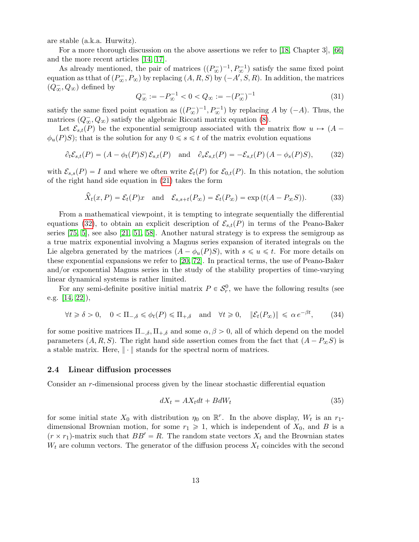are stable (a.k.a. Hurwitz).

For a more thorough discussion on the above assertions we refer to [18, Chapter 3], [66] and the more recent articles [14, 17].

As already mentioned, the pair of matrices  $((P_{\infty}^{-})^{-1}, P_{\infty}^{-1})$  satisfy the same fixed point equation as tthat of  $(P_{\infty}^-, P_{\infty})$  by replacing  $(A, R, S)$  by  $(-A', S, R)$ . In addition, the matrices  $(Q_\infty^-,Q_\infty)$  defined by

$$
Q_{\infty}^- := -P_{\infty}^{-1} < 0 < Q_{\infty} := -(P_{\infty}^-)^{-1} \tag{31}
$$

satisfy the same fixed point equation as  $((P_{\infty}^{-})^{-1}, P_{\infty}^{-1})$  by replacing A by  $(-A)$ . Thus, the matrices  $(Q_{\infty}, Q_{\infty})$  satisfy the algebraic Riccati matrix equation (8).

Let  $\mathcal{E}_{s,t}(P)$  be the exponential semigroup associated with the matrix flow  $u \mapsto (A - \mathcal{E}_{s,t}(P))$  $\phi_u(P)S$ ; that is the solution for any  $0 \le s \le t$  of the matrix evolution equations

$$
\partial_t \mathcal{E}_{s,t}(P) = (A - \phi_t(P)S) \mathcal{E}_{s,t}(P) \quad \text{and} \quad \partial_s \mathcal{E}_{s,t}(P) = -\mathcal{E}_{s,t}(P) (A - \phi_s(P)S), \tag{32}
$$

with  $\mathcal{E}_{s,s}(P) = I$  and where we often write  $\mathcal{E}_t(P)$  for  $\mathcal{E}_{0,t}(P)$ . In this notation, the solution of the right hand side equation in (21) takes the form

$$
\widehat{X}_t(x,P) = \mathcal{E}_t(P)x \quad \text{and} \quad \mathcal{E}_{s,s+t}(P_\infty) = \mathcal{E}_t(P_\infty) = \exp\left(t(A - P_\infty S)\right). \tag{33}
$$

From a mathematical viewpoint, it is tempting to integrate sequentially the differential equations (32), to obtain an explicit description of  $\mathcal{E}_{s,t}(P)$  in terms of the Peano-Baker series [75, 5], see also [21, 51, 58]. Another natural strategy is to express the semigroup as a true matrix exponential involving a Magnus series expansion of iterated integrals on the Lie algebra generated by the matrices  $(A - \phi_u(P)S)$ , with  $s \leq u \leq t$ . For more details on these exponential expansions we refer to [20, 72]. In practical terms, the use of Peano-Baker and/or exponential Magnus series in the study of the stability properties of time-varying linear dynamical systems is rather limited.

For any semi-definite positive initial matrix  $P \in \mathcal{S}_r^0$ , we have the following results (see e.g. [14, 22]),

$$
\forall t \geq \delta > 0, \quad 0 < \Pi_{-\delta} \leq \phi_t(P) \leq \Pi_{+,\delta} \quad \text{and} \quad \forall t \geq 0, \quad \|\mathcal{E}_t(P_\infty)\| \leq \alpha \, e^{-\beta t},\tag{34}
$$

for some positive matrices  $\Pi_{-\delta}$ ,  $\Pi_{+\delta}$  and some  $\alpha, \beta > 0$ , all of which depend on the model parameters  $(A, R, S)$ . The right hand side assertion comes from the fact that  $(A - P_{\infty}S)$  is a stable matrix. Here,  $\|\cdot\|$  stands for the spectral norm of matrices.

#### 2.4 Linear diffusion processes

Consider an r-dimensional process given by the linear stochastic differential equation

$$
dX_t = AX_t dt + BdW_t \tag{35}
$$

for some initial state  $X_0$  with distribution  $\eta_0$  on  $\mathbb{R}^r$ . In the above display,  $W_t$  is an  $r_1$ dimensional Brownian motion, for some  $r_1 \geq 1$ , which is independent of  $X_0$ , and B is a  $(r \times r_1)$ -matrix such that  $BB' = R$ . The random state vectors  $X_t$  and the Brownian states  $W_t$  are column vectors. The generator of the diffusion process  $X_t$  coincides with the second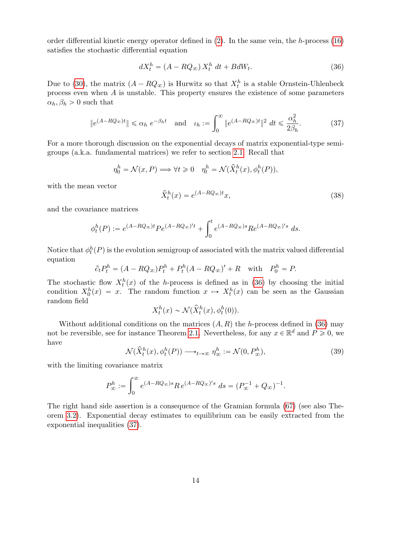order differential kinetic energy operator defined in (2). In the same vein, the h-process (16) satisfies the stochastic differential equation

$$
dX_t^h = (A - RQ_{\infty})X_t^h dt + BdW_t.
$$
\n(36)

Due to (30), the matrix  $(A - RQ_{\infty})$  is Hurwitz so that  $X_t^h$  is a stable Ornstein-Uhlenbeck process even when  $A$  is unstable. This property ensures the existence of some parameters  $\alpha_h, \beta_h > 0$  such that

$$
\|e^{(A-RQ_{\infty})t}\| \leq \alpha_h \ e^{-\beta_h t} \quad \text{and} \quad \iota_h := \int_0^{\infty} \|e^{(A-RQ_{\infty})t}\|^2 \ dt \leq \frac{\alpha_h^2}{2\beta_h}.\tag{37}
$$

For a more thorough discussion on the exponential decays of matrix exponential-type semigroups (a.k.a. fundamental matrices) we refer to section 2.1. Recall that

$$
\eta_0^h = \mathcal{N}(x, P) \Longrightarrow \forall t \geq 0 \quad \eta_t^h = \mathcal{N}(\hat{X}_t^h(x), \phi_t^h(P)),
$$

with the mean vector

$$
\hat{X}_t^h(x) = e^{(A - RQ_\infty)t}x,\tag{38}
$$

and the covariance matrices

$$
\phi_t^h(P) := e^{(A-RQ_{\infty})t} P e^{(A-RQ_{\infty})'t} + \int_0^t e^{(A-RQ_{\infty})s} R e^{(A-RQ_{\infty})'s} ds.
$$

Notice that  $\phi_t^h(P)$  is the evolution semigroup of associated with the matrix valued differential equation

$$
\partial_t P_t^h = (A - RQ_\infty)P_t^h + P_t^h (A - RQ_\infty)' + R \quad \text{with} \quad P_0^h = P.
$$

The stochastic flow  $X_t^h(x)$  of the h-process is defined as in (36) by choosing the initial condition  $X_0^h(x) = x$ . The random function  $x \mapsto X_t^h(x)$  can be seen as the Gaussian random field

$$
X_t^h(x) \sim \mathcal{N}(\hat{X}_t^h(x), \phi_t^h(0)).
$$

Without additional conditions on the matrices  $(A, R)$  the h-process defined in (36) may not be reversible, see for instance Theorem 2.1. Nevertheless, for any  $x \in \mathbb{R}^d$  and  $P \geq 0$ , we have

$$
\mathcal{N}(\hat{X}^h_t(x), \phi^h_t(P)) \longrightarrow_{t \to \infty} \eta^h_{\infty} := \mathcal{N}(0, P^h_{\infty}),
$$
\n(39)

with the limiting covariance matrix

$$
P_{\infty}^{h} := \int_{0}^{\infty} e^{(A - RQ_{\infty})s} R e^{(A - RQ_{\infty})/s} ds = (P_{\infty}^{-1} + Q_{\infty})^{-1}.
$$

The right hand side assertion is a consequence of the Gramian formula (67) (see also Theorem 3.2). Exponential decay estimates to equilibrium can be easily extracted from the exponential inequalities (37).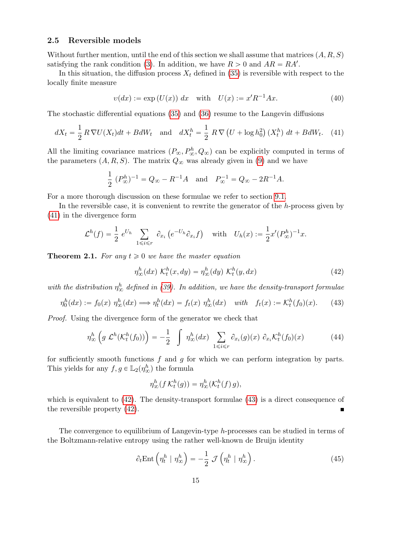### 2.5 Reversible models

Without further mention, until the end of this section we shall assume that matrices  $(A, R, S)$ satisfying the rank condition (3). In addition, we have  $R > 0$  and  $AR = RA'$ .

In this situation, the diffusion process  $X_t$  defined in (35) is reversible with respect to the locally finite measure

$$
v(dx) := \exp(U(x)) \, dx \quad \text{with} \quad U(x) := x'R^{-1}Ax. \tag{40}
$$

The stochastic differential equations (35) and (36) resume to the Langevin diffusions

$$
dX_t = \frac{1}{2} R \nabla U(X_t) dt + B dW_t \quad \text{and} \quad dX_t^h = \frac{1}{2} R \nabla \left( U + \log h_0^2 \right) \left( X_t^h \right) dt + B dW_t. \tag{41}
$$

All the limiting covariance matrices  $(P_{\infty}, P_{\infty}^h, Q_{\infty})$  can be explicitly computed in terms of the parameters  $(A, R, S)$ . The matrix  $Q_{\infty}$  was already given in (9) and we have

$$
\frac{1}{2} (P_{\infty}^{h})^{-1} = Q_{\infty} - R^{-1}A \text{ and } P_{\infty}^{-1} = Q_{\infty} - 2R^{-1}A.
$$

For a more thorough discussion on these formulae we refer to section 9.1.

In the reversible case, it is convenient to rewrite the generator of the h-process given by (41) in the divergence form

$$
\mathcal{L}^h(f) = \frac{1}{2} e^{U_h} \sum_{1 \leqslant i \leqslant r} \partial_{x_i} \left( e^{-U_h} \partial_{x_i} f \right) \quad \text{with} \quad U_h(x) := \frac{1}{2} x' (P^h_{\infty})^{-1} x.
$$

**Theorem 2.1.** For any  $t \geq 0$  we have the master equation

$$
\eta_{\infty}^{h}(dx) \mathcal{K}_{t}^{h}(x, dy) = \eta_{\infty}^{h}(dy) \mathcal{K}_{t}^{h}(y, dx)
$$
\n(42)

with the distribution  $\eta^h_{\infty}$  defined in (39). In addition, we have the density-transport formulae

$$
\eta_0^h(dx) := f_0(x) \; \eta_\infty^h(dx) \Longrightarrow \eta_t^h(dx) = f_t(x) \; \eta_\infty^h(dx) \quad \text{with} \quad f_t(x) := \mathcal{K}_t^h(f_0)(x). \tag{43}
$$

Proof. Using the divergence form of the generator we check that

$$
\eta_{\infty}^{h} \left( g \mathcal{L}^{h}(\mathcal{K}_{t}^{h}(f_{0})) \right) = -\frac{1}{2} \int \eta_{\infty}^{h}(dx) \sum_{1 \leq i \leq r} \partial_{x_{i}}(g)(x) \partial_{x_{i}} \mathcal{K}_{t}^{h}(f_{0})(x) \tag{44}
$$

for sufficiently smooth functions  $f$  and  $g$  for which we can perform integration by parts. This yields for any  $f, g \in \mathbb{L}_2(\eta_{\infty}^h)$  the formula

$$
\eta^h_{\infty}(f\,\mathcal{K}^h_t(g)) = \eta^h_{\infty}(\mathcal{K}^h_t(f)\,g),
$$

which is equivalent to  $(42)$ . The density-transport formulae  $(43)$  is a direct consequence of the reversible property (42).

The convergence to equilibrium of Langevin-type h-processes can be studied in terms of the Boltzmann-relative entropy using the rather well-known de Bruijn identity

$$
\partial_t \text{Ent}\left(\eta_t^h \mid \eta_\infty^h\right) = -\frac{1}{2} \mathcal{J}\left(\eta_t^h \mid \eta_\infty^h\right). \tag{45}
$$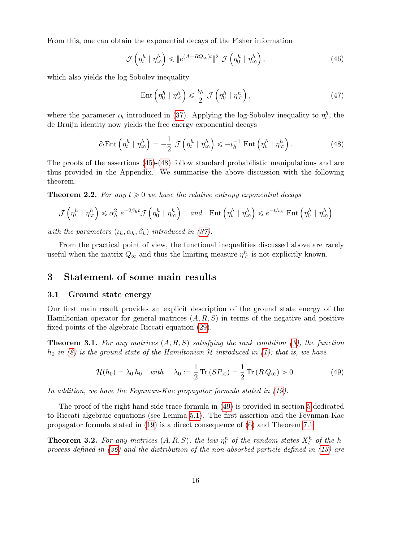From this, one can obtain the exponential decays of the Fisher information

$$
\mathcal{J}\left(\eta_t^h \mid \eta_\infty^h\right) \leqslant \|e^{(A-RQ_\infty)t}\|^2 \mathcal{J}\left(\eta_0^h \mid \eta_\infty^h\right),\tag{46}
$$

which also yields the log-Sobolev inequality

$$
\operatorname{Ent}\left(\eta_0^h \mid \eta_\infty^h\right) \leq \frac{\iota_h}{2} \mathcal{J}\left(\eta_0^h \mid \eta_\infty^h\right),\tag{47}
$$

where the parameter  $\iota_h$  introduced in (37). Applying the log-Sobolev inequality to  $\eta_t^h$ , the de Bruijn identity now yields the free energy exponential decays

$$
\partial_t \text{Ent}\left(\eta_t^h \mid \eta_\infty^h\right) = -\frac{1}{2} \mathcal{J}\left(\eta_t^h \mid \eta_\infty^h\right) \leqslant -\iota_h^{-1} \text{Ent}\left(\eta_t^h \mid \eta_\infty^h\right). \tag{48}
$$

The proofs of the assertions (45)-(48) follow standard probabilistic manipulations and are thus provided in the Appendix. We summarise the above discussion with the following theorem.

**Theorem 2.2.** For any  $t \geq 0$  we have the relative entropy exponential decays

$$
\mathcal{J}\left(\eta_t^h \mid \eta_\infty^h\right) \leq \alpha_h^2 e^{-2\beta_h t} \mathcal{J}\left(\eta_0^h \mid \eta_\infty^h\right) \quad \text{and} \quad \text{Ent}\left(\eta_t^h \mid \eta_\infty^h\right) \leq e^{-t/\iota_h} \text{ Ent}\left(\eta_0^h \mid \eta_\infty^h\right)
$$

with the parameters  $(\iota_h, \alpha_h, \beta_h)$  introduced in (37).

From the practical point of view, the functional inequalities discussed above are rarely useful when the matrix  $Q_{\infty}$  and thus the limiting measure  $\eta_{\infty}^{h}$  is not explicitly known.

# 3 Statement of some main results

### 3.1 Ground state energy

Our first main result provides an explicit description of the ground state energy of the Hamiltonian operator for general matrices  $(A, R, S)$  in terms of the negative and positive fixed points of the algebraic Riccati equation (29).

**Theorem 3.1.** For any matrices  $(A, R, S)$  satisfying the rank condition (3), the function  $h_0$  in (8) is the ground state of the Hamiltonian H introduced in (1); that is, we have

$$
\mathcal{H}(h_0) = \lambda_0 h_0 \quad \text{with} \quad \lambda_0 := \frac{1}{2} \operatorname{Tr} \left( S P_{\infty} \right) = \frac{1}{2} \operatorname{Tr} \left( R Q_{\infty} \right) > 0. \tag{49}
$$

In addition, we have the Feynman-Kac propagator formula stated in (19).

The proof of the right hand side trace formula in (49) is provided in section 5 dedicated to Riccati algebraic equations (see Lemma 5.1). The first assertion and the Feynman-Kac propagator formula stated in (19) is a direct consequence of (6) and Theorem 7.1.

**Theorem 3.2.** For any matrices  $(A, R, S)$ , the law  $\eta_t^h$  of the random states  $X_t^h$  of the hprocess defined in (36) and the distribution of the non-absorbed particle defined in (13) are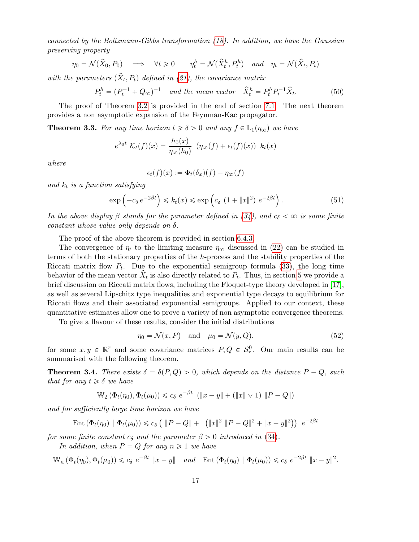connected by the Boltzmann-Gibbs transformation (18). In addition, we have the Gaussian preserving property

$$
\eta_0 = \mathcal{N}(\hat{X}_0, P_0) \quad \Longrightarrow \quad \forall t \geq 0 \qquad \eta_t^h = \mathcal{N}(\hat{X}_t^h, P_t^h) \quad \text{and} \quad \eta_t = \mathcal{N}(\hat{X}_t, P_t)
$$

with the parameters  $(\hat{X}_t, P_t)$  defined in (21), the covariance matrix

$$
P_t^h = (P_t^{-1} + Q_\infty)^{-1} \quad \text{and the mean vector} \quad \hat{X}_t^h = P_t^h P_t^{-1} \hat{X}_t. \tag{50}
$$

The proof of Theorem 3.2 is provided in the end of section 7.1. The next theorem provides a non asymptotic expansion of the Feynman-Kac propagator.

**Theorem 3.3.** For any time horizon  $t \ge \delta > 0$  and any  $f \in \mathbb{L}_1(\eta_\infty)$  we have

$$
e^{\lambda_0 t} \mathcal{K}_t(f)(x) = \frac{h_0(x)}{\eta_\infty(h_0)} \left( \eta_\infty(f) + \epsilon_t(f)(x) \right) k_t(x)
$$

where

$$
\epsilon_t(f)(x) := \Phi_t(\delta_x)(f) - \eta_\infty(f)
$$

and  $k_t$  is a function satisfying

$$
\exp\left(-c_{\delta}e^{-2\beta t}\right) \le k_t(x) \le \exp\left(c_{\delta} \left(1+\|x\|^2\right) e^{-2\beta t}\right). \tag{51}
$$

In the above display  $\beta$  stands for the parameter defined in (34), and  $c_{\delta} < \infty$  is some finite constant whose value only depends on  $\delta$ .

The proof of the above theorem is provided in section 6.4.3.

The convergence of  $\eta_t$  to the limiting measure  $\eta_\infty$  discussed in (22) can be studied in terms of both the stationary properties of the h-process and the stability properties of the Riccati matrix flow  $P_t$ . Due to the exponential semigroup formula (33), the long time behavior of the mean vector  $\hat{X}_t$  is also directly related to  $P_t$ . Thus, in section 5 we provide a brief discussion on Riccati matrix flows, including the Floquet-type theory developed in [17], as well as several Lipschitz type inequalities and exponential type decays to equilibrium for Riccati flows and their associated exponential semigroups. Applied to our context, these quantitative estimates allow one to prove a variety of non asymptotic convergence theorems.

To give a flavour of these results, consider the initial distributions

$$
\eta_0 = \mathcal{N}(x, P) \quad \text{and} \quad \mu_0 = \mathcal{N}(y, Q), \tag{52}
$$

for some  $x, y \in \mathbb{R}^r$  and some covariance matrices  $P, Q \in S_r^0$ . Our main results can be summarised with the following theorem.

**Theorem 3.4.** There exists  $\delta = \delta(P, Q) > 0$ , which depends on the distance  $P - Q$ , such that for any  $t \geq \delta$  we have

$$
\mathbb{W}_2(\Phi_t(\eta_0), \Phi_t(\mu_0)) \le c_\delta e^{-\beta t} \ (\|x - y\| + (\|x\| \vee 1) \|P - Q\|)
$$

and for sufficiently large time horizon we have

Ent 
$$
(\Phi_t(\eta_0) | \Phi_t(\mu_0)) \le c_\delta (||P - Q|| + (||x||^2 ||P - Q||^2 + ||x - y||^2)) e^{-2\beta t}
$$

for some finite constant  $c_{\delta}$  and the parameter  $\beta > 0$  introduced in (34).

In addition, when  $P = Q$  for any  $n \geq 1$  we have

$$
\mathbb{W}_n\left(\Phi_t(\eta_0), \Phi_t(\mu_0)\right) \leq c_\delta \ e^{-\beta t} \|x - y\| \quad \text{and} \quad \text{Ent}\left(\Phi_t(\eta_0) \mid \Phi_t(\mu_0)\right) \leq c_\delta \ e^{-2\beta t} \|x - y\|^2.
$$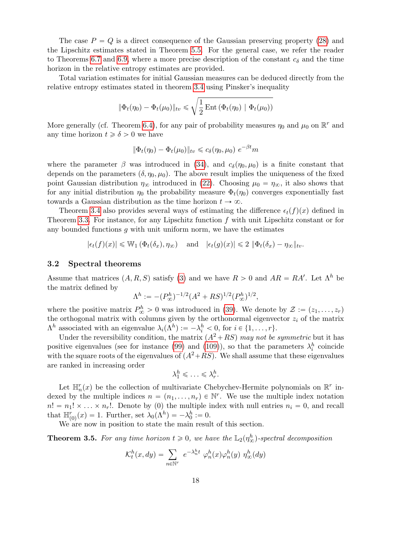The case  $P = Q$  is a direct consequence of the Gaussian preserving property (28) and the Lipschitz estimates stated in Theorem 5.5. For the general case, we refer the reader to Theorems 6.7 and 6.9, where a more precise description of the constant  $c_{\delta}$  and the time horizon in the relative entropy estimates are provided.

Total variation estimates for initial Gaussian measures can be deduced directly from the relative entropy estimates stated in theorem 3.4 using Pinsker's inequality

$$
\|\Phi_t(\eta_0) - \Phi_t(\mu_0)\|_{tv} \le \sqrt{\frac{1}{2} \operatorname{Ent} \left(\Phi_t(\eta_0) \mid \Phi_t(\mu_0)\right)}
$$

More generally (cf. Theorem 6.4), for any pair of probability measures  $\eta_0$  and  $\mu_0$  on  $\mathbb{R}^r$  and any time horizon  $t \geq \delta > 0$  we have

$$
\|\Phi_t(\eta_0) - \Phi_t(\mu_0)\|_{\text{tv}} \leq c_\delta(\eta_0, \mu_0) e^{-\beta t} m
$$

where the parameter  $\beta$  was introduced in (34), and  $c_{\delta}(\eta_0, \mu_0)$  is a finite constant that depends on the parameters  $(\delta, \eta_0, \mu_0)$ . The above result implies the uniqueness of the fixed point Gaussian distribution  $\eta_{\infty}$  introduced in (22). Choosing  $\mu_0 = \eta_{\infty}$ , it also shows that for any initial distribution  $\eta_0$  the probability measure  $\Phi_t(\eta_0)$  converges exponentially fast towards a Gaussian distribution as the time horizon  $t \to \infty$ .

Theorem 3.4 also provides several ways of estimating the difference  $\epsilon_t(f)(x)$  defined in Theorem 3.3. For instance, for any Lipschitz function  $f$  with unit Lipschitz constant or for any bounded functions  $g$  with unit uniform norm, we have the estimates

$$
|\epsilon_t(f)(x)| \leq \mathbb{W}_1(\Phi_t(\delta_x), \eta_{\infty})
$$
 and  $|\epsilon_t(g)(x)| \leq 2 \|\Phi_t(\delta_x) - \eta_{\infty}\|_{tv}$ .

### 3.2 Spectral theorems

Assume that matrices  $(A, R, S)$  satisfy (3) and we have  $R > 0$  and  $AR = RA'$ . Let  $\Lambda^h$  be the matrix defined by

$$
\Lambda^h := -(P^h_{\infty})^{-1/2} (A^2 + RS)^{1/2} (P^h_{\infty})^{1/2},
$$

where the positive matrix  $P_{\infty}^{h} > 0$  was introduced in (39). We denote by  $\mathcal{Z} := (z_1, \ldots, z_r)$ the orthogonal matrix with columns given by the orthonormal eigenvector  $z_i$  of the matrix  $\Lambda^h$  associated with an eigenvalue  $\lambda_i(\Lambda^h) := -\lambda_i^h < 0$ , for  $i \in \{1, \ldots, r\}$ .

Under the reversibility condition, the matrix  $(A^2 + RS)$  may not be symmetric but it has positive eigenvalues (see for instance (99) and (109)), so that the parameters  $\lambda_i^h$  coincide with the square roots of the eigenvalues of  $(A^2+RS)$ . We shall assume that these eigenvalues are ranked in increasing order

$$
\lambda_1^h \leqslant \ldots \leqslant \lambda_r^h.
$$

Let  $\mathbb{H}_n^r(x)$  be the collection of multivariate Chebychev-Hermite polynomials on  $\mathbb{R}^r$  indexed by the multiple indices  $n = (n_1, \ldots, n_r) \in \mathbb{N}^r$ . We use the multiple index notation  $n! = n_1! \times \ldots \times n_r!$ . Denote by (0) the multiple index with null entries  $n_i = 0$ , and recall that  $\mathbb{H}_{(0)}^r(x) = 1$ . Further, set  $\lambda_0(\Lambda^h) = -\lambda_0^h := 0$ .

We are now in position to state the main result of this section.

**Theorem 3.5.** For any time horizon  $t \ge 0$ , we have the  $\mathbb{L}_2(\eta_\infty^h)$ -spectral decomposition

$$
\mathcal{K}_t^h(x, dy) = \sum_{n \in \mathbb{N}^r} e^{-\lambda_n^h t} \varphi_n^h(x) \varphi_n^h(y) \eta_\infty^h(dy)
$$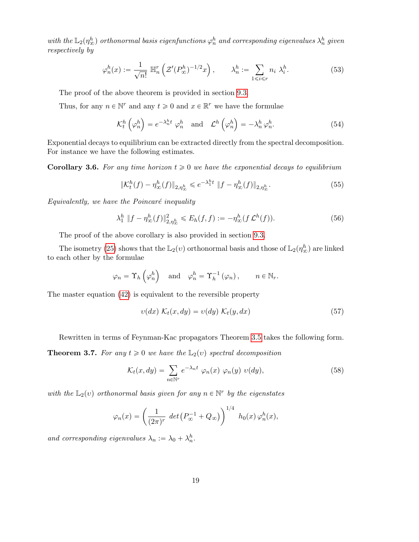with the  $\mathbb{L}_2(\eta^h_\infty)$  orthonormal basis eigenfunctions  $\varphi^h_n$  and corresponding eigenvalues  $\lambda^h_n$  given respectively by

$$
\varphi_n^h(x) := \frac{1}{\sqrt{n!}} \ \mathbb{H}_n^r \left( \mathcal{Z}'(P_\infty^h)^{-1/2} x \right), \qquad \lambda_n^h := \sum_{1 \le i \le r} n_i \ \lambda_i^h. \tag{53}
$$

The proof of the above theorem is provided in section 9.3.

Thus, for any  $n \in \mathbb{N}^r$  and any  $t \geq 0$  and  $x \in \mathbb{R}^r$  we have the formulae

$$
\mathcal{K}_t^h\left(\varphi_n^h\right) = e^{-\lambda_n^h t} \varphi_n^h \quad \text{and} \quad \mathcal{L}^h\left(\varphi_n^h\right) = -\lambda_n^h \varphi_n^h. \tag{54}
$$

Exponential decays to equilibrium can be extracted directly from the spectral decomposition. For instance we have the following estimates.

**Corollary 3.6.** For any time horizon  $t \geq 0$  we have the exponential decays to equilibrium

$$
\|\mathcal{K}_t^h(f) - \eta_\infty^h(f)\|_{2,\eta_\infty^h} \le e^{-\lambda_1^h t} \|f - \eta_\infty^h(f)\|_{2,\eta_\infty^h}.
$$
\n(55)

 $Equivalently, we have the Poincaré inequality$ 

$$
\lambda_1^h \|f - \eta_{\infty}^h(f)\|_{2, \eta_{\infty}^h}^2 \le E_h(f, f) := -\eta_{\infty}^h(f \mathcal{L}^h(f)).
$$
\n(56)

The proof of the above corollary is also provided in section 9.3.

The isometry (25) shows that the  $\mathbb{L}_2(v)$  orthonormal basis and those of  $\mathbb{L}_2(\eta_\infty^h)$  are linked to each other by the formulae

$$
\varphi_n = \Upsilon_h \left( \varphi_n^h \right)
$$
 and  $\varphi_n^h = \Upsilon_h^{-1} \left( \varphi_n \right)$ ,  $n \in \mathbb{N}_r$ .

The master equation (42) is equivalent to the reversible property

$$
v(dx) K_t(x, dy) = v(dy) K_t(y, dx)
$$
\n(57)

Rewritten in terms of Feynman-Kac propagators Theorem 3.5 takes the following form.

**Theorem 3.7.** For any  $t \geq 0$  we have the  $\mathbb{L}_2(v)$  spectral decomposition

$$
\mathcal{K}_t(x, dy) = \sum_{n \in \mathbb{N}^r} e^{-\lambda_n t} \varphi_n(x) \varphi_n(y) \upsilon(dy), \qquad (58)
$$

with the  $\mathbb{L}_2(v)$  orthonormal basis given for any  $n \in \mathbb{N}^r$  by the eigenstates

$$
\varphi_n(x) = \left(\frac{1}{(2\pi)^r} \det \left(P_{\infty}^{-1} + Q_{\infty}\right)\right)^{1/4} h_0(x) \varphi_n^h(x),
$$

and corresponding eigenvalues  $\lambda_n := \lambda_0 + \lambda_n^h$ .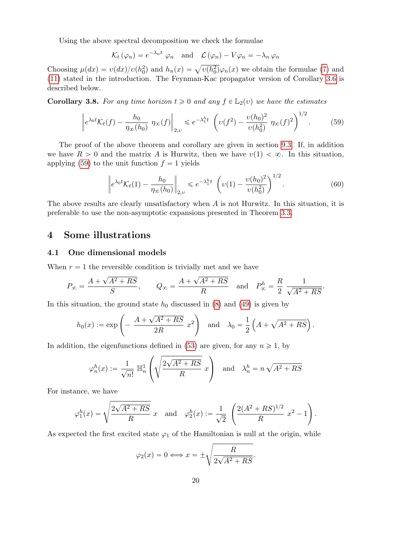Using the above spectral decomposition we check the formulae

$$
\mathcal{K}_t(\varphi_n) = e^{-\lambda_n t} \varphi_n \quad \text{and} \quad \mathcal{L}(\varphi_n) - V\varphi_n = -\lambda_n \varphi_n
$$

Choosing  $\mu(dx) = v(dx)/v(h_0^2)$  and  $h_n(x) = \sqrt{v(h_0^2)}\varphi_n(x)$  we obtain the formulae (7) and (11) stated in the introduction. The Feynman-Kac propagator version of Corollary 3.6 is described below.

**Corollary 3.8.** For any time horizon  $t \geq 0$  and any  $f \in L_2(v)$  we have the estimates

$$
\left\| e^{\lambda_0 t} \mathcal{K}_t(f) - \frac{h_0}{\eta_\infty(h_0)} \eta_\infty(f) \right\|_{2,\upsilon} \leqslant e^{-\lambda_1^h t} \left( \upsilon(f^2) - \frac{\upsilon(h_0)^2}{\upsilon(h_0^2)} \eta_\infty(f)^2 \right)^{1/2}.
$$
 (59)

The proof of the above theorem and corollary are given in section 9.3. If, in addition we have  $R > 0$  and the matrix A is Hurwitz, then we have  $v(1) < \infty$ . In this situation, applying (59) to the unit function  $f = 1$  yields

$$
\left\| e^{\lambda_0 t} \mathcal{K}_t(1) - \frac{h_0}{\eta_\infty(h_0)} \right\|_{2,\upsilon} \leqslant e^{-\lambda_1^h t} \left( \upsilon(1) - \frac{\upsilon(h_0)^2}{\upsilon(h_0^2)} \right)^{1/2}.
$$
 (60)

The above results are clearly unsatisfactory when  $A$  is not Hurwitz. In this situation, it is preferable to use the non-asymptotic expansions presented in Theorem 3.3.

## 4 Some illustrations

### 4.1 One dimensional models

When  $r = 1$  the reversible condition is trivially met and we have

$$
P_{\infty} = \frac{A + \sqrt{A^2 + RS}}{S}
$$
,  $Q_{\infty} = \frac{A + \sqrt{A^2 + RS}}{R}$  and  $P_{\infty}^h = \frac{R}{2} \frac{1}{\sqrt{A^2 + RS}}$ .

In this situation, the ground state  $h_0$  discussed in (8) and (49) is given by ¸

$$
h_0(x) := \exp\left(-\frac{A + \sqrt{A^2 + RS}}{2R} x^2\right) \quad \text{and} \quad \lambda_0 = \frac{1}{2} \left(A + \sqrt{A^2 + RS}\right).
$$

In addition, the eigenfunctions defined in (53) are given, for any  $n \geq 1$ , by ¨ d  $\sum_{i=1}^{n}$ 

$$
\varphi_n^h(x) := \frac{1}{\sqrt{n!}} \ \mathbb{H}_n^1\left(\sqrt{\frac{2\sqrt{A^2 + RS}}{R}} \ x\right) \quad \text{and} \quad \lambda_n^h = n\sqrt{A^2 + RS}
$$

For instance, we have

$$
\varphi_1^h(x) = \sqrt{\frac{2\sqrt{A^2 + RS}}{R}} x
$$
 and  $\varphi_2^h(x) := \frac{1}{\sqrt{2}} \left( \frac{2(A^2 + RS)^{1/2}}{R} x^2 - 1 \right).$ 

As expected the first excited state  $\varphi_1$  of the Hamiltonian is null at the origin, while

$$
\varphi_2(x) = 0 \Longleftrightarrow x = \pm \sqrt{\frac{R}{2\sqrt{A^2 + RS}}}.
$$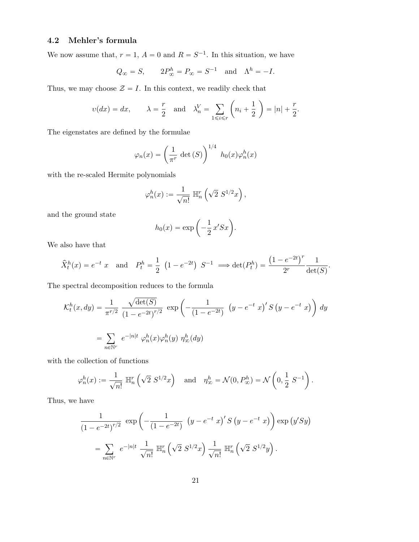# 4.2 Mehler's formula

We now assume that,  $r = 1$ ,  $A = 0$  and  $R = S^{-1}$ . In this situation, we have

$$
Q_{\infty} = S
$$
,  $2P_{\infty}^h = P_{\infty} = S^{-1}$  and  $\Lambda^h = -I$ .

Thus, we may choose  $\mathcal{Z} = I$ . In this context, we readily check that

$$
v(dx) = dx
$$
,  $\lambda = \frac{r}{2}$  and  $\lambda_n^V = \sum_{1 \le i \le r} \left( n_i + \frac{1}{2} \right) = |n| + \frac{r}{2}$ .

The eigenstates are defined by the formulae

$$
\varphi_n(x) = \left(\frac{1}{\pi^r} \det(S)\right)^{1/4} h_0(x)\varphi_n^h(x)
$$

with the re-scaled Hermite polynomials

$$
\varphi_n^h(x) := \frac{1}{\sqrt{n!}} \ \mathbb{H}_n^r\left(\sqrt{2} \ S^{1/2}x\right),\,
$$

and the ground state

$$
h_0(x) = \exp\left(-\frac{1}{2}x'Sx\right).
$$

We also have that

$$
\hat{X}_t^h(x) = e^{-t} x
$$
 and  $P_t^h = \frac{1}{2} (1 - e^{-2t}) S^{-1} \implies \det(P_t^h) = \frac{(1 - e^{-2t})^r}{2^r} \frac{1}{\det(S)}$ .

The spectral decomposition reduces to the formula

$$
\mathcal{K}_t^h(x, dy) = \frac{1}{\pi^{r/2}} \frac{\sqrt{\det(S)}}{(1 - e^{-2t})^{r/2}} \exp\left(-\frac{1}{(1 - e^{-2t})} \left(y - e^{-t} x\right)' S\left(y - e^{-t} x\right)\right) dy
$$
  
= 
$$
\sum_{n \in \mathbb{N}^r} e^{-|n|t} \varphi_n^h(x) \varphi_n^h(y) \eta_\infty^h(dy)
$$

with the collection of functions

$$
\varphi_n^h(x) := \frac{1}{\sqrt{n!}} \ \mathbb{H}_n^r\left(\sqrt{2} \ S^{1/2}x\right) \quad \text{and} \quad \eta_\infty^h = \mathcal{N}(0, P_\infty^h) = \mathcal{N}\left(0, \frac{1}{2} \ S^{-1}\right).
$$

Thus, we have

$$
\frac{1}{(1 - e^{-2t})^{r/2}} \exp\left(-\frac{1}{(1 - e^{-2t})} \left(y - e^{-t} x\right)' S\left(y - e^{-t} x\right)\right) \exp\left(y'Sy\right)
$$

$$
= \sum_{n \in \mathbb{N}^r} e^{-|n|t} \frac{1}{\sqrt{n!}} \mathbb{H}_n^r \left(\sqrt{2} S^{1/2} x\right) \frac{1}{\sqrt{n!}} \mathbb{H}_n^r \left(\sqrt{2} S^{1/2} y\right).
$$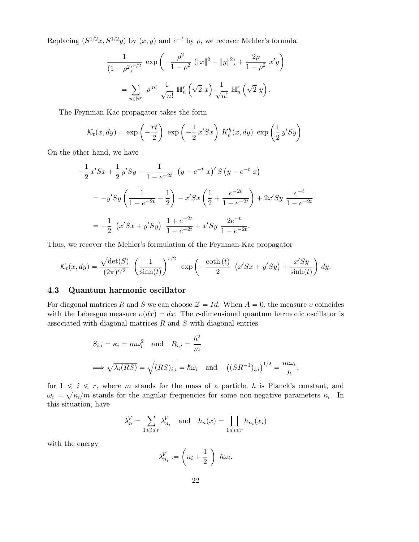Replacing  $(S^{1/2}x, S^{1/2}y)$  by  $(x, y)$  and  $e^{-t}$  by  $\rho$ , we recover Mehler's formula

$$
\frac{1}{(1-\rho^2)^{r/2}} \exp\left(-\frac{\rho^2}{1-\rho^2} \left(\|x\|^2 + \|y\|^2\right) + \frac{2\rho}{1-\rho^2} x'y\right)
$$

$$
= \sum_{n \in \mathbb{N}^r} \rho^{|n|} \frac{1}{\sqrt{n!}} \mathbb{H}_n^r \left(\sqrt{2} x\right) \frac{1}{\sqrt{n!}} \mathbb{H}_n^r \left(\sqrt{2} y\right).
$$

The Feynman-Kac propagator takes the form

$$
\mathcal{K}_t(x, dy) = \exp\left(-\frac{rt}{2}\right) \exp\left(-\frac{1}{2}x'Sx\right) K_t^h(x, dy) \exp\left(\frac{1}{2}y'Sy\right).
$$

On the other hand, we have

$$
-\frac{1}{2}x'Sx + \frac{1}{2}y'Sy - \frac{1}{1 - e^{-2t}} (y - e^{-t} x)'S (y - e^{-t} x)
$$
  
=  $-y'Sy \left(\frac{1}{1 - e^{-2t}} - \frac{1}{2}\right) - x'Sx \left(\frac{1}{2} + \frac{e^{-2t}}{1 - e^{-2t}}\right) + 2x'Sy \frac{e^{-t}}{1 - e^{-2t}}$   
=  $-\frac{1}{2} (x'Sx + y'Sy) \frac{1 + e^{-2t}}{1 - e^{-2t}} + x'Sy \frac{2e^{-t}}{1 - e^{-2t}}.$ 

Thus, we recover the Mehler's formulation of the Feynman-Kac propagator

$$
\mathcal{K}_t(x, dy) = \frac{\sqrt{\det(S)}}{(2\pi)^{r/2}} \left(\frac{1}{\sinh(t)}\right)^{r/2} \exp\left(-\frac{\coth(t)}{2} \left(x'Sx + y'Sy\right) + \frac{x'Sy}{\sinh(t)}\right) dy.
$$

### 4.3 Quantum harmonic oscillator

For diagonal matrices R and S we can choose  $\mathcal{Z} = Id$ . When  $A = 0$ , the measure v coincides with the Lebesgue measure  $v(dx) = dx$ . The r-dimensional quantum harmonic oscillator is associated with diagonal matrices  $R$  and  $S$  with diagonal entries

$$
S_{i,i} = \kappa_i = m\omega_i^2 \text{ and } R_{i,i} = \frac{\hbar^2}{m}
$$
  

$$
\implies \sqrt{\lambda_i(RS)} = \sqrt{(RS)_{i,i}} = \hbar\omega_i \text{ and } ((SR^{-1})_{i,i})^{1/2} = \frac{m\omega_i}{\hbar},
$$

for  $1 \leq i \leq r$ , where m stands for the mass of a particle,  $\hbar$  is Planck's constant, and  $\omega_i = \sqrt{\kappa_i/m}$  stands for the angular frequencies for some non-negative parameters  $\kappa_i$ . In this situation, have

$$
\lambda_n^V = \sum_{1 \le i \le r} \lambda_{n_i}^V \quad \text{and} \quad h_n(x) = \prod_{1 \le i \le r} h_{n_i}(x_i)
$$

with the energy

$$
\lambda_{n_i}^V := \left(n_i + \frac{1}{2}\right) \hbar \omega_i.
$$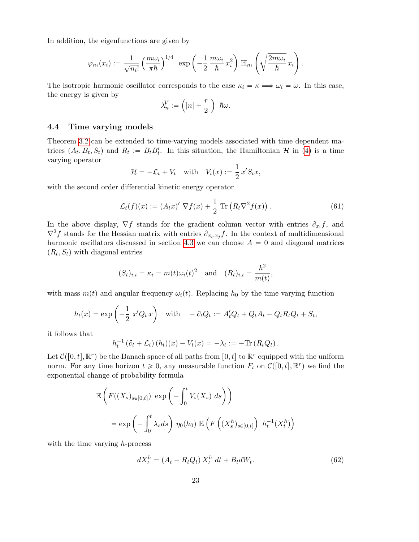In addition, the eigenfunctions are given by

$$
\varphi_{n_i}(x_i) := \frac{1}{\sqrt{n_i!}} \left(\frac{m\omega_i}{\pi\hbar}\right)^{1/4} \exp\left(-\frac{1}{2}\frac{m\omega_i}{\hbar}x_i^2\right) \mathbb{H}_{n_i}\left(\sqrt{\frac{2m\omega_i}{\hbar}}x_i\right).
$$

The isotropic harmonic oscillator corresponds to the case  $\kappa_i = \kappa \Longrightarrow \omega_i = \omega$ . In this case, the energy is given by

$$
\lambda_n^V := \left(|n| + \frac{r}{2}\right) \hbar \omega.
$$

### 4.4 Time varying models

Theorem 3.2 can be extended to time-varying models associated with time dependent matrices  $(A_t, B_t, S_t)$  and  $R_t := B_t B_t'$ . In this situation, the Hamiltonian H in (4) is a time varying operator

$$
\mathcal{H} = -\mathcal{L}_t + V_t \quad \text{with} \quad V_t(x) := \frac{1}{2} x' S_t x,
$$

with the second order differential kinetic energy operator

$$
\mathcal{L}_t(f)(x) := (A_t x)' \nabla f(x) + \frac{1}{2} \operatorname{Tr} \left( R_t \nabla^2 f(x) \right). \tag{61}
$$

In the above display,  $\nabla f$  stands for the gradient column vector with entries  $\partial_{x_i} f$ , and  $\nabla^2 f$  stands for the Hessian matrix with entries  $\partial_{x_i,x_j} f$ . In the context of multidimensional harmonic oscillators discussed in section 4.3 we can choose  $A = 0$  and diagonal matrices  $(R_t, S_t)$  with diagonal entries

$$
(S_t)_{i,i} = \kappa_i = m(t)\omega_i(t)^2 \quad \text{and} \quad (R_t)_{i,i} = \frac{\hbar^2}{m(t)},
$$

with mass  $m(t)$  and angular frequency  $\omega_i(t)$ . Replacing  $h_0$  by the time varying function

$$
h_t(x) = \exp\left(-\frac{1}{2}x'Q_t x\right) \quad \text{with} \quad -\partial_t Q_t := A'_t Q_t + Q_t A_t - Q_t R_t Q_t + S_t,
$$

it follows that

$$
h_t^{-1}(\partial_t + \mathcal{L}_t)(h_t)(x) - V_t(x) = -\lambda_t := -\text{Tr}(R_t Q_t).
$$

Let  $\mathcal{C}([0, t], \mathbb{R}^r)$  be the Banach space of all paths from  $[0, t]$  to  $\mathbb{R}^r$  equipped with the uniform norm. For any time horizon  $t \geq 0$ , any measurable function  $F_t$  on  $\mathcal{C}([0, t], \mathbb{R}^r)$  we find the exponential change of probability formula

$$
\mathbb{E}\left(F((X_s)_{s\in[0,t]})\exp\left(-\int_0^t V_s(X_s) ds\right)\right)
$$
  
=  $\exp\left(-\int_0^t \lambda_s ds\right) \eta_0(h_0) \mathbb{E}\left(F\left((X_s^h)_{s\in[0,t]}\right) h_t^{-1}(X_t^h)\right)$ 

with the time varying  $h$ -process

$$
dX_t^h = (A_t - R_t Q_t) X_t^h dt + B_t dW_t.
$$
\n
$$
(62)
$$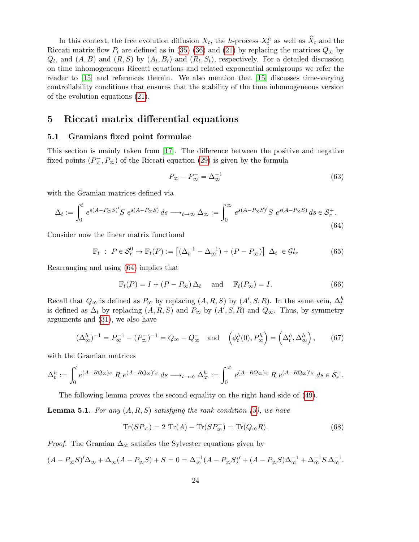In this context, the free evolution diffusion  $X_t$ , the h-process  $X_t^h$  as well as  $\hat{X}_t$  and the Riccati matrix flow  $P_t$  are defined as in (35) (36) and (21) by replacing the matrices  $Q_{\infty}$  by  $Q_t$ , and  $(A, B)$  and  $(R, S)$  by  $(A_t, B_t)$  and  $(R_t, S_t)$ , respectively. For a detailed discussion on time inhomogeneous Riccati equations and related exponential semigroups we refer the reader to [15] and references therein. We also mention that [15] discusses time-varying controllability conditions that ensures that the stability of the time inhomogeneous version of the evolution equations (21).

## 5 Riccati matrix differential equations

### 5.1 Gramians fixed point formulae

This section is mainly taken from [17]. The difference between the positive and negative fixed points  $(P_{\infty}^{-}, P_{\infty})$  of the Riccati equation (29) is given by the formula

$$
P_{\infty} - P_{\infty}^- = \Delta_{\infty}^{-1} \tag{63}
$$

with the Gramian matrices defined via

$$
\Delta_t := \int_0^t e^{s(A - P_{\infty}S)'} S e^{s(A - P_{\infty}S)} ds \longrightarrow_{t \to \infty} \Delta_{\infty} := \int_0^{\infty} e^{s(A - P_{\infty}S)'} S e^{s(A - P_{\infty}S)} ds \in \mathcal{S}_r^+.
$$
\n(64)

Consider now the linear matrix functional

$$
\mathbb{F}_t : P \in \mathcal{S}_r^0 \mapsto \mathbb{F}_t(P) := \left[ (\Delta_t^{-1} - \Delta_\infty^{-1}) + (P - P_\infty^-) \right] \Delta_t \in \mathcal{G}l_r \tag{65}
$$

Rearranging and using (64) implies that

$$
\mathbb{F}_t(P) = I + (P - P_{\infty}) \Delta_t \quad \text{and} \quad \mathbb{F}_t(P_{\infty}) = I.
$$
 (66)

Recall that  $Q_{\infty}$  is defined as  $P_{\infty}$  by replacing  $(A, R, S)$  by  $(A', S, R)$ . In the same vein,  $\Delta_t^h$ is defined as  $\Delta_t$  by replacing  $(A, R, S)$  and  $P_{\infty}$  by  $(A', S, R)$  and  $Q_{\infty}$ . Thus, by symmetry arguments and (31), we also have

$$
(\Delta_{\infty}^h)^{-1} = P_{\infty}^{-1} - (P_{\infty}^-)^{-1} = Q_{\infty} - Q_{\infty}^- \quad \text{and} \quad \left(\phi_t^h(0), P_{\infty}^h\right) = \left(\Delta_t^h, \Delta_{\infty}^h\right),\tag{67}
$$

with the Gramian matrices

$$
\Delta_t^h:=\int_0^t e^{(A-RQ_\infty)s}~R~e^{(A-RQ_\infty)'s}~ds\longrightarrow_{t\to\infty} \Delta_\infty^h:=\int_0^\infty e^{(A-RQ_\infty)s}~R~e^{(A-RQ_\infty)'s}~ds\in\mathcal{S}_r^+.
$$

The following lemma proves the second equality on the right hand side of (49).

**Lemma 5.1.** For any  $(A, R, S)$  satisfying the rank condition (3), we have

$$
\operatorname{Tr}(SP_{\infty}) = 2 \operatorname{Tr}(A) - \operatorname{Tr}(SP_{\infty}^{-}) = \operatorname{Tr}(Q_{\infty}R). \tag{68}
$$

*Proof.* The Gramian  $\Delta_{\infty}$  satisfies the Sylvester equations given by

$$
(A - P_{\infty}S)' \Delta_{\infty} + \Delta_{\infty}(A - P_{\infty}S) + S = 0 = \Delta_{\infty}^{-1}(A - P_{\infty}S)' + (A - P_{\infty}S)\Delta_{\infty}^{-1} + \Delta_{\infty}^{-1}S \Delta_{\infty}^{-1}.
$$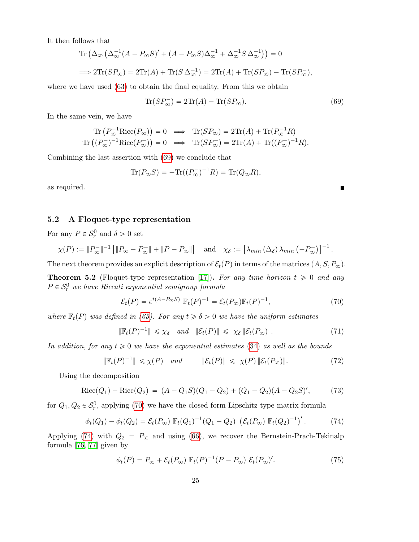It then follows that  $\text{Tr}\left(\Delta_{\infty}\left(\Delta\right)\right)$ 

$$
\begin{aligned} \operatorname{Tr}\left(\Delta_{\infty}\left(\Delta_{\infty}^{-1}(A-P_{\infty}S)' + (A-P_{\infty}S)\Delta_{\infty}^{-1} + \Delta_{\infty}^{-1}S\,\Delta_{\infty}^{-1}\right)\right) &= 0\\ \implies 2\operatorname{Tr}(SP_{\infty}) = 2\operatorname{Tr}(A) + \operatorname{Tr}(S\,\Delta_{\infty}^{-1}) = 2\operatorname{Tr}(A) + \operatorname{Tr}(SP_{\infty}) - \operatorname{Tr}(SP_{\infty}^{-}), \end{aligned}
$$

where we have used (63) to obtain the final equality. From this we obtain

$$
\operatorname{Tr}(SP_{\infty}^{-}) = 2\operatorname{Tr}(A) - \operatorname{Tr}(SP_{\infty}).\tag{69}
$$

In the same vein, we have

$$
\operatorname{Tr}\left(P_{\infty}^{-1}\operatorname{Ricc}(P_{\infty})\right) = 0 \implies \operatorname{Tr}(SP_{\infty}) = 2\operatorname{Tr}(A) + \operatorname{Tr}(P_{\infty}^{-1}R)
$$
  

$$
\operatorname{Tr}\left((P_{\infty}^{-})^{-1}\operatorname{Ricc}(P_{\infty}^{-})\right) = 0 \implies \operatorname{Tr}(SP_{\infty}^{-}) = 2\operatorname{Tr}(A) + \operatorname{Tr}((P_{\infty}^{-})^{-1}R).
$$

Combining the last assertion with (69) we conclude that

$$
\operatorname{Tr}(P_{\infty}S) = -\operatorname{Tr}((P_{\infty}^{-})^{-1}R) = \operatorname{Tr}(Q_{\infty}R),
$$

as required.

### 5.2 A Floquet-type representation

For any  $P \in \mathcal{S}_r^0$  and  $\delta > 0$  set

$$
\chi(P) := \|P_{\infty}^{-}\|^{-1} \left[ \|P_{\infty} - P_{\infty}^{-}\| + \|P - P_{\infty}\|\right] \text{ and } \chi_{\delta} := \left[ \lambda_{min} \left( \Delta_{\delta} \right) \lambda_{min} \left( -P_{\infty}^{-} \right) \right]^{-1}.
$$

The next theorem provides an explicit description of  $\mathcal{E}_t(P)$  in terms of the matrices  $(A, S, P_\infty)$ .

**Theorem 5.2** (Floquet-type representation [17]). For any time horizon  $t \ge 0$  and any  $P \in \mathcal{S}_r^0$  we have Riccati exponential semigroup formula

$$
\mathcal{E}_t(P) = e^{t(A - P_{\infty}S)} \mathbb{F}_t(P)^{-1} = \mathcal{E}_t(P_{\infty}) \mathbb{F}_t(P)^{-1},\tag{70}
$$

where  $\mathbb{F}_t(P)$  was defined in (65). For any  $t \ge \delta > 0$  we have the uniform estimates

$$
\|\mathbb{F}_t(P)^{-1}\| \leq \chi_{\delta} \quad \text{and} \quad \|\mathcal{E}_t(P)\| \leq \chi_{\delta} \|\mathcal{E}_t(P_{\infty})\|.
$$
 (71)

In addition, for any  $t \geq 0$  we have the exponential estimates (34) as well as the bounds

$$
\|\mathbb{F}_t(P)^{-1}\| \leq \chi(P) \quad \text{and} \quad \|\mathcal{E}_t(P)\| \leq \chi(P) \|\mathcal{E}_t(P_\infty)\|.
$$
 (72)

Using the decomposition

$$
Ricc(Q_1) - Ricc(Q_2) = (A - Q_1S)(Q_1 - Q_2) + (Q_1 - Q_2)(A - Q_2S)'
$$
\n(73)

for  $Q_1, Q_2 \in \mathcal{S}_r^0$ , applying (70) we have the closed form Lipschitz type matrix formula

$$
\phi_t(Q_1) - \phi_t(Q_2) = \mathcal{E}_t(P_\infty) \ \mathbb{F}_t(Q_1)^{-1}(Q_1 - Q_2) \ \left(\mathcal{E}_t(P_\infty) \ \mathbb{F}_t(Q_2)^{-1}\right)'.
$$
 (74)

Applying (74) with  $Q_2 = P_{\infty}$  and using (66), we recover the Bernstein-Prach-Tekinalp formula [76, 77] given by

$$
\phi_t(P) = P_{\infty} + \mathcal{E}_t(P_{\infty}) \mathbb{F}_t(P)^{-1}(P - P_{\infty}) \mathcal{E}_t(P_{\infty})'. \tag{75}
$$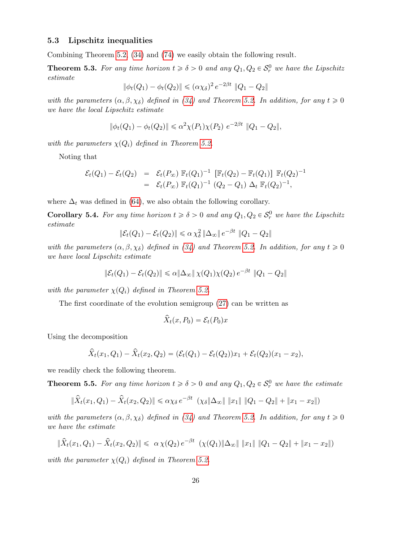### 5.3 Lipschitz inequalities

Combining Theorem 5.2, (34) and (74) we easily obtain the following result.

**Theorem 5.3.** For any time horizon  $t \ge \delta > 0$  and any  $Q_1, Q_2 \in S_r^0$  we have the Lipschitz estimate

$$
\|\phi_t(Q_1) - \phi_t(Q_2)\| \le (\alpha \chi_\delta)^2 e^{-2\beta t} \|Q_1 - Q_2\|
$$

with the parameters  $(\alpha, \beta, \chi_{\delta})$  defined in (34) and Theorem 5.2. In addition, for any  $t \geq 0$ we have the local Lipschitz estimate

$$
\|\phi_t(Q_1) - \phi_t(Q_2)\| \le \alpha^2 \chi(P_1) \chi(P_2) e^{-2\beta t} \|Q_1 - Q_2\|,
$$

with the parameters  $\chi(Q_i)$  defined in Theorem 5.2.

Noting that

$$
\mathcal{E}_t(Q_1) - \mathcal{E}_t(Q_2) = \mathcal{E}_t(P_{\infty}) \mathbb{F}_t(Q_1)^{-1} [\mathbb{F}_t(Q_2) - \mathbb{F}_t(Q_1)] \mathbb{F}_t(Q_2)^{-1}
$$
  
=  $\mathcal{E}_t(P_{\infty}) \mathbb{F}_t(Q_1)^{-1} (Q_2 - Q_1) \Delta_t \mathbb{F}_t(Q_2)^{-1},$ 

where  $\Delta_t$  was defined in (64), we also obtain the following corollary.

**Corollary 5.4.** For any time horizon  $t \ge \delta > 0$  and any  $Q_1, Q_2 \in S_r^0$  we have the Lipschitz estimate

$$
\|\mathcal{E}_t(Q_1) - \mathcal{E}_t(Q_2)\| \le \alpha \chi_\delta^2 \|\Delta_\infty\| e^{-\beta t} \|Q_1 - Q_2\|
$$

with the parameters  $(\alpha, \beta, \chi_{\delta})$  defined in (34) and Theorem 5.2. In addition, for any  $t \geq 0$ we have local Lipschitz estimate

$$
\|\mathcal{E}_t(Q_1) - \mathcal{E}_t(Q_2)\| \le \alpha \|\Delta_{\infty}\| \chi(Q_1)\chi(Q_2) e^{-\beta t} \|Q_1 - Q_2\|
$$

with the parameter  $\chi(Q_i)$  defined in Theorem 5.2.

The first coordinate of the evolution semigroup (27) can be written as

$$
\widehat{X}_t(x, P_0) = \mathcal{E}_t(P_0)x
$$

Using the decomposition

$$
\hat{X}_t(x_1, Q_1) - \hat{X}_t(x_2, Q_2) = (\mathcal{E}_t(Q_1) - \mathcal{E}_t(Q_2))x_1 + \mathcal{E}_t(Q_2)(x_1 - x_2),
$$

we readily check the following theorem.

**Theorem 5.5.** For any time horizon  $t \ge \delta > 0$  and any  $Q_1, Q_2 \in S_r^0$  we have the estimate

$$
\|\hat{X}_t(x_1, Q_1) - \hat{X}_t(x_2, Q_2)\| \le \alpha \chi_\delta e^{-\beta t} \ (\chi_\delta \|\Delta_\infty\| \|x_1\| \|Q_1 - Q_2\| + \|x_1 - x_2\|)
$$

with the parameters  $(\alpha, \beta, \chi_{\delta})$  defined in (34) and Theorem 5.2. In addition, for any  $t \geq 0$ we have the estimate

$$
\|\hat{X}_t(x_1, Q_1) - \hat{X}_t(x_2, Q_2)\| \leq \alpha \chi(Q_2) e^{-\beta t} \left( \chi(Q_1) \|\Delta_{\infty}\| \|x_1\| \|Q_1 - Q_2\| + \|x_1 - x_2\| \right)
$$

with the parameter  $\chi(Q_i)$  defined in Theorem 5.2.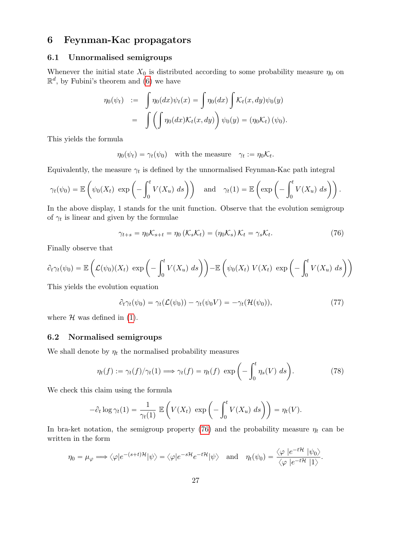# 6 Feynman-Kac propagators

### 6.1 Unnormalised semigroups

Whenever the initial state  $X_0$  is distributed according to some probability measure  $\eta_0$  on  $\mathbb{R}^d$ , by Fubini's theorem and (6) we have

$$
\eta_0(\psi_t) := \int \eta_0(dx)\psi_t(x) = \int \eta_0(dx) \int \mathcal{K}_t(x, dy)\psi_0(y)
$$
  
= 
$$
\int \left(\int \eta_0(dx)\mathcal{K}_t(x, dy)\right)\psi_0(y) = (\eta_0\mathcal{K}_t) (\psi_0).
$$

This yields the formula

$$
\eta_0(\psi_t) = \gamma_t(\psi_0)
$$
 with the measure  $\gamma_t := \eta_0 \mathcal{K}_t$ .

Equivalently, the measure  $\gamma_t$  is defined by the unnormalised Feynman-Kac path integral

$$
\gamma_t(\psi_0) = \mathbb{E}\left(\psi_0(X_t) \exp\left(-\int_0^t V(X_u) \ ds\right)\right) \quad \text{and} \quad \gamma_t(1) = \mathbb{E}\left(\exp\left(-\int_0^t V(X_u) \ ds\right)\right).
$$

In the above display, 1 stands for the unit function. Observe that the evolution semigroup of  $\gamma_t$  is linear and given by the formulae

$$
\gamma_{t+s} = \eta_0 \mathcal{K}_{s+t} = \eta_0 \left( \mathcal{K}_s \mathcal{K}_t \right) = \left( \eta_0 \mathcal{K}_s \right) \mathcal{K}_t = \gamma_s \mathcal{K}_t. \tag{76}
$$

Finally observe that

$$
\partial_t \gamma_t(\psi_0) = \mathbb{E}\left(\mathcal{L}(\psi_0)(X_t) \exp\left(-\int_0^t V(X_u) \, ds\right)\right) - \mathbb{E}\left(\psi_0(X_t) \ V(X_t) \exp\left(-\int_0^t V(X_u) \, ds\right)\right)
$$

This yields the evolution equation

$$
\partial_t \gamma_t(\psi_0) = \gamma_t(\mathcal{L}(\psi_0)) - \gamma_t(\psi_0 V) = -\gamma_t(\mathcal{H}(\psi_0)),\tag{77}
$$

where  $H$  was defined in (1).

### 6.2 Normalised semigroups

We shall denote by  $\eta_t$  the normalised probability measures

$$
\eta_t(f) := \gamma_t(f)/\gamma_t(1) \Longrightarrow \gamma_t(f) = \eta_t(f) \, \exp\left(-\int_0^t \eta_s(V) \, ds\right). \tag{78}
$$

We check this claim using the formula

$$
-\partial_t \log \gamma_t(1) = \frac{1}{\gamma_t(1)} \mathbb{E}\left(V(X_t) \exp\left(-\int_0^t V(X_u) \, ds\right)\right) = \eta_t(V).
$$

In bra-ket notation, the semigroup property (76) and the probability measure  $\eta_t$  can be written in the form

$$
\eta_0 = \mu_{\varphi} \Longrightarrow \langle \varphi | e^{-(s+t)\mathcal{H}} | \psi \rangle = \langle \varphi | e^{-s\mathcal{H}} e^{-t\mathcal{H}} | \psi \rangle \quad \text{and} \quad \eta_t(\psi_0) = \frac{\langle \varphi | e^{-t\mathcal{H}} | \psi_0 \rangle}{\langle \varphi | e^{-t\mathcal{H}} | 1 \rangle}.
$$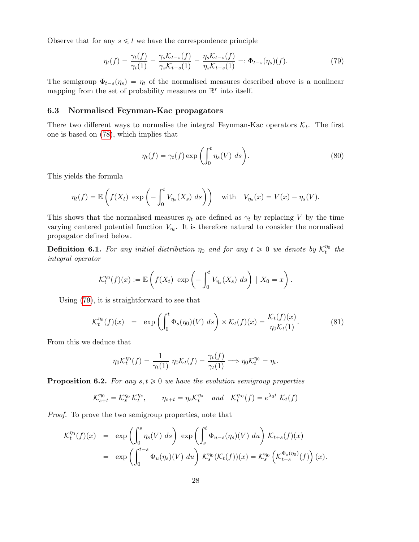Observe that for any  $s \leq t$  we have the correspondence principle

$$
\eta_t(f) = \frac{\gamma_t(f)}{\gamma_t(1)} = \frac{\gamma_s \mathcal{K}_{t-s}(f)}{\gamma_s \mathcal{K}_{t-s}(1)} = \frac{\eta_s \mathcal{K}_{t-s}(f)}{\eta_s \mathcal{K}_{t-s}(1)} =: \Phi_{t-s}(\eta_s)(f). \tag{79}
$$

The semigroup  $\Phi_{t-s}(\eta_s) = \eta_t$  of the normalised measures described above is a nonlinear mapping from the set of probability measures on  $\mathbb{R}^r$  into itself.

### 6.3 Normalised Feynman-Kac propagators

There two different ways to normalise the integral Feynman-Kac operators  $\mathcal{K}_t$ . The first one is based on (78), which implies that

$$
\eta_t(f) = \gamma_t(f) \exp\left(\int_0^t \eta_s(V) \, ds\right). \tag{80}
$$

This yields the formula

$$
\eta_t(f) = \mathbb{E}\left(f(X_t) \exp\left(-\int_0^t V_{\eta_s}(X_s) \ ds\right)\right) \quad \text{with} \quad V_{\eta_s}(x) = V(x) - \eta_s(V).
$$

This shows that the normalised measures  $\eta_t$  are defined as  $\gamma_t$  by replacing V by the time varying centered potential function  $V_{\eta_t}$ . It is therefore natural to consider the normalised propagator defined below.

**Definition 6.1.** For any initial distribution  $\eta_0$  and for any  $t \ge 0$  we denote by  $\mathcal{K}_t^{\eta_0}$  the integral operator

$$
\mathcal{K}_t^{\eta_0}(f)(x) := \mathbb{E}\left(f(X_t) \exp\left(-\int_0^t V_{\eta_s}(X_s) \ ds\right) \mid X_0 = x\right).
$$

Using (79), it is straightforward to see that

$$
\mathcal{K}_t^{\eta_0}(f)(x) = \exp\left(\int_0^t \Phi_s(\eta_0)(V) \, ds\right) \times \mathcal{K}_t(f)(x) = \frac{\mathcal{K}_t(f)(x)}{\eta_0 \mathcal{K}_t(1)}.\tag{81}
$$

From this we deduce that

$$
\eta_0 \mathcal{K}_t^{\eta_0}(f) = \frac{1}{\gamma_t(1)} \eta_0 \mathcal{K}_t(f) = \frac{\gamma_t(f)}{\gamma_t(1)} \Longrightarrow \eta_0 \mathcal{K}_t^{\eta_0} = \eta_t.
$$

**Proposition 6.2.** For any  $s, t \geq 0$  we have the evolution semigroup properties

$$
\mathcal{K}_{s+t}^{\eta_0} = \mathcal{K}_s^{\eta_0} \mathcal{K}_t^{\eta_s}, \qquad \eta_{s+t} = \eta_s \mathcal{K}_t^{\eta_s} \quad and \quad \mathcal{K}_t^{\eta_\infty}(f) = e^{\lambda_0 t} \mathcal{K}_t(f)
$$

Proof. To prove the two semigroup properties, note that

$$
\mathcal{K}_t^{\eta_0}(f)(x) = \exp\left(\int_0^s \eta_s(V) ds\right) \exp\left(\int_s^t \Phi_{u-s}(\eta_s)(V) du\right) \mathcal{K}_{t+s}(f)(x)
$$
  

$$
= \exp\left(\int_0^{t-s} \Phi_u(\eta_s)(V) du\right) \mathcal{K}_s^{\eta_0}(\mathcal{K}_t(f))(x) = \mathcal{K}_s^{\eta_0}\left(\mathcal{K}_{t-s}^{\Phi_s(\eta_0)}(f)\right)(x).
$$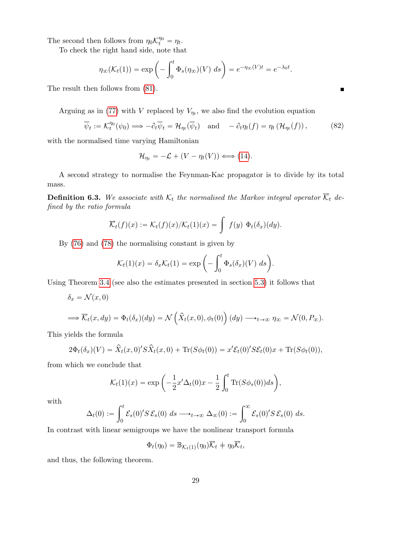The second then follows from  $\eta_0 \mathcal{K}_t^{\eta_0} = \eta_t$ .

To check the right hand side, note that

$$
\eta_{\infty}(\mathcal{K}_t(1)) = \exp\left(-\int_0^t \Phi_s(\eta_{\infty})(V) \ ds\right) = e^{-\eta_{\infty}(V)t} = e^{-\lambda_0 t}.
$$

The result then follows from (81).

Arguing as in (77) with V replaced by  $V_{\eta_t}$ , we also find the evolution equation

$$
\overline{\psi}_t := \mathcal{K}_t^{\eta_0}(\psi_0) \Longrightarrow -\partial_t \overline{\psi}_t = \mathcal{H}_{\eta_t}(\overline{\psi}_t) \quad \text{and} \quad -\partial_t \eta_t(f) = \eta_t \left( \mathcal{H}_{\eta_t}(f) \right), \tag{82}
$$

with the normalised time varying Hamiltonian

$$
\mathcal{H}_{\eta_t} = -\mathcal{L} + (V - \eta_t(V)) \Longleftrightarrow (14).
$$

A second strategy to normalise the Feynman-Kac propagator is to divide by its total mass.

**Definition 6.3.** We associate with  $K_t$  the normalised the Markov integral operator  $\overline{K}_t$  defined by the ratio formula

$$
\overline{\mathcal{K}}_t(f)(x) := \mathcal{K}_t(f)(x) / \mathcal{K}_t(1)(x) = \int f(y) \Phi_t(\delta_x)(dy).
$$

By (76) and (78) the normalising constant is given by

$$
\mathcal{K}_t(1)(x) = \delta_x \mathcal{K}_t(1) = \exp\left(-\int_0^t \Phi_s(\delta_x)(V) \ ds\right).
$$

Using Theorem 3.4 (see also the estimates presented in section 5.3) it follows that

$$
\delta_x = \mathcal{N}(x,0)
$$

$$
\Longrightarrow \overline{\mathcal{K}}_t(x,dy) = \Phi_t(\delta_x)(dy) = \mathcal{N}\left(\hat{X}_t(x,0), \phi_t(0)\right)(dy) \longrightarrow_{t \to \infty} \eta_{\infty} = \mathcal{N}(0,P_{\infty}).
$$

This yields the formula

$$
2\Phi_t(\delta_x)(V) = \hat{X}_t(x,0)'S\hat{X}_t(x,0) + \text{Tr}(S\phi_t(0)) = x'\mathcal{E}_t(0)'S\mathcal{E}_t(0)x + \text{Tr}(S\phi_t(0)),
$$

from which we conclude that

$$
\mathcal{K}_t(1)(x) = \exp\left(-\frac{1}{2}x'\Delta_t(0)x - \frac{1}{2}\int_0^t \text{Tr}(S\phi_s(0))ds\right),
$$

with

$$
\Delta_t(0) := \int_0^t \mathcal{E}_s(0)' S \, \mathcal{E}_s(0) \, ds \longrightarrow_{t \to \infty} \Delta_{\infty}(0) := \int_0^{\infty} \mathcal{E}_s(0)' S \, \mathcal{E}_s(0) \, ds.
$$

In contrast with linear semigroups we have the nonlinear transport formula

$$
\Phi_t(\eta_0) = \mathbb{B}_{\mathcal{K}_t(1)}(\eta_0)\overline{\mathcal{K}}_t + \eta_0 \overline{\mathcal{K}}_t,
$$

and thus, the following theorem.

 $\blacksquare$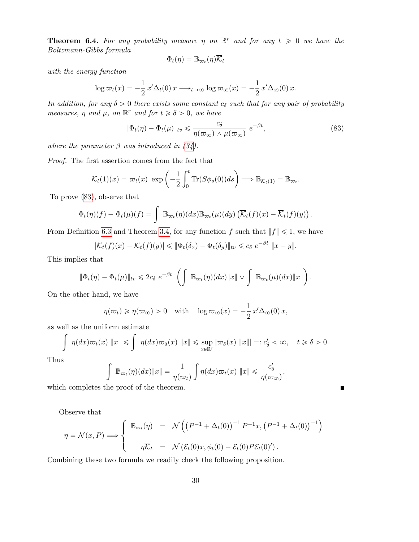**Theorem 6.4.** For any probability measure  $\eta$  on  $\mathbb{R}^r$  and for any  $t \geq 0$  we have the Boltzmann-Gibbs formula

$$
\Phi_t(\eta) = \mathbb{B}_{\varpi_t}(\eta) \overline{\mathcal{K}}_t
$$

with the energy function

$$
\log \varpi_t(x) = -\frac{1}{2} x' \Delta_t(0) x \longrightarrow_{t \to \infty} \log \varpi_{\infty}(x) = -\frac{1}{2} x' \Delta_{\infty}(0) x.
$$

In addition, for any  $\delta > 0$  there exists some constant  $c_{\delta}$  such that for any pair of probability measures,  $\eta$  and  $\mu$ , on  $\mathbb{R}^r$  and for  $t \geq \delta > 0$ , we have

$$
\|\Phi_t(\eta) - \Phi_t(\mu)\|_{\text{tv}} \leq \frac{c_\delta}{\eta(\varpi_\infty) \wedge \mu(\varpi_\infty)} e^{-\beta t},\tag{83}
$$

where the parameter  $\beta$  was introduced in (34).

Proof. The first assertion comes from the fact that

$$
\mathcal{K}_t(1)(x) = \varpi_t(x) \exp\left(-\frac{1}{2} \int_0^t \text{Tr}(S\phi_s(0))ds\right) \Longrightarrow \mathbb{B}_{\mathcal{K}_t(1)} = \mathbb{B}_{\varpi_t}.
$$

To prove (83), observe that

$$
\Phi_t(\eta)(f) - \Phi_t(\mu)(f) = \int \mathbb{B}_{\varpi_t}(\eta)(dx) \mathbb{B}_{\varpi_t}(\mu)(dy) \left( \overline{\mathcal{K}}_t(f)(x) - \overline{\mathcal{K}}_t(f)(y) \right).
$$

From Definition 6.3 and Theorem 3.4, for any function f such that  $||f|| \leq 1$ , we have

$$
|\overline{\mathcal{K}}_t(f)(x) - \overline{\mathcal{K}}_t(f)(y)| \leq \|\Phi_t(\delta_x) - \Phi_t(\delta_y)\|_{\text{tv}} \leq c_\delta \ e^{-\beta t} \|x - y\|.
$$

This implies that

$$
\|\Phi_t(\eta)-\Phi_t(\mu)\|_{tv}\leqslant 2c_{\delta} e^{-\beta t}\left(\int \mathbb{B}_{\varpi_t}(\eta)(dx)\|x\|\vee \int \mathbb{B}_{\varpi_t}(\mu)(dx)\|x\|\right).
$$

On the other hand, we have

$$
\eta(\varpi_t) \geqslant \eta(\varpi_{\infty}) > 0
$$
 with  $\log \varpi_{\infty}(x) = -\frac{1}{2}x' \Delta_{\infty}(0) x$ ,

as well as the uniform estimate  
\n
$$
\int \eta(dx)\varpi_t(x) \|x\| \leq \int \eta(dx)\varpi_\delta(x) \|x\| \leq \sup_{x \in \mathbb{R}^r} |\varpi_\delta(x) \|x\| =: c'_\delta < \infty, \quad t \geq \delta > 0.
$$

Thus

$$
\int \mathbb{B}_{\varpi_t}(\eta)(dx)\|x\| = \frac{1}{\eta(\varpi_t)}\int \eta(dx)\varpi_t(x)\|x\| \leq \frac{c'_\delta}{\eta(\varpi_\infty)},
$$

 $\blacksquare$ 

which completes the proof of the theorem.

Observe that

$$
\eta = \mathcal{N}(x, P) \Longrightarrow \begin{cases} \mathbb{B}_{\varpi_t}(\eta) & = \mathcal{N}\left(\left(P^{-1} + \Delta_t(0)\right)^{-1} P^{-1} x, \left(P^{-1} + \Delta_t(0)\right)^{-1}\right) \\ \eta \overline{\mathcal{K}}_t & = \mathcal{N}\left(\mathcal{E}_t(0) x, \phi_t(0) + \mathcal{E}_t(0) P \mathcal{E}_t(0)'\right). \end{cases}
$$

Combining these two formula we readily check the following proposition.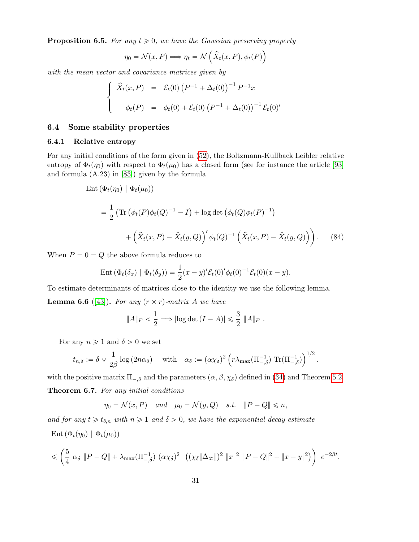**Proposition 6.5.** For any  $t \geq 0$ , we have the Gaussian preserving property

$$
\eta_0 = \mathcal{N}(x, P) \Longrightarrow \eta_t = \mathcal{N}\left(\hat{X}_t(x, P), \phi_t(P)\right)
$$

with the mean vector and covariance matrices given by \$

$$
\begin{cases}\n\hat{X}_t(x, P) = \mathcal{E}_t(0) (P^{-1} + \Delta_t(0))^{-1} P^{-1}x \\
\phi_t(P) = \phi_t(0) + \mathcal{E}_t(0) (P^{-1} + \Delta_t(0))^{-1} \mathcal{E}_t(0)'\n\end{cases}
$$

#### 6.4 Some stability properties

### 6.4.1 Relative entropy

For any initial conditions of the form given in (52), the Boltzmann-Kullback Leibler relative entropy of  $\Phi_t(\eta_0)$  with respect to  $\Phi_t(\mu_0)$  has a closed form (see for instance the article [93] and formula (A.23) in [83]) given by the formula

Ent 
$$
(\Phi_t(\eta_0) | \Phi_t(\mu_0))
$$
  
\n
$$
= \frac{1}{2} \left( \text{Tr} \left( \phi_t(P) \phi_t(Q)^{-1} - I \right) + \log \det \left( \phi_t(Q) \phi_t(P)^{-1} \right) + \left( \hat{X}_t(x, P) - \hat{X}_t(y, Q) \right)' \phi_t(Q)^{-1} \left( \hat{X}_t(x, P) - \hat{X}_t(y, Q) \right) \right). \tag{84}
$$

When  $P = 0 = Q$  the above formula reduces to

$$
\operatorname{Ent}(\Phi_t(\delta_x) \mid \Phi_t(\delta_y)) = \frac{1}{2}(x-y)'\mathcal{E}_t(0)'\phi_t(0)^{-1}\mathcal{E}_t(0)(x-y).
$$

To estimate determinants of matrices close to the identity we use the following lemma. **Lemma 6.6** ([43]). For any  $(r \times r)$ -matrix A we have

$$
||A||_F < \frac{1}{2} \Longrightarrow |\log \det (I - A)| \leq \frac{3}{2} ||A||_F.
$$

For any  $n \geq 1$  and  $\delta > 0$  we set

$$
t_{n,\delta} := \delta \vee \frac{1}{2\beta} \log (2n\alpha_{\delta})
$$
 with  $\alpha_{\delta} := (\alpha \chi_{\delta})^2 \left( r \lambda_{\max}(\Pi_{-,\delta}^{-1}) \operatorname{Tr}(\Pi_{-,\delta}^{-1}) \right)^{1/2}$ .

with the positive matrix  $\Pi_{-\delta}$  and the parameters  $(\alpha, \beta, \chi_{\delta})$  defined in (34) and Theorem 5.2. Theorem 6.7. For any initial conditions

$$
\eta_0 = \mathcal{N}(x, P)
$$
 and  $\mu_0 = \mathcal{N}(y, Q)$  s.t.  $||P - Q|| \le n$ ,

and for any  $t \geq t_{\delta,n}$  with  $n \geq 1$  and  $\delta > 0$ , we have the exponential decay estimate Ent  $(\Phi_t(\eta_0) | \Phi_t(\mu_0))$ 

$$
\leq \left(\frac{5}{4} \alpha_{\delta} \|P-Q\| + \lambda_{\max}(\Pi_{-,\delta}^{-1}) (\alpha \chi_{\delta})^2 ((\chi_{\delta} \|\Delta_{\infty}\|)^2 \|x\|^2 \|P-Q\|^2 + \|x-y\|^2)\right) e^{-2\beta t}.
$$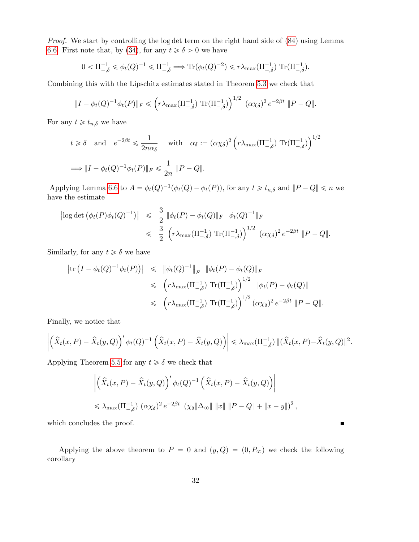Proof. We start by controlling the log det term on the right hand side of (84) using Lemma 6.6. First note that, by (34), for any  $t \ge \delta > 0$  we have

$$
0 < \Pi_{+,\delta}^{-1} \leq \phi_t(Q)^{-1} \leq \Pi_{-,\delta}^{-1} \Longrightarrow \text{Tr}(\phi_t(Q)^{-2}) \leq r \lambda_{\max}(\Pi_{-,\delta}^{-1}) \text{ Tr}(\Pi_{-,\delta}^{-1}).
$$

Combining this with the Lipschitz estimates stated in Theorem 5.3 we check that

$$
||I - \phi_t(Q)^{-1} \phi_t(P)||_F \leq \left( r \lambda_{\max}(\Pi_{-,\delta}^{-1}) \operatorname{Tr}(\Pi_{-,\delta}^{-1}) \right)^{1/2} (\alpha \chi_{\delta})^2 e^{-2\beta t} ||P - Q||.
$$

For any  $t \geq t_{n,\delta}$  we have

$$
t \ge \delta
$$
 and  $e^{-2\beta t} \le \frac{1}{2n\alpha_{\delta}}$  with  $\alpha_{\delta} := (\alpha \chi_{\delta})^2 \left( r \lambda_{\max} (\Pi_{-\delta}^{-1}) \operatorname{Tr}(\Pi_{-\delta}^{-1}) \right)^{1/2}$   
\n $\implies ||I - \phi_t(Q)^{-1} \phi_t(P)||_F \le \frac{1}{2n} ||P - Q||.$ 

Applying Lemma 6.6 to  $A = \phi_t(Q)^{-1}(\phi_t(Q) - \phi_t(P))$ , for any  $t \geq t_{n,\delta}$  and  $||P - Q|| \leq n$  we have the estimate

$$
\begin{array}{rcl} \left| \log \det \left( \phi_t(P) \phi_t(Q)^{-1} \right) \right| & \leqslant & \frac{3}{2} \, \left\| \phi_t(P) - \phi_t(Q) \right\|_F \, \left\| \phi_t(Q)^{-1} \right\|_F \\ & \leqslant & \frac{3}{2} \, \left( r \lambda_{\max}(\Pi_{-,\delta}^{-1}) \, \operatorname{Tr}(\Pi_{-,\delta}^{-1}) \right)^{1/2} \, \left( \alpha \chi_{\delta} \right)^2 e^{-2\beta t} \, \left\| P - Q \right\|. \end{array}
$$

Similarly, for any  $t \geq \delta$  we have

$$
\begin{array}{rcl} \left| \text{tr} \left( I - \phi_t(Q)^{-1} \phi_t(P) \right) \right| & \leqslant & \left\| \phi_t(Q)^{-1} \right\|_F & \left\| \phi_t(P) - \phi_t(Q) \right\|_F \\ & \leqslant & \left( r \lambda_{\max}(\Pi_{-, \delta}^{-1}) \operatorname{Tr}(\Pi_{-, \delta}^{-1}) \right)^{1/2} & \left\| \phi_t(P) - \phi_t(Q) \right\| \\ & \leqslant & \left( r \lambda_{\max}(\Pi_{-, \delta}^{-1}) \operatorname{Tr}(\Pi_{-, \delta}^{-1}) \right)^{1/2} (\alpha \chi_{\delta})^2 \, e^{-2\beta t} & \left\| P - Q \right\|. \end{array}
$$

Finally, we notice that

$$
\left| \left( \hat{X}_t(x,P) - \hat{X}_t(y,Q) \right)' \phi_t(Q)^{-1} \left( \hat{X}_t(x,P) - \hat{X}_t(y,Q) \right) \right| \leq \lambda_{\max}(\Pi_{-,\delta}^{-1}) ||(\hat{X}_t(x,P) - \hat{X}_t(y,Q)||^2.
$$

Applying Theorem 5.5 for any  $t \geq \delta$  we check that

$$
\left| \left( \hat{X}_t(x, P) - \hat{X}_t(y, Q) \right)' \phi_t(Q)^{-1} \left( \hat{X}_t(x, P) - \hat{X}_t(y, Q) \right) \right|
$$
  
\$\leq \lambda\_{\max}(\Pi\_{-, \delta}^{-1}) \ (\alpha \chi\_{\delta})^2 e^{-2\beta t} \ (\chi\_{\delta} \|\Delta\_{\infty}\| \|x\| \|P - Q\| + \|x - y\|)^2,

which concludes the proof.

Applying the above theorem to  $P = 0$  and  $(y, Q) = (0, P_{\infty})$  we check the following corollary

 $\blacksquare$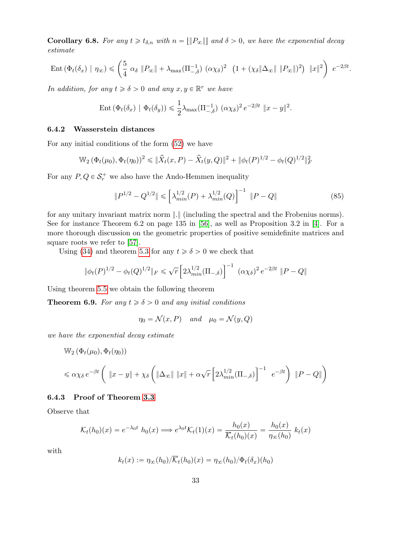**Corollary 6.8.** For any  $t \geq t_{\delta,n}$  with  $n = ||P_{\infty}||$  and  $\delta > 0$ , we have the exponential decay estimate

$$
\operatorname{Ent}\left(\Phi_t(\delta_x) \mid \eta_\infty\right) \leqslant \left(\frac{5}{4} \alpha_\delta \left\|P_\infty\right\| + \lambda_{\max}(\Pi_{-,\delta}^{-1}) \left(\alpha \chi_\delta\right)^2 \left(1 + \left(\chi_\delta \|\Delta_\infty\| \left\|P_\infty\right\|\right)^2\right) \left\|x\right\|^2\right) e^{-2\beta t}.
$$

In addition, for any  $t \ge \delta > 0$  and any  $x, y \in \mathbb{R}^r$  we have

Ent 
$$
(\Phi_t(\delta_x) | \Phi_t(\delta_y)) \leq \frac{1}{2} \lambda_{\max}(\Pi_{-\delta}^{-1}) (\alpha \chi_{\delta})^2 e^{-2\beta t} ||x - y||^2
$$
.

### 6.4.2 Wasserstein distances

For any initial conditions of the form (52) we have

$$
\mathbb{W}_2(\Phi_t(\mu_0), \Phi_t(\eta_0))^2 \leq \|\hat{X}_t(x, P) - \hat{X}_t(y, Q)\|^2 + \|\phi_t(P)^{1/2} - \phi_t(Q)^{1/2}\|^2_F
$$

For any  $P, Q \in \mathcal{S}_r^+$  we also have the Ando-Hemmen inequality

$$
||P^{1/2} - Q^{1/2}|| \le \left[\lambda_{min}^{1/2}(P) + \lambda_{min}^{1/2}(Q)\right]^{-1} ||P - Q|| \qquad (85)
$$

for any unitary invariant matrix norm }.} (including the spectral and the Frobenius norms). See for instance Theorem 6.2 on page 135 in  $[56]$ , as well as Proposition 3.2 in [4]. For a more thorough discussion on the geometric properties of positive semidefinite matrices and square roots we refer to [57].

Using (34) and theorem 5.3 for any  $t \ge \delta > 0$  we check that

$$
\|\phi_t(P)^{1/2} - \phi_t(Q)^{1/2}\|_F \le \sqrt{r} \left[2\lambda_{min}^{1/2}(\Pi_{-,\delta})\right]^{-1} (\alpha \chi_{\delta})^2 e^{-2\beta t} \|P - Q\|
$$

Using theorem 5.5 we obtain the following theorem

**Theorem 6.9.** For any  $t \ge \delta > 0$  and any initial conditions

 $\eta_0 = \mathcal{N}(x, P)$  and  $\mu_0 = \mathcal{N}(y, Q)$ 

we have the exponential decay estimate

$$
\mathbb{W}_{2}(\Phi_{t}(\mu_{0}), \Phi_{t}(\eta_{0}))
$$
\n
$$
\leq \alpha \chi_{\delta} e^{-\beta t} \left( \|x - y\| + \chi_{\delta} \left( \|\Delta_{\infty}\| \|x\| + \alpha \sqrt{r} \left[ 2\lambda_{\min}^{1/2} (\Pi_{-,\delta}) \right]^{-1} e^{-\beta t} \right) \|P - Q\| \right)
$$

### 6.4.3 Proof of Theorem 3.3

Observe that

$$
\mathcal{K}_t(h_0)(x) = e^{-\lambda_0 t} h_0(x) \Longrightarrow e^{\lambda_0 t} \mathcal{K}_t(1)(x) = \frac{h_0(x)}{\overline{\mathcal{K}}_t(h_0)(x)} = \frac{h_0(x)}{\eta_\infty(h_0)} k_t(x)
$$

with

$$
k_t(x) := \eta_\infty(h_0)/\overline{\mathcal{K}}_t(h_0)(x) = \eta_\infty(h_0)/\Phi_t(\delta_x)(h_0)
$$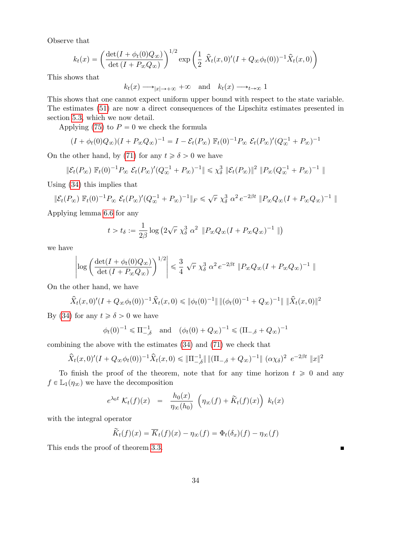Observe that

$$
k_t(x) = \left(\frac{\det(I + \phi_t(0)Q_{\infty})}{\det(I + P_{\infty}Q_{\infty})}\right)^{1/2} \exp\left(\frac{1}{2}\hat{X}_t(x,0)'(I + Q_{\infty}\phi_t(0))^{-1}\hat{X}_t(x,0)\right)
$$

This shows that

$$
k_t(x) \longrightarrow_{|x| \to +\infty} +\infty
$$
 and  $k_t(x) \longrightarrow_{t \to \infty} 1$ 

This shows that one cannot expect uniform upper bound with respect to the state variable. The estimates (51) are now a direct consequences of the Lipschitz estimates presented in section 5.3, which we now detail.

Applying (75) to  $P = 0$  we check the formula

$$
(I + \phi_t(0)Q_\infty)(I + P_\infty Q_\infty)^{-1} = I - \mathcal{E}_t(P_\infty) \mathbb{F}_t(0)^{-1} P_\infty \mathcal{E}_t(P_\infty)' (Q_\infty^{-1} + P_\infty)^{-1}
$$

On the other hand, by (71) for any  $t \ge \delta > 0$  we have

$$
\|\mathcal{E}_t(P_\infty)\ \mathbb{F}_t(0)^{-1} P_\infty\ \mathcal{E}_t(P_\infty)' (Q_\infty^{-1} + P_\infty)^{-1} \| \leq \chi_\delta^3 \ \|\mathcal{E}_t(P_\infty)\|^2 \ \|P_\infty (Q_\infty^{-1} + P_\infty)^{-1} \|
$$

Using (34) this implies that

$$
\|\mathcal{E}_t(P_\infty)\ \mathbb{F}_t(0)^{-1} P_\infty\ \mathcal{E}_t(P_\infty)' (Q_\infty^{-1} + P_\infty)^{-1} \|_F \leq \sqrt{r} \ \chi_\delta^3\ \alpha^2 \, e^{-2\beta t} \ \| P_\infty Q_\infty (I + P_\infty Q_\infty)^{-1} \ \|_F^2
$$

Applying lemma 6.6 for any

$$
t > t_{\delta} := \frac{1}{2\beta} \log \left( 2\sqrt{r} \ \chi_{\delta}^3 \ \alpha^2 \ \| P_{\infty} Q_{\infty} (I + P_{\infty} Q_{\infty})^{-1} \ \| \right)
$$

we have

$$
\left|\log\left(\frac{\det(I+\phi_t(0)Q_\infty)}{\det\left(I+P_\infty Q_\infty\right)}\right)^{1/2}\right|\leqslant \frac{3}{4}\,\sqrt{r}\;\chi_\delta^3\;\alpha^2\,e^{-2\beta t}\,\left\|P_\infty Q_\infty (I+P_\infty Q_\infty)^{-1}\;\right\|
$$

On the other hand, we have

$$
\hat{X}_t(x,0)'(I+Q_{\infty}\phi_t(0))^{-1}\hat{X}_t(x,0) \leq \|\phi_t(0)^{-1}\| \left\|(\phi_t(0)^{-1}+Q_{\infty})^{-1}\right\| \|\hat{X}_t(x,0)\|^2
$$

By (34) for any  $t \ge \delta > 0$  we have

$$
\phi_t(0)^{-1} \le \Pi_{-\delta}^{-1}
$$
 and  $(\phi_t(0) + Q_{\infty})^{-1} \le (\Pi_{-\delta} + Q_{\infty})^{-1}$ 

combining the above with the estimates (34) and (71) we check that

$$
\hat{X}_t(x,0)'(I+Q_{\infty}\phi_t(0))^{-1}\hat{X}_t(x,0) \leq \|\Pi_{-,\delta}^{-1}\| \|\Pi_{-,\delta} + Q_{\infty})^{-1}\| (\alpha \chi_{\delta})^2 e^{-2\beta t} \|x\|^2
$$

To finish the proof of the theorem, note that for any time horizon  $t \geq 0$  and any  $f \in \mathbb{L}_1(\eta_\infty)$  we have the decomposition

$$
e^{\lambda_0 t} \mathcal{K}_t(f)(x) = \frac{h_0(x)}{\eta_\infty(h_0)} \left( \eta_\infty(f) + \widetilde{K}_t(f)(x) \right) k_t(x)
$$

with the integral operator

$$
\widetilde{K}_t(f)(x) = \overline{K}_t(f)(x) - \eta_{\infty}(f) = \Phi_t(\delta_x)(f) - \eta_{\infty}(f)
$$

This ends the proof of theorem 3.3.

 $\blacksquare$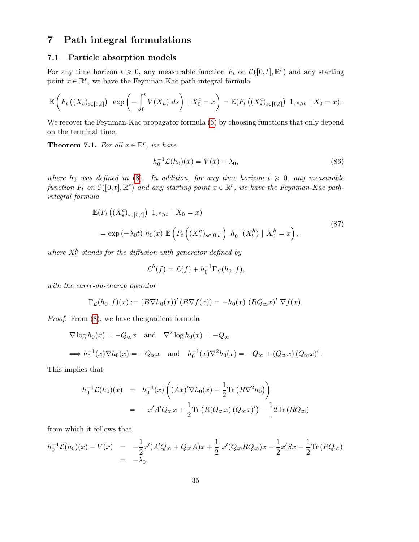# 7 Path integral formulations

### 7.1 Particle absorption models

For any time horizon  $t \geq 0$ , any measurable function  $F_t$  on  $\mathcal{C}([0, t], \mathbb{R}^r)$  and any starting point  $x \in \mathbb{R}^r$ , we have the Feynman-Kac path-integral formula

$$
\mathbb{E}\left(F_t\left((X_s)_{s\in[0,t]}\right) \exp\left(-\int_0^t V(X_u) \ ds\right) \mid X_0^c = x\right) = \mathbb{E}(F_t\left((X_s^c)_{s\in[0,t]}\right) \ 1_{\tau^c \geq t} \mid X_0 = x).
$$

We recover the Feynman-Kac propagator formula  $(6)$  by choosing functions that only depend on the terminal time.

**Theorem 7.1.** For all  $x \in \mathbb{R}^r$ , we have

$$
h_0^{-1}\mathcal{L}(h_0)(x) = V(x) - \lambda_0,\tag{86}
$$

where  $h_0$  was defined in (8). In addition, for any time horizon  $t \geq 0$ , any measurable function  $F_t$  on  $\mathcal{C}([0, t], \mathbb{R}^r)$  and any starting point  $x \in \mathbb{R}^r$ , we have the Feynman-Kac pathintegral formula

$$
\mathbb{E}(F_t\left((X_s^c)_{s\in[0,t]}\right) 1_{\tau^c \geq t} | X_0 = x)
$$
\n
$$
= \exp\left(-\lambda_0 t\right) h_0(x) \mathbb{E}\left(F_t\left((X_s^h)_{s\in[0,t]}\right) h_0^{-1}(X_t^h) | X_0^h = x\right),
$$
\n(87)

where  $X_t^h$  stands for the diffusion with generator defined by

$$
\mathcal{L}^h(f) = \mathcal{L}(f) + h_0^{-1} \Gamma_{\mathcal{L}}(h_0, f),
$$

with the carré-du-champ operator

$$
\Gamma_{\mathcal{L}}(h_0, f)(x) := (B\nabla h_0(x))'(B\nabla f(x)) = -h_0(x) (RQ_{\infty}x)' \nabla f(x).
$$

Proof. From (8), we have the gradient formula

$$
\nabla \log h_0(x) = -Q_{\infty} x \text{ and } \nabla^2 \log h_0(x) = -Q_{\infty}
$$
  
\n
$$
\implies h_0^{-1}(x) \nabla h_0(x) = -Q_{\infty} x \text{ and } h_0^{-1}(x) \nabla^2 h_0(x) = -Q_{\infty} + (Q_{\infty} x) (Q_{\infty} x)'.
$$

This implies that

$$
h_0^{-1} \mathcal{L}(h_0)(x) = h_0^{-1}(x) \left( (Ax)' \nabla h_0(x) + \frac{1}{2} \text{Tr} (R \nabla^2 h_0) \right)
$$
  
=  $-x'A'Q_{\infty}x + \frac{1}{2} \text{Tr} (R(Q_{\infty}x) (Q_{\infty}x)') - \frac{1}{2} 2 \text{Tr} (RQ_{\infty})$ 

from which it follows that

$$
h_0^{-1} \mathcal{L}(h_0)(x) - V(x) = -\frac{1}{2}x'(A'Q_{\infty} + Q_{\infty}A)x + \frac{1}{2}x'(Q_{\infty}RQ_{\infty})x - \frac{1}{2}x'Sx - \frac{1}{2}\text{Tr}(RQ_{\infty})
$$
  
= -\lambda\_0,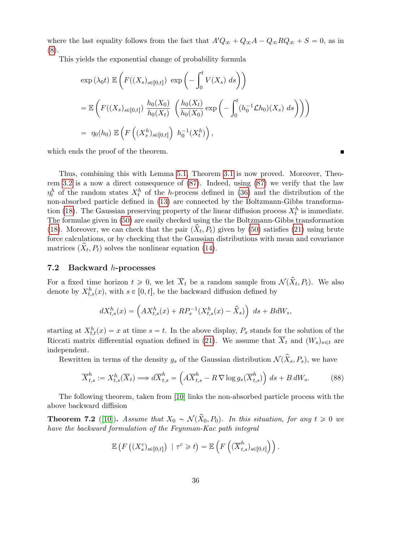where the last equality follows from the fact that  $A'Q_{\infty} + Q_{\infty}A - Q_{\infty}RQ_{\infty} + S = 0$ , as in (8).

This yields the exponential change of probability formula

$$
\exp(\lambda_0 t) \mathbb{E}\left(F((X_s)_{s\in[0,t]}) \exp\left(-\int_0^t V(X_s) ds\right)\right)
$$
  
= 
$$
\mathbb{E}\left(F((X_s)_{s\in[0,t]}) \frac{h_0(X_0)}{h_0(X_t)} \left(\frac{h_0(X_t)}{h_0(X_0)} \exp\left(-\int_0^t (h_0^{-1} \mathcal{L} h_0)(X_s) ds\right)\right)\right)
$$
  
= 
$$
\eta_0(h_0) \mathbb{E}\left(F\left((X_s^h)_{s\in[0,t]}\right) h_0^{-1}(X_t^h)\right),
$$

which ends the proof of the theorem.

Thus, combining this with Lemma 5.1, Theorem 3.1 is now proved. Moreover, Theorem 3.2 is a now a direct consequence of (87). Indeed, using (87) we verify that the law  $\eta_t^h$  of the random states  $X_t^h$  of the *h*-process defined in (36) and the distribution of the non-absorbed particle defined in (13) are connected by the Boltzmann-Gibbs transformation (18). The Gaussian preserving property of the linear diffusion process  $X_t^h$  is immediate. The formulae given in (50) are easily checked using the the Boltzmann-Gibbs transformation (18). Moreover, we can check that the pair  $(\hat{X}_t, P_t)$  given by (50) satisfies (21) using brute force calculations, or by checking that the Gaussian distributions with mean and covariance matrices  $(\hat{X}_t, P_t)$  solves the nonlinear equation (14).

#### 7.2 Backward h-processes

For a fixed time horizon  $t \geq 0$ , we let  $\overline{X}_t$  be a random sample from  $\mathcal{N}(\hat{X}_t, P_t)$ . We also denote by  $X_{t,s}^h(x)$ , with  $s \in [0, t]$ , be the backward diffusion defined by

$$
dX_{t,s}^{h}(x) = \left( AX_{t,s}^{h}(x) + RP_s^{-1}(X_{t,s}^{h}(x) - \hat{X}_s) \right) ds + BdW_s,
$$

starting at  $X_{t,t}^h(x) = x$  at time  $s = t$ . In the above display,  $P_s$  stands for the solution of the Riccati matrix differential equation defined in (21). We assume that  $\overline{X}_t$  and  $(W_s)_{s\leq t}$  are independent.

Rewritten in terms of the density  $g_s$  of the Gaussian distribution  $\mathcal{N}(\hat{X}_s, P_s)$ , we have

$$
\overline{X}_{t,s}^h := X_{t,s}^h(\overline{X}_t) \Longrightarrow d\overline{X}_{t,s}^h = \left(A\overline{X}_{t,s}^h - R\,\nabla \log g_s(\overline{X}_{t,s}^h)\right) ds + B\,dW_s. \tag{88}
$$

The following theorem, taken from [10] links the non-absorbed particle process with the above backward diffision

**Theorem 7.2** ([10]). Assume that  $X_0 \sim \mathcal{N}(\hat{X}_0, P_0)$ . In this situation, for any  $t \geq 0$  we have the backward formulation of the Feynman-Kac path integral

$$
\mathbb{E}\left(F\left((X_s^c)_{s\in[0,t]}\right) \mid \tau^c \geq t\right) = \mathbb{E}\left(F\left((\overline{X}_{t,s}^h)_{s\in[0,t]}\right)\right).
$$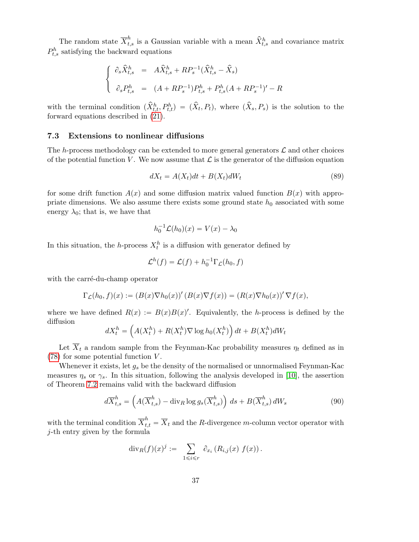The random state  $\overline{X}_{t,s}^h$  is a Gaussian variable with a mean  $\hat{X}_{t,s}^h$  and covariance matrix  $P_{t,s}^h$  satisfying the backward equations

$$
\begin{cases}\n\partial_s \widehat{X}_{t,s}^h = A \widehat{X}_{t,s}^h + R P_s^{-1} (\widehat{X}_{t,s}^h - \widehat{X}_s) \\
\partial_s P_{t,s}^h = (A + R P_s^{-1}) P_{t,s}^h + P_{t,s}^h (A + R P_s^{-1})' - R\n\end{cases}
$$

with the terminal condition  $(\hat{X}_{t,t}^h, P_{t,t}^h) = (\hat{X}_t, P_t)$ , where  $(\hat{X}_s, P_s)$  is the solution to the forward equations described in (21).

### 7.3 Extensions to nonlinear diffusions

The h-process methodology can be extended to more general generators  $\mathcal L$  and other choices of the potential function V. We now assume that  $\mathcal L$  is the generator of the diffusion equation

$$
dX_t = A(X_t)dt + B(X_t)dW_t
$$
\n(89)

for some drift function  $A(x)$  and some diffusion matrix valued function  $B(x)$  with appropriate dimensions. We also assume there exists some ground state  $h_0$  associated with some energy  $\lambda_0$ ; that is, we have that

$$
h_0^{-1}\mathcal{L}(h_0)(x) = V(x) - \lambda_0
$$

In this situation, the h-process  $X_t^h$  is a diffusion with generator defined by

$$
\mathcal{L}^h(f) = \mathcal{L}(f) + h_0^{-1} \Gamma_{\mathcal{L}}(h_0, f)
$$

with the carré-du-champ operator

$$
\Gamma_{\mathcal{L}}(h_0, f)(x) := (B(x)\nabla h_0(x))'(B(x)\nabla f(x)) = (R(x)\nabla h_0(x))'\nabla f(x),
$$

where we have defined  $R(x) := B(x)B(x)'$ . Equivalently, the h-process is defined by the diffusion

$$
dX_t^h = \left(A(X_t^h) + R(X_t^h)\nabla \log h_0(X_t^h)\right)dt + B(X_t^h)dW_t
$$

Let  $\overline{X}_t$  a random sample from the Feynman-Kac probability measures  $\eta_t$  defined as in (78) for some potential function V .

Whenever it exists, let  $g_s$  be the density of the normalised or unnormalised Feynman-Kac measures  $\eta_s$  or  $\gamma_s$ . In this situation, following the analysis developed in [10], the assertion of Theorem 7.2 remains valid with the backward diffusion

$$
d\overline{X}_{t,s}^h = \left(A(\overline{X}_{t,s}^h) - \operatorname{div}_R \log g_s(\overline{X}_{t,s}^h)\right) ds + B(\overline{X}_{t,s}^h) dW_s \tag{90}
$$

with the terminal condition  $\overline{X}_{t,t}^h = \overline{X}_t$  and the R-divergence m-column vector operator with j-th entry given by the formula

$$
\mathrm{div}_R(f)(x)^j := \sum_{1 \leqslant i \leqslant r} \partial_{x_i} (R_{i,j}(x) f(x)).
$$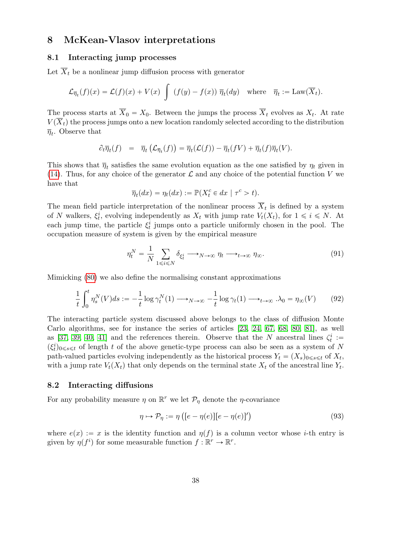## 8 McKean-Vlasov interpretations

### 8.1 Interacting jump processes

Let  $\overline{X}_t$  be a nonlinear jump diffusion process with generator

$$
\mathcal{L}_{\overline{\eta}_t}(f)(x) = \mathcal{L}(f)(x) + V(x) \int (f(y) - f(x)) \overline{\eta}_t(dy) \text{ where } \overline{\eta}_t := \text{Law}(\overline{X}_t).
$$

The process starts at  $X_0 = X_0$ . Between the jumps the process  $X_t$  evolves as  $X_t$ . At rate  $V(\overline{X}_t)$  the process jumps onto a new location randomly selected according to the distribution  $\overline{\eta}_t$ . Observe that

$$
\partial_t \overline{\eta}_t(f) = \overline{\eta}_t(\mathcal{L}_{\overline{\eta}_t}(f)) = \overline{\eta}_t(\mathcal{L}(f)) - \overline{\eta}_t(fV) + \overline{\eta}_t(f)\overline{\eta}_t(V).
$$

This shows that  $\overline{\eta}_t$  satisfies the same evolution equation as the one satisfied by  $\eta_t$  given in (14). Thus, for any choice of the generator  $\mathcal L$  and any choice of the potential function V we have that

$$
\overline{\eta}_t(dx) = \eta_t(dx) := \mathbb{P}(X_t^c \in dx \mid \tau^c > t).
$$

The mean field particle interpretation of the nonlinear process  $X_t$  is defined by a system of N walkers,  $\xi_t^i$ , evolving independently as  $X_t$  with jump rate  $V_t(X_t)$ , for  $1 \leq i \leq N$ . At each jump time, the particle  $\xi_t^i$  jumps onto a particle uniformly chosen in the pool. The occupation measure of system is given by the empirical measure

$$
\eta_t^N = \frac{1}{N} \sum_{1 \le i \le N} \delta_{\xi_t^i} \longrightarrow_{N \to \infty} \eta_t \longrightarrow_{t \to \infty} \eta_\infty.
$$
\n(91)

Mimicking (80) we also define the normalising constant approximations

$$
\frac{1}{t}\int_0^t \eta_s^N(V)ds := -\frac{1}{t}\log \gamma_t^N(1) \longrightarrow_{N \to \infty} -\frac{1}{t}\log \gamma_t(1) \longrightarrow_{t \to \infty} .\lambda_0 = \eta_\infty(V) \tag{92}
$$

The interacting particle system discussed above belongs to the class of diffusion Monte Carlo algorithms, see for instance the series of articles [23, 24, 67, 68, 80, 81], as well as [37, 39, 40, 41] and the references therein. Observe that the N ancestral lines  $\zeta_t^i$ :  $(\xi_t^i)_{0\leq s\leq t}$  of length t of the above genetic-type process can also be seen as a system of N path-valued particles evolving independently as the historical process  $Y_t = (X_s)_{0 \le s \le t}$  of  $X_t$ , with a jump rate  $V_t(X_t)$  that only depends on the terminal state  $X_t$  of the ancestral line  $Y_t$ .

### 8.2 Interacting diffusions

For any probability measure  $\eta$  on  $\mathbb{R}^r$  we let  $\mathcal{P}_{\eta}$  denote the  $\eta$ -covariance

$$
\eta \mapsto \mathcal{P}_{\eta} := \eta \left( [e - \eta(e)][e - \eta(e)]' \right) \tag{93}
$$

where  $e(x) := x$  is the identity function and  $\eta(f)$  is a column vector whose *i*-th entry is given by  $\eta(f^i)$  for some measurable function  $f : \mathbb{R}^r \to \mathbb{R}^r$ .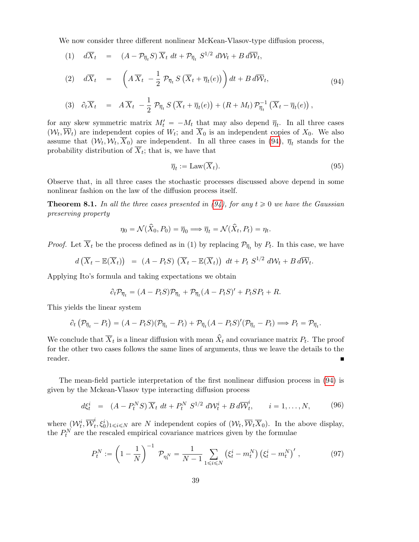We now consider three different nonlinear McKean-Vlasov-type diffusion process,

(1) 
$$
d\overline{X}_t = (A - \mathcal{P}_{\overline{\eta}_t} S) \overline{X}_t dt + \mathcal{P}_{\overline{\eta}_t} S^{1/2} d\mathcal{W}_t + B d\overline{\mathcal{W}}_t,
$$

(2) 
$$
d\overline{X}_t = \left(A\,\overline{X}_t - \frac{1}{2}\,\mathcal{P}_{\overline{\eta}_t}S\left(\overline{X}_t + \overline{\eta}_t(e)\right)\right)dt + B\,d\overline{\mathcal{W}}_t, \tag{94}
$$

$$
(3) \quad \partial_t \overline{X}_t = A \overline{X}_t - \frac{1}{2} \mathcal{P}_{\overline{\eta}_t} S\left(\overline{X}_t + \overline{\eta}_t(e)\right) + (R + M_t) \mathcal{P}_{\overline{\eta}_t}^{-1} \left(\overline{X}_t - \overline{\eta}_t(e)\right),
$$

for any skew symmetric matrix  $M'_t = -M_t$  that may also depend  $\bar{\eta}_t$ . In all three cases  $(W_t, \overline{W}_t)$  are independent copies of  $W_t$ ; and  $\overline{X}_0$  is an independent copies of  $X_0$ . We also assume that  $(W_t, W_t, X_0)$  are independent. In all three cases in (94),  $\overline{\eta}_t$  stands for the probability distribution of  $X_t$ ; that is, we have that

$$
\overline{\eta}_t := \text{Law}(\overline{X}_t). \tag{95}
$$

Observe that, in all three cases the stochastic processes discussed above depend in some nonlinear fashion on the law of the diffusion process itself.

**Theorem 8.1.** In all the three cases presented in (94), for any  $t \ge 0$  we have the Gaussian preserving property

$$
\eta_0 = \mathcal{N}(\hat{X}_0, P_0) = \overline{\eta}_0 \Longrightarrow \overline{\eta}_t = \mathcal{N}(\hat{X}_t, P_t) = \eta_t.
$$

*Proof.* Let  $\overline{X}_t$  be the process defined as in (1) by replacing  $\mathcal{P}_{\overline{\eta}_t}$  by  $P_t$ . In this case, we have

$$
d\left(\overline{X}_t - \mathbb{E}(\overline{X}_t)\right) = (A - P_t S)\left(\overline{X}_t - \mathbb{E}(\overline{X}_t)\right) dt + P_t S^{1/2} dW_t + B d\overline{W}_t.
$$

Applying Ito's formula and taking expectations we obtain

$$
\partial_t \mathcal{P}_{\overline{\eta}_t} = (A - P_t S) \mathcal{P}_{\overline{\eta}_t} + \mathcal{P}_{\overline{\eta}_t} (A - P_t S)' + P_t S P_t + R.
$$

This yields the linear system

$$
\partial_t \left( \mathcal{P}_{\overline{\eta}_t} - P_t \right) = (A - P_t S)(\mathcal{P}_{\overline{\eta}_t} - P_t) + \mathcal{P}_{\overline{\eta}_t} (A - P_t S)'(\mathcal{P}_{\overline{\eta}_t} - P_t) \Longrightarrow P_t = \mathcal{P}_{\overline{\eta}_t}.
$$

We conclude that  $\overline{X}_t$  is a linear diffusion with mean  $\hat{X}_t$  and covariance matrix  $P_t$ . The proof for the other two cases follows the same lines of arguments, thus we leave the details to the reader.  $\blacksquare$ 

The mean-field particle interpretation of the first nonlinear diffusion process in (94) is given by the Mckean-Vlasov type interacting diffusion process

$$
d\xi_t^i = (A - P_t^N S) \overline{X}_t dt + P_t^N S^{1/2} dW_t^i + B d\overline{W}_t^i, \qquad i = 1, \dots, N,
$$
 (96)

where  $(\mathcal{W}_t^i, \overline{\mathcal{W}}_t^i)$  $(t, \xi_0^i)_{1 \leq i \leq N}$  are N independent copies of  $(\mathcal{W}_t, \overline{\mathcal{W}}_t \overline{X}_0)$ . In the above display, the  $P_t^N$  are the rescaled empirical covariance matrices given by the formulae

$$
P_t^N := \left(1 - \frac{1}{N}\right)^{-1} \mathcal{P}_{\eta_t^N} = \frac{1}{N - 1} \sum_{1 \le i \le N} \left(\xi_t^i - m_t^N\right) \left(\xi_t^i - m_t^N\right)',\tag{97}
$$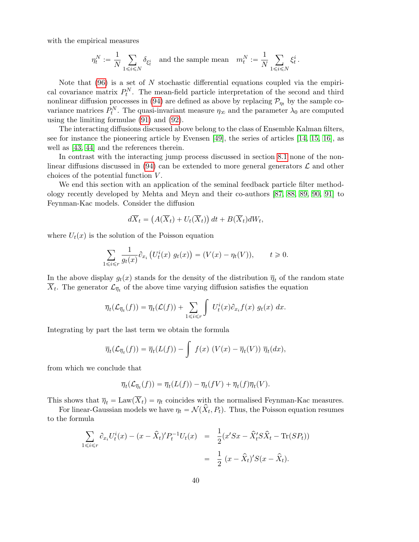with the empirical measures

$$
\eta^N_t:=\frac{1}{N}\sum_{1\leqslant i\leqslant N}\delta_{\xi^i_t}\quad\text{and the sample mean}\quad m^N_t:=\frac{1}{N}\sum_{1\leqslant i\leqslant N}\xi^i_t\,.
$$

Note that  $(96)$  is a set of N stochastic differential equations coupled via the empirical covariance matrix  $P_t^N$ . The mean-field particle interpretation of the second and third nonlinear diffusion processes in (94) are defined as above by replacing  $\mathcal{P}_{\eta_t}$  by the sample covariance matrices  $P_t^N$ . The quasi-invariant measure  $\eta_{\infty}$  and the parameter  $\lambda_0$  are computed using the limiting formulae (91) and (92).

The interacting diffusions discussed above belong to the class of Ensemble Kalman filters, see for instance the pioneering article by Evensen [49], the series of articles [14, 15, 16], as well as [43, 44] and the references therein.

In contrast with the interacting jump process discussed in section 8.1 none of the nonlinear diffusions discussed in (94) can be extended to more general generators  $\mathcal L$  and other choices of the potential function V .

We end this section with an application of the seminal feedback particle filter methodology recently developed by Mehta and Meyn and their co-authors [87, 88, 89, 90, 91] to Feynman-Kac models. Consider the diffusion

$$
d\overline{X}_t = \left(A(\overline{X}_t) + U_t(\overline{X}_t)\right)dt + B(\overline{X}_t)dW_t,
$$

where  $U_t(x)$  is the solution of the Poisson equation

$$
\sum_{1 \leq i \leq r} \frac{1}{g_t(x)} \partial_{x_i} \left( U_t^i(x) g_t(x) \right) = (V(x) - \eta_t(V)), \qquad t \geq 0.
$$

In the above display  $g_t(x)$  stands for the density of the distribution  $\overline{\eta}_t$  of the random state  $\overline{X}_t$ . The generator  $\mathcal{L}_{\overline{\eta}_t}$  of the above time varying diffusion satisfies the equation

$$
\overline{\eta}_t(\mathcal{L}_{\overline{\eta}_t}(f)) = \overline{\eta}_t(\mathcal{L}(f)) + \sum_{1 \leq i \leq r} \int U_t^i(x) \partial_{x_i} f(x) g_t(x) dx.
$$

Integrating by part the last term we obtain the formula

$$
\overline{\eta}_t(\mathcal{L}_{\overline{\eta}_t}(f)) = \overline{\eta}_t(L(f)) - \int f(x) \left( V(x) - \overline{\eta}_t(V) \right) \overline{\eta}_t(dx),
$$

from which we conclude that

$$
\overline{\eta}_t(\mathcal{L}_{\overline{\eta}_t}(f)) = \overline{\eta}_t(L(f)) - \overline{\eta}_t(fV) + \overline{\eta}_t(f)\overline{\eta}_t(V).
$$

This shows that  $\overline{\eta}_t = \text{Law}(\overline{X}_t) = \eta_t$  coincides with the normalised Feynman-Kac measures.

For linear-Gaussian models we have  $\eta_t = \mathcal{N}(\hat{X}_t, P_t)$ . Thus, the Poisson equation resumes to the formula

$$
\sum_{1 \le i \le r} \partial_{x_i} U_t^i(x) - (x - \hat{X}_t)' P_t^{-1} U_t(x) = \frac{1}{2} (x'Sx - \hat{X}_t'S\hat{X}_t - \text{Tr}(SP_t))
$$
  
= 
$$
\frac{1}{2} (x - \hat{X}_t)' S(x - \hat{X}_t).
$$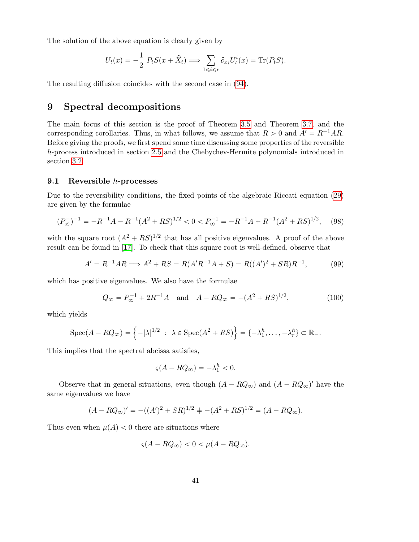The solution of the above equation is clearly given by

$$
U_t(x) = -\frac{1}{2} P_t S(x + \hat{X}_t) \Longrightarrow \sum_{1 \leq i \leq r} \partial_{x_i} U_t^i(x) = \text{Tr}(P_t S).
$$

The resulting diffusion coincides with the second case in (94).

# 9 Spectral decompositions

The main focus of this section is the proof of Theorem 3.5 and Theorem 3.7, and the corresponding corollaries. Thus, in what follows, we assume that  $R > 0$  and  $A' = R^{-1}AR$ . Before giving the proofs, we first spend some time discussing some properties of the reversible h-process introduced in section 2.5 and the Chebychev-Hermite polynomials introduced in section 3.2.

### 9.1 Reversible h-processes

Due to the reversibility conditions, the fixed points of the algebraic Riccati equation (29) are given by the formulae

$$
(P_{\infty}^{-})^{-1} = -R^{-1}A - R^{-1}(A^{2} + RS)^{1/2} < 0 < P_{\infty}^{-1} = -R^{-1}A + R^{-1}(A^{2} + RS)^{1/2}, \tag{98}
$$

with the square root  $(A^2 + RS)^{1/2}$  that has all positive eigenvalues. A proof of the above result can be found in [17]. To check that this square root is well-defined, observe that

$$
A' = R^{-1}AR \Longrightarrow A^2 + RS = R(A'R^{-1}A + S) = R((A')^2 + SR)R^{-1},
$$
(99)

which has positive eigenvalues. We also have the formulae

$$
Q_{\infty} = P_{\infty}^{-1} + 2R^{-1}A \quad \text{and} \quad A - RQ_{\infty} = -(A^2 + RS)^{1/2}, \tag{100}
$$

which yields

$$
Spec(A-RQ_{\infty})=\left\{-|\lambda|^{1/2} \ : \ \lambda \in Spec(A^{2}+RS)\right\}=\left\{-\lambda_{1}^{h}, \ldots, -\lambda_{r}^{h}\right\} \subset \mathbb{R}_{-}.
$$

This implies that the spectral abcissa satisfies,

$$
\varsigma(A - RQ_{\infty}) = -\lambda_1^h < 0.
$$

Observe that in general situations, even though  $(A - RQ_{\infty})$  and  $(A - RQ_{\infty})'$  have the same eigenvalues we have

$$
(A - RQ_{\infty})' = -((A')^{2} + SR)^{1/2} = -(A^{2} + RS)^{1/2} = (A - RQ_{\infty}).
$$

Thus even when  $\mu(A) < 0$  there are situations where

$$
\varsigma(A - RQ_{\infty}) < 0 < \mu(A - RQ_{\infty}).
$$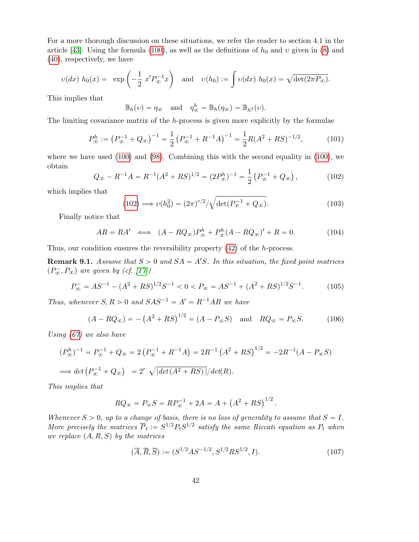For a more thorough discussion on these situations, we refer the reader to section 4.1 in the article [43]. Using the formula (100), as well as the definitions of  $h_0$  and  $v$  given in (8) and (40), respectively, we have

$$
v(dx) h_0(x) = \exp\left(-\frac{1}{2} x' P_{\infty}^{-1} x\right) \quad \text{and} \quad v(h_0) := \int v(dx) h_0(x) = \sqrt{\det(2\pi P_{\infty})}.
$$

This implies that

$$
\mathbb{B}_h(v) = \eta_{\infty}
$$
 and  $\eta_{\infty}^h = \mathbb{B}_h(\eta_{\infty}) = \mathbb{B}_{h^2}(v)$ .

The limiting covariance matrix of the h-process is given more explicitly by the formulae

$$
P_{\infty}^{h} := (P_{\infty}^{-1} + Q_{\infty})^{-1} = \frac{1}{2} (P_{\infty}^{-1} + R^{-1}A)^{-1} = \frac{1}{2} R(A^{2} + RS)^{-1/2}, \quad (101)
$$

where we have used (100) and (98). Combining this with the second equality in (100), we obtain

$$
Q_{\infty} - R^{-1}A = R^{-1}(A^2 + RS)^{1/2} = (2P_{\infty}^h)^{-1} = \frac{1}{2} (P_{\infty}^{-1} + Q_{\infty}), \qquad (102)
$$

which implies that

$$
(102) \Longrightarrow v(h_0^2) = (2\pi)^{r/2} / \sqrt{\det(P_\infty^{-1} + Q_\infty)}.
$$
\n(103)

Finally notice that

$$
AR = RA' \iff (A - RQ_{\infty})P_{\infty}^{h} + P_{\infty}^{h}(A - RQ_{\infty})' + R = 0.
$$
 (104)

Thus, our condition ensures the reversibility property  $(42)$  of the h-process.

**Remark 9.1.** Assume that  $S > 0$  and  $SA = A'S$ . In this situation, the fixed point matrices  $(P_{\infty}^-, P_{\infty})$  are given by (cf. [17])

$$
P_{\infty}^{-} = AS^{-1} - (A^2 + RS)^{1/2}S^{-1} < 0 < P_{\infty} = AS^{-1} + (A^2 + RS)^{1/2}S^{-1}.\tag{105}
$$

Thus, whenever  $S, R > 0$  and  $SAS^{-1} = A' = R^{-1}AR$  we have

$$
(A - RQ_{\infty}) = -(A^2 + RS)^{1/2} = (A - P_{\infty}S)
$$
 and  $RQ_{\infty} = P_{\infty}S$ . (106)

Using (67) we also have

$$
(P_{\infty}^{h})^{-1} = P_{\infty}^{-1} + Q_{\infty} = 2\left(P_{\infty}^{-1} + R^{-1}A\right) = 2R^{-1}\left(A^{2} + RS\right)^{1/2} = -2R^{-1}(A - P_{\infty}S)
$$
  

$$
\implies \det\left(P_{\infty}^{-1} + Q_{\infty}\right) = 2^{r}\sqrt{|\det(A^{2} + RS)|}/\det(R).
$$

This implies that

$$
RQ_{\infty} = P_{\infty}S = RP_{\infty}^{-1} + 2A = A + (A^{2} + RS)^{1/2}.
$$

Whenever  $S > 0$ , up to a change of basis, there is no loss of generality to assume that  $S = I$ . More precisely the matrices  $\overline{P}_t := S^{1/2} P_t S^{1/2}$  satisfy the same Riccati equation as  $P_t$  when we replace  $(A, R, S)$  by the matrices

$$
(\overline{A}, \overline{R}, \overline{S}) := (S^{1/2} A S^{-1/2}, S^{1/2} R S^{1/2}, I). \tag{107}
$$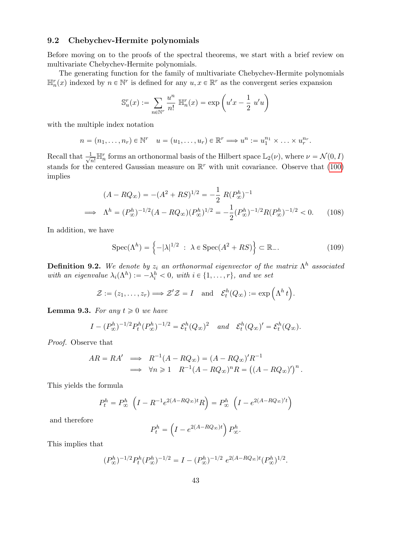### 9.2 Chebychev-Hermite polynomials

Before moving on to the proofs of the spectral theorems, we start with a brief review on multivariate Chebychev-Hermite polynomials.

The generating function for the family of multivariate Chebychev-Hermite polynomials  $\mathbb{H}_n^r(x)$  indexed by  $n \in \mathbb{N}^r$  is defined for any  $u, x \in \mathbb{R}^r$  as the convergent series expansion

$$
\mathbb{S}_u^r(x) := \sum_{n \in \mathbb{N}^r} \frac{u^n}{n!} \, \mathbb{H}_n^r(x) = \exp\left(u'x - \frac{1}{2} u'u\right)
$$

with the multiple index notation

$$
n = (n_1, \ldots, n_r) \in \mathbb{N}^r \quad u = (u_1, \ldots, u_r) \in \mathbb{R}^r \Longrightarrow u^n := u_1^{n_1} \times \ldots \times u_r^{n_r}.
$$

Recall that  $\frac{1}{\sqrt{2}}$  $\frac{1}{n!} \mathbb{H}_n^r$  forms an orthonormal basis of the Hilbert space  $\mathbb{L}_2(\nu)$ , where  $\nu = \mathcal{N}(0, I)$ stands for the centered Gaussian measure on  $\mathbb{R}^r$  with unit covariance. Observe that (100) implies

$$
(A - RQ_{\infty}) = -(A^2 + RS)^{1/2} = -\frac{1}{2} R(P_{\infty}^h)^{-1}
$$
  
\n
$$
\implies \Lambda^h = (P_{\infty}^h)^{-1/2} (A - RQ_{\infty}) (P_{\infty}^h)^{1/2} = -\frac{1}{2} (P_{\infty}^h)^{-1/2} R (P_{\infty}^h)^{-1/2} < 0. \tag{108}
$$

In addition, we have

$$
Spec(\Lambda^h) = \left\{-|\lambda|^{1/2} : \ \lambda \in Spec(A^2 + RS)\right\} \subset \mathbb{R}_-.
$$
 (109)

**Definition 9.2.** We denote by  $z_i$  an orthonormal eigenvector of the matrix  $\Lambda^h$  associated with an eigenvalue  $\lambda_i(\Lambda^h) := -\lambda_i^h < 0$ , with  $i \in \{1, ..., r\}$ , and we set

$$
\mathcal{Z} := (z_1, \dots, z_r) \Longrightarrow \mathcal{Z}'\mathcal{Z} = I \quad \text{and} \quad \mathcal{E}^h_t(Q_\infty) := \exp\left(\Lambda^h t\right).
$$

**Lemma 9.3.** For any  $t \geq 0$  we have

$$
I - (P_{\infty}^h)^{-1/2} P_t^h (P_{\infty}^h)^{-1/2} = \mathcal{E}_t^h (Q_{\infty})^2 \quad and \quad \mathcal{E}_t^h (Q_{\infty})' = \mathcal{E}_t^h (Q_{\infty}).
$$

Proof. Observe that

$$
AR = RA' \implies R^{-1}(A - RQ_{\infty}) = (A - RQ_{\infty})'R^{-1}
$$
  

$$
\implies \forall n \geq 1 \quad R^{-1}(A - RQ_{\infty})^n R = ((A - RQ_{\infty})')^n.
$$

This yields the formula

$$
P_t^h = P_{\infty}^h \left( I - R^{-1} e^{2(A - RQ_{\infty})t} R \right) = P_{\infty}^h \left( I - e^{2(A - RQ_{\infty})t} \right)
$$

and therefore

$$
P_t^h = \left(I - e^{2(A - RQ_{\infty})t}\right) P_{\infty}^h.
$$

This implies that

$$
(P_{\infty}^{h})^{-1/2} P_{t}^{h} (P_{\infty}^{h})^{-1/2} = I - (P_{\infty}^{h})^{-1/2} e^{2(A - RQ_{\infty})t} (P_{\infty}^{h})^{1/2}.
$$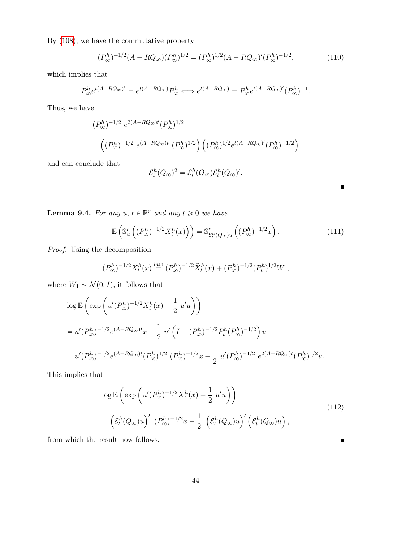By (108), we have the commutative property

$$
(P_{\infty}^{h})^{-1/2}(A - RQ_{\infty})(P_{\infty}^{h})^{1/2} = (P_{\infty}^{h})^{1/2}(A - RQ_{\infty})'(P_{\infty}^{h})^{-1/2},
$$
\n(110)

which implies that

$$
P_{\infty}^{h}e^{t(A-RQ_{\infty})'} = e^{t(A-RQ_{\infty})}P_{\infty}^{h} \Longleftrightarrow e^{t(A-RQ_{\infty})} = P_{\infty}^{h}e^{t(A-RQ_{\infty})'}(P_{\infty}^{h})^{-1}.
$$

Thus, we have

$$
(P_{\infty}^{h})^{-1/2} e^{2(A - RQ_{\infty})t} (P_{\infty}^{h})^{1/2}
$$
  
= 
$$
((P_{\infty}^{h})^{-1/2} e^{(A - RQ_{\infty})t} (P_{\infty}^{h})^{1/2}) ((P_{\infty}^{h})^{1/2} e^{t(A - RQ_{\infty})'} (P_{\infty}^{h})^{-1/2})
$$

and can conclude that

$$
\mathcal{E}_t^h(Q_\infty)^2 = \mathcal{E}_t^h(Q_\infty)\mathcal{E}_t^h(Q_\infty)'
$$

**Lemma 9.4.** For any  $u, x \in \mathbb{R}^r$  and any  $t \geq 0$  we have

$$
\mathbb{E}\left(\mathbb{S}_u^r\left((P_\infty^h)^{-1/2}X_t^h(x)\right)\right) = \mathbb{S}_{\mathcal{E}_t^h(Q_\infty)u}^r\left((P_\infty^h)^{-1/2}x\right). \tag{111}
$$

 $\blacksquare$ 

 $\blacksquare$ 

Proof. Using the decomposition

$$
(P_{\infty}^{h})^{-1/2}X_{t}^{h}(x) \stackrel{law}{=} (P_{\infty}^{h})^{-1/2}\hat{X}_{t}^{h}(x) + (P_{\infty}^{h})^{-1/2}(P_{t}^{h})^{1/2}W_{1},
$$

where  $W_1 \sim \mathcal{N}(0, I)$ , it follows that

$$
\log \mathbb{E}\left(\exp\left(u'(P_{\infty}^h)^{-1/2}X_t^h(x) - \frac{1}{2}u'u\right)\right)
$$
  
=  $u'(P_{\infty}^h)^{-1/2}e^{(A-RQ_{\infty})t}x - \frac{1}{2}u'\left(I - (P_{\infty}^h)^{-1/2}P_t^h(P_{\infty}^h)^{-1/2}\right)u$   
=  $u'(P_{\infty}^h)^{-1/2}e^{(A-RQ_{\infty})t}(P_{\infty}^h)^{1/2}(P_{\infty}^h)^{-1/2}x - \frac{1}{2}u'(P_{\infty}^h)^{-1/2}e^{2(A-RQ_{\infty})t}(P_{\infty}^h)^{1/2}u.$ 

This implies that

$$
\log \mathbb{E}\left(\exp\left(u'(P_{\infty}^h)^{-1/2}X_t^h(x) - \frac{1}{2}u'u\right)\right)
$$
  
= 
$$
\left(\mathcal{E}_t^h(Q_{\infty})u\right)'(P_{\infty}^h)^{-1/2}x - \frac{1}{2}\left(\mathcal{E}_t^h(Q_{\infty})u\right)'(\mathcal{E}_t^h(Q_{\infty})u),
$$
 (112)

from which the result now follows.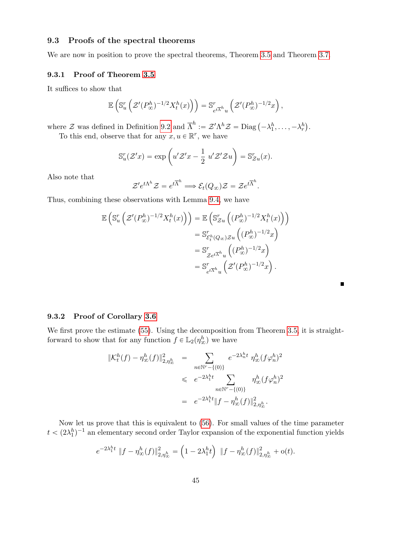### 9.3 Proofs of the spectral theorems

We are now in position to prove the spectral theorems, Theorem 3.5 and Theorem 3.7.

### 9.3.1 Proof of Theorem 3.5

It suffices to show that

$$
\mathbb{E}\left(\mathbb{S}^r_u\left(\mathcal{Z}^\prime(P^h_\infty)^{-1/2}X^h_t(x)\right)\right)=\mathbb{S}^r_{e^{t\overline{\Lambda}^h}u}\left(\mathcal{Z}^\prime(P^h_\infty)^{-1/2}x\right),
$$

where  $\mathcal Z$  was defined in Definition 9.2 and  $\overline{\Lambda}^h := \mathcal Z' \Lambda^h \mathcal Z = \text{Diag} \left( -\lambda_1^h, \ldots, -\lambda_r^h \right)$ .

To this end, observe that for any  $x, u \in \mathbb{R}^r$ , we have

$$
\mathbb{S}_u^r(\mathcal{Z}^\prime x) = \exp\left(u^\prime \mathcal{Z}^\prime x - \frac{1}{2} u^\prime \mathcal{Z}^\prime \mathcal{Z} u\right) = \mathbb{S}_{\mathcal{Z}u}^r(x).
$$

Also note that

$$
\mathcal{Z}'e^{t\Lambda^h}\mathcal{Z}=e^{t\overline{\Lambda}^h}\Longrightarrow \mathcal{E}_t(Q_\infty)\mathcal{Z}=\mathcal{Z}e^{t\overline{\Lambda}^h}.
$$

Thus, combining these observations with Lemma 9.4, we have

$$
\mathbb{E}\left(\mathbb{S}_u^r\left(\mathcal{Z}'(P_\infty^h)^{-1/2}X_t^h(x)\right)\right) = \mathbb{E}\left(\mathbb{S}_{\mathcal{Z}u}^r\left((P_\infty^h)^{-1/2}X_t^h(x)\right)\right)
$$

$$
= \mathbb{S}_{\mathcal{E}_t^h(Q_\infty)\mathcal{Z}u}^r\left((P_\infty^h)^{-1/2}x\right)
$$

$$
= \mathbb{S}_{\mathcal{Z}e^{t\overline{\Lambda}^h}u}^r\left((P_\infty^h)^{-1/2}x\right)
$$

$$
= \mathbb{S}_{e^{t\overline{\Lambda}^h}u}^r\left(\mathcal{Z}'(P_\infty^h)^{-1/2}x\right).
$$

П

### 9.3.2 Proof of Corollary 3.6

We first prove the estimate  $(55)$ . Using the decomposition from Theorem 3.5, it is straightforward to show that for any function  $f \in \mathbb{L}_2(\eta_{\infty}^h)$  we have

$$
\begin{aligned}\n\|\mathcal{K}_t^h(f) - \eta_\infty^h(f)\|_{2, \eta_\infty^h}^2 &= \sum_{n \in \mathbb{N}^r - \{(0)\}} e^{-2\lambda_n^h t} \eta_\infty^h (f\varphi_n^h)^2 \\
&\leqslant e^{-2\lambda_1^h t} \sum_{n \in \mathbb{N}^r - \{(0)\}} \eta_\infty^h (f\varphi_n^h)^2 \\
&= e^{-2\lambda_1^h t} \|f - \eta_\infty^h(f)\|_{2, \eta_\infty^h}^2.\n\end{aligned}
$$

Now let us prove that this is equivalent to (56). For small values of the time parameter  $t < (2\lambda_1^h)^{-1}$  an elementary second order Taylor expansion of the exponential function yields

$$
e^{-2\lambda_1^h t} \|f - \eta_\infty^h(f)\|_{2, \eta_\infty^h}^2 = \left(1 - 2\lambda_1^h t\right) \|f - \eta_\infty^h(f)\|_{2, \eta_\infty^h}^2 + o(t).
$$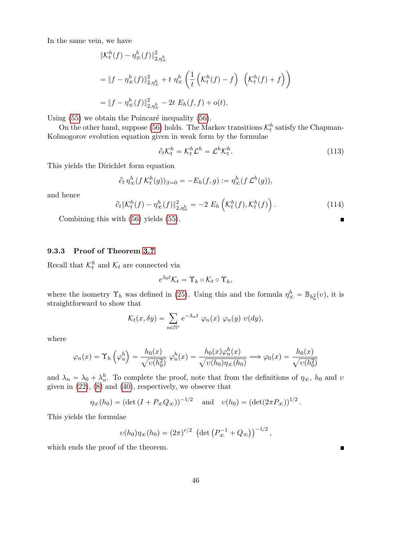In the same vein, we have

$$
\begin{aligned} &\| \mathcal{K}_t^h(f) - \eta_\infty^h(f) \|_{2, \eta_\infty^h}^2 \\ &= \| f - \eta_\infty^h(f) \|_{2, \eta_\infty^h}^2 + t \eta_\infty^h \left( \frac{1}{t} \left( \mathcal{K}_t^h(f) - f \right) \left( \mathcal{K}_t^h(f) + f \right) \right) \\ &= \| f - \eta_\infty^h(f) \|_{2, \eta_\infty^h}^2 - 2t \ E_h(f, f) + o(t). \end{aligned}
$$

Using  $(55)$  we obtain the Poincaré inequality  $(56)$ .

On the other hand, suppose (56) holds. The Markov transitions  $\mathcal{K}_t^h$  satisfy the Chapman-Kolmogorov evolution equation given in weak form by the formulae

$$
\partial_t \mathcal{K}_t^h = \mathcal{K}_t^h \mathcal{L}^h = \mathcal{L}^h \mathcal{K}_t^h. \tag{113}
$$

This yields the Dirichlet form equation

$$
\partial_t \eta_\infty^h (f \mathcal{K}_t^h(g))_{|t=0} = -E_h(f,g) := \eta_\infty^h (f \mathcal{L}^h(g)),
$$

and hence

$$
\partial_t \|\mathcal{K}_t^h(f) - \eta_\infty^h(f)\|_{2,\eta_\infty^h}^2 = -2 E_h\left(\mathcal{K}_t^h(f), \mathcal{K}_t^h(f)\right). \tag{114}
$$

Combining this with (56) yields (55).

### 9.3.3 Proof of Theorem 3.7

Recall that  $\mathcal{K}_t^h$  and  $\mathcal{K}_t$  are connected via

$$
e^{\lambda_0 t} \mathcal{K}_t = \Upsilon_h \circ \mathcal{K}_t \circ \Upsilon_h,
$$

where the isometry  $\Upsilon_h$  was defined in (25). Using this and the formula  $\eta_{\infty}^h = \mathbb{B}_{h_0^2}(v)$ , it is straightforward to show that

$$
\mathcal{K}_t(x,\delta y) = \sum_{n \in \mathbb{N}^r} e^{-\lambda_n t} \varphi_n(x) \varphi_n(y) \upsilon(dy),
$$

where

$$
\varphi_n(x) = \Upsilon_h\left(\varphi_n^h\right) = \frac{h_0(x)}{\sqrt{v(h_0^2)}} \varphi_n^h(x) = \frac{h_0(x)\varphi_n^h(x)}{\sqrt{v(h_0)\eta_\infty(h_0)}} \Longrightarrow \varphi_0(x) = \frac{h_0(x)}{\sqrt{v(h_0^2)}}
$$

and  $\lambda_n = \lambda_0 + \lambda_n^h$ . To complete the proof, note that from the definitions of  $\eta_{\infty}$ ,  $h_0$  and  $v$ given in  $(22)$ ,  $(8)$  and  $(40)$ , respectively, we observe that

$$
\eta_{\infty}(h_0) = (\det (I + P_{\infty} Q_{\infty}))^{-1/2}
$$
 and  $v(h_0) = (\det (2\pi P_{\infty}))^{1/2}$ .

This yields the formulae

$$
v(h_0)\eta_\infty(h_0) = (2\pi)^{r/2} (\det (P_\infty^{-1} + Q_\infty))^{-1/2},
$$

which ends the proof of the theorem.

 $\blacksquare$ 

 $\blacksquare$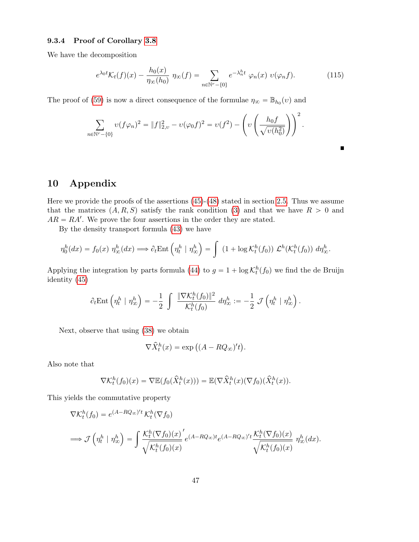### 9.3.4 Proof of Corollary 3.8

We have the decomposition

$$
e^{\lambda_0 t} \mathcal{K}_t(f)(x) - \frac{h_0(x)}{\eta_\infty(h_0)} \eta_\infty(f) = \sum_{n \in \mathbb{N}^r - \{0\}} e^{-\lambda_n^h t} \varphi_n(x) \ v(\varphi_n f). \tag{115}
$$

 $\blacksquare$ 

The proof of (59) is now a direct consequence of the formulae  $\eta_{\infty} = \mathbb{B}_{h_0}(v)$  and

$$
\sum_{n \in \mathbb{N}^r - \{0\}} v(f\varphi_n)^2 = \|f\|_{2,\upsilon}^2 - v(\varphi_0 f)^2 = v(f^2) - \left(v\left(\frac{h_0 f}{\sqrt{v(h_0^2)}}\right)\right)^2.
$$

# 10 Appendix

Here we provide the proofs of the assertions (45)-(48) stated in section 2.5. Thus we assume that the matrices  $(A, R, S)$  satisfy the rank condition (3) and that we have  $R > 0$  and  $AR = RA'$ . We prove the four assertions in the order they are stated.

By the density transport formula (43) we have

$$
\eta_0^h(dx) = f_0(x) \eta_\infty^h(dx) \Longrightarrow \partial_t \text{Ent}\left(\eta_t^h \mid \eta_\infty^h\right) = \int (1 + \log \mathcal{K}_t^h(f_0)) \mathcal{L}^h(\mathcal{K}_t^h(f_0)) d\eta_\infty^h.
$$

Applying the integration by parts formula (44) to  $g = 1 + \log \mathcal{K}_t^h(f_0)$  we find the de Bruijn identity (45)

$$
\partial_t \text{Ent}\left(\eta^h_t \mid \eta^h_\infty\right) = -\frac{1}{2} \int \frac{\|\nabla \mathcal{K}^h_t(f_0)\|^2}{\mathcal{K}^h_t(f_0)} \ d\eta^h_\infty := -\frac{1}{2} \ \mathcal{J}\left(\eta^h_t \mid \eta^h_\infty\right).
$$

Next, observe that using (38) we obtain

1991 - Paul Barbara

$$
\nabla \widehat{X}^h_t(x) = \exp\left((A - RQ_\infty)'t\right).
$$

Also note that

$$
\nabla \mathcal{K}_t^h(f_0)(x) = \nabla \mathbb{E}(f_0(\hat{X}_t^h(x))) = \mathbb{E}(\nabla \hat{X}_t^h(x)(\nabla f_0)(\hat{X}_t^h(x)).
$$

This yields the commutative property

$$
\nabla \mathcal{K}_t^h(f_0) = e^{(A-RQ_{\infty})'t} \mathcal{K}_t^h(\nabla f_0)
$$
  
\n
$$
\implies \mathcal{J}\left(\eta_t^h \mid \eta_{\infty}^h\right) = \int \frac{\mathcal{K}_t^h(\nabla f_0)(x)}{\sqrt{\mathcal{K}_t^h(f_0)(x)}} e^{(A-RQ_{\infty})t} e^{(A-RQ_{\infty})'t} \frac{\mathcal{K}_t^h(\nabla f_0)(x)}{\sqrt{\mathcal{K}_t^h(f_0)(x)}} \eta_{\infty}^h(dx).
$$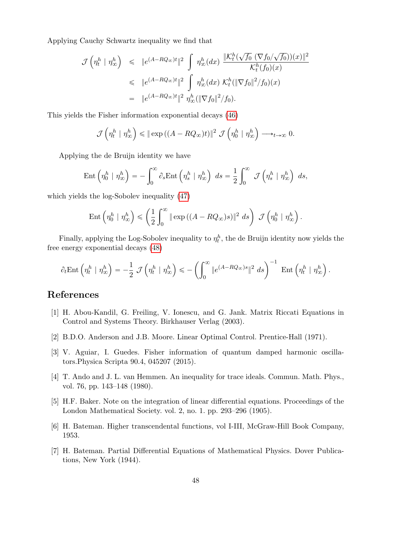Applying Cauchy Schwartz inequality we find that

$$
\mathcal{J}\left(\eta_t^h \mid \eta_\infty^h\right) \leq \|e^{(A-RQ_\infty)t}\|^2 \int \eta_\infty^h(dx) \frac{\|K_t^h(\sqrt{f_0} \left(\nabla f_0/\sqrt{f_0}\right))(x)\|^2}{\mathcal{K}_t^h(f_0)(x)}
$$
  

$$
\leq \|e^{(A-RQ_\infty)t}\|^2 \int \eta_\infty^h(dx) \; \mathcal{K}_t^h(\|\nabla f_0\|^2/f_0)(x)
$$
  

$$
= \|e^{(A-RQ_\infty)t}\|^2 \; \eta_\infty^h(\|\nabla f_0\|^2/f_0).
$$

This yields the Fisher information exponential decays (46)

$$
\mathcal{J}\left(\eta_t^h \mid \eta_\infty^h\right) \leq \|\exp\left((A - RQ_\infty)t\right)\|^2 \mathcal{J}\left(\eta_0^h \mid \eta_\infty^h\right) \longrightarrow_{t \to \infty} 0.
$$

Applying the de Bruijn identity we have

$$
\operatorname{Ent}\left(\eta^h_0 \mid \eta^h_{\infty}\right) = -\int_0^{\infty} \partial_s \operatorname{Ent}\left(\eta^h_s \mid \eta^h_{\infty}\right) \ ds = \frac{1}{2} \int_0^{\infty} \ \mathcal{J}\left(\eta^h_s \mid \eta^h_{\infty}\right) \ ds,
$$

which yields the log-Sobolev inequality (47)

$$
\operatorname{Ent}\left(\eta_0^h \mid \eta_\infty^h\right) \leqslant \left(\frac{1}{2}\int_0^\infty \|\exp\left((A-RQ_\infty)s\right)\|^2 ds\right) \mathcal{J}\left(\eta_0^h \mid \eta_\infty^h\right).
$$

Finally, applying the Log-Sobolev inequality to  $\eta_t^h$ , the de Bruijn identity now yields the free energy exponential decays (48)

$$
\partial_t \text{Ent}\left(\eta_t^h \mid \eta_\infty^h\right) = -\frac{1}{2} \mathcal{J}\left(\eta_t^h \mid \eta_\infty^h\right) \leqslant -\left(\int_0^\infty \|e^{(A-RQ_\infty)s}\|^2 \ ds\right)^{-1} \text{ Ent}\left(\eta_t^h \mid \eta_\infty^h\right).
$$

# References

- [1] H. Abou-Kandil, G. Freiling, V. Ionescu, and G. Jank. Matrix Riccati Equations in Control and Systems Theory. Birkhauser Verlag (2003).
- [2] B.D.O. Anderson and J.B. Moore. Linear Optimal Control. Prentice-Hall (1971).
- [3] V. Aguiar, I. Guedes. Fisher information of quantum damped harmonic oscillators.Physica Scripta 90.4, 045207 (2015).
- [4] T. Ando and J. L. van Hemmen. An inequality for trace ideals. Commun. Math. Phys., vol. 76, pp. 143–148 (1980).
- [5] H.F. Baker. Note on the integration of linear differential equations. Proceedings of the London Mathematical Society. vol. 2, no. 1. pp. 293–296 (1905).
- [6] H. Bateman. Higher transcendental functions, vol I-III, McGraw-Hill Book Company, 1953.
- [7] H. Bateman. Partial Differential Equations of Mathematical Physics. Dover Publications, New York (1944).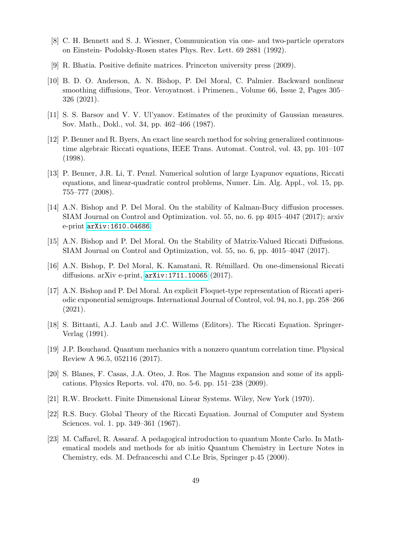- [8] C. H. Bennett and S. J. Wiesner, Communication via one- and two-particle operators on Einstein- Podolsky-Rosen states Phys. Rev. Lett. 69 2881 (1992).
- [9] R. Bhatia. Positive definite matrices. Princeton university press (2009).
- [10] B. D. O. Anderson, A. N. Bishop, P. Del Moral, C. Palmier. Backward nonlinear smoothing diffusions, Teor. Veroyatnost. i Primenen., Volume 66, Issue 2, Pages 305– 326 (2021).
- [11] S. S. Barsov and V. V. Ul'yanov. Estimates of the proximity of Gaussian measures. Sov. Math., Dokl., vol. 34, pp. 462–466 (1987).
- [12] P. Benner and R. Byers, An exact line search method for solving generalized continuoustime algebraic Riccati equations, IEEE Trans. Automat. Control, vol. 43, pp. 101–107 (1998).
- [13] P. Benner, J.R. Li, T. Penzl. Numerical solution of large Lyapunov equations, Riccati equations, and linear-quadratic control problems, Numer. Lin. Alg. Appl., vol. 15, pp. 755–777 (2008).
- [14] A.N. Bishop and P. Del Moral. On the stability of Kalman-Bucy diffusion processes. SIAM Journal on Control and Optimization. vol. 55, no. 6. pp 4015–4047 (2017); arxiv e-print [arXiv:1610.04686](https://arxiv.org/abs/1610.04686).
- [15] A.N. Bishop and P. Del Moral. On the Stability of Matrix-Valued Riccati Diffusions. SIAM Journal on Control and Optimization, vol. 55, no. 6, pp. 4015–4047 (2017).
- [16] A.N. Bishop, P. Del Moral, K. Kamatani, R. R´emillard. On one-dimensional Riccati diffusions. arXiv e-print, [arXiv:1711.10065](https://arxiv.org/abs/1711.10065) (2017).
- [17] A.N. Bishop and P. Del Moral. An explicit Floquet-type representation of Riccati aperiodic exponential semigroups. International Journal of Control, vol. 94, no.1, pp. 258–266 (2021).
- [18] S. Bittanti, A.J. Laub and J.C. Willems (Editors). The Riccati Equation. Springer-Verlag (1991).
- [19] J.P. Bouchaud. Quantum mechanics with a nonzero quantum correlation time. Physical Review A 96.5, 052116 (2017).
- [20] S. Blanes, F. Casas, J.A. Oteo, J. Ros. The Magnus expansion and some of its applications. Physics Reports. vol. 470, no. 5-6. pp. 151–238 (2009).
- [21] R.W. Brockett. Finite Dimensional Linear Systems. Wiley, New York (1970).
- [22] R.S. Bucy. Global Theory of the Riccati Equation. Journal of Computer and System Sciences. vol. 1. pp. 349–361 (1967).
- [23] M. Caffarel, R. Assaraf. A pedagogical introduction to quantum Monte Carlo. In Mathematical models and methods for ab initio Quantum Chemistry in Lecture Notes in Chemistry, eds. M. Defranceschi and C.Le Bris, Springer p.45 (2000).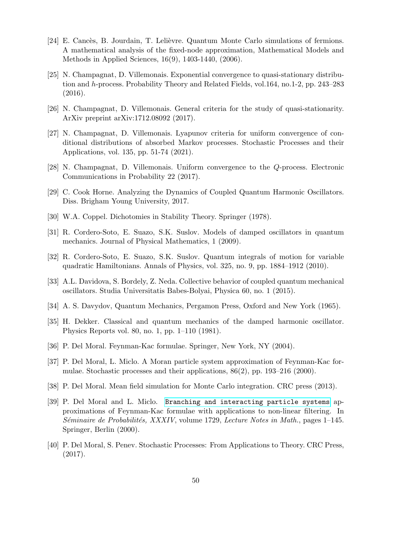- [24] E. Cancès, B. Jourdain, T. Lelièvre. Quantum Monte Carlo simulations of fermions. A mathematical analysis of the fixed-node approximation, Mathematical Models and Methods in Applied Sciences, 16(9), 1403-1440, (2006).
- [25] N. Champagnat, D. Villemonais. Exponential convergence to quasi-stationary distribution and h-process. Probability Theory and Related Fields, vol.164, no.1-2, pp. 243–283 (2016).
- [26] N. Champagnat, D. Villemonais. General criteria for the study of quasi-stationarity. ArXiv preprint arXiv:1712.08092 (2017).
- [27] N. Champagnat, D. Villemonais. Lyapunov criteria for uniform convergence of conditional distributions of absorbed Markov processes. Stochastic Processes and their Applications, vol. 135, pp. 51-74 (2021).
- [28] N. Champagnat, D. Villemonais. Uniform convergence to the Q-process. Electronic Communications in Probability 22 (2017).
- [29] C. Cook Horne. Analyzing the Dynamics of Coupled Quantum Harmonic Oscillators. Diss. Brigham Young University, 2017.
- [30] W.A. Coppel. Dichotomies in Stability Theory. Springer (1978).
- [31] R. Cordero-Soto, E. Suazo, S.K. Suslov. Models of damped oscillators in quantum mechanics. Journal of Physical Mathematics, 1 (2009).
- [32] R. Cordero-Soto, E. Suazo, S.K. Suslov. Quantum integrals of motion for variable quadratic Hamiltonians. Annals of Physics, vol. 325, no. 9, pp. 1884–1912 (2010).
- [33] A.L. Davidova, S. Bordely, Z. Neda. Collective behavior of coupled quantum mechanical oscillators. Studia Universitatis Babes-Bolyai, Physica 60, no. 1 (2015).
- [34] A. S. Davydov, Quantum Mechanics, Pergamon Press, Oxford and New York (1965).
- [35] H. Dekker. Classical and quantum mechanics of the damped harmonic oscillator. Physics Reports vol. 80, no. 1, pp. 1–110 (1981).
- [36] P. Del Moral. Feynman-Kac formulae. Springer, New York, NY (2004).
- [37] P. Del Moral, L. Miclo. A Moran particle system approximation of Feynman-Kac formulae. Stochastic processes and their applications,  $86(2)$ , pp. 193–216 (2000).
- [38] P. Del Moral. Mean field simulation for Monte Carlo integration. CRC press (2013).
- [39] P. Del Moral and L. Miclo. [Branching and interacting particle systems](http://www.math.u-bordeaux1.fr/~delmoral/seminaire.ps) approximations of Feynman-Kac formulae with applications to non-linear filtering. In  $Séminaire de Probabilities, XXXIV, volume 1729, Lecture Notes in Math., pages 1–145.$ Springer, Berlin (2000).
- [40] P. Del Moral, S. Penev. Stochastic Processes: From Applications to Theory. CRC Press, (2017).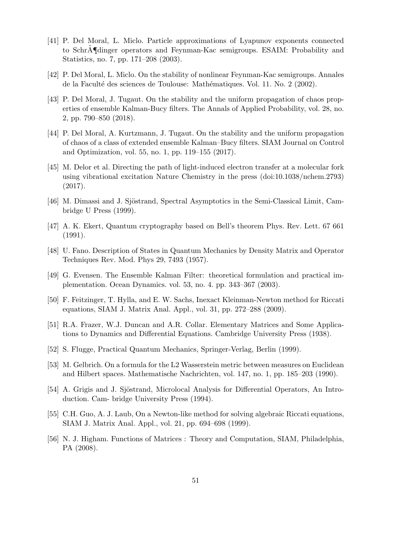- [41] P. Del Moral, L. Miclo. Particle approximations of Lyapunov exponents connected to SchrA˜¶dinger operators and Feynman-Kac semigroups. ESAIM: Probability and Statistics, no. 7, pp. 171–208 (2003).
- [42] P. Del Moral, L. Miclo. On the stability of nonlinear Feynman-Kac semigroups. Annales de la Faculté des sciences de Toulouse: Mathématiques. Vol. 11. No. 2 (2002).
- [43] P. Del Moral, J. Tugaut. On the stability and the uniform propagation of chaos properties of ensemble Kalman-Bucy filters. The Annals of Applied Probability, vol. 28, no. 2, pp. 790–850 (2018).
- [44] P. Del Moral, A. Kurtzmann, J. Tugaut. On the stability and the uniform propagation of chaos of a class of extended ensemble Kalman–Bucy filters. SIAM Journal on Control and Optimization, vol. 55, no. 1, pp. 119–155 (2017).
- [45] M. Delor et al. Directing the path of light-induced electron transfer at a molecular fork using vibrational excitation Nature Chemistry in the press (doi:10.1038/nchem.2793) (2017).
- [46] M. Dimassi and J. Sjöstrand, Spectral Asymptotics in the Semi-Classical Limit, Cambridge U Press (1999).
- [47] A. K. Ekert, Quantum cryptography based on Bell's theorem Phys. Rev. Lett. 67 661 (1991).
- [48] U. Fano. Description of States in Quantum Mechanics by Density Matrix and Operator Techniques Rev. Mod. Phys 29, 7493 (1957).
- [49] G. Evensen. The Ensemble Kalman Filter: theoretical formulation and practical implementation. Ocean Dynamics. vol. 53, no. 4. pp. 343–367 (2003).
- [50] F. Feitzinger, T. Hylla, and E. W. Sachs, Inexact Kleinman-Newton method for Riccati equations, SIAM J. Matrix Anal. Appl., vol. 31, pp. 272–288 (2009).
- [51] R.A. Frazer, W.J. Duncan and A.R. Collar. Elementary Matrices and Some Applications to Dynamics and Differential Equations. Cambridge University Press (1938).
- [52] S. Flugge, Practical Quantum Mechanics, Springer-Verlag, Berlin (1999).
- [53] M. Gelbrich. On a formula for the L2 Wasserstein metric between measures on Euclidean and Hilbert spaces. Mathematische Nachrichten, vol. 147, no. 1, pp. 185–203 (1990).
- [54] A. Grigis and J. Sjöstrand, Microlocal Analysis for Differential Operators, An Introduction. Cam- bridge University Press (1994).
- [55] C.H. Guo, A. J. Laub, On a Newton-like method for solving algebraic Riccati equations, SIAM J. Matrix Anal. Appl., vol. 21, pp. 694–698 (1999).
- [56] N. J. Higham. Functions of Matrices : Theory and Computation, SIAM, Philadelphia, PA (2008).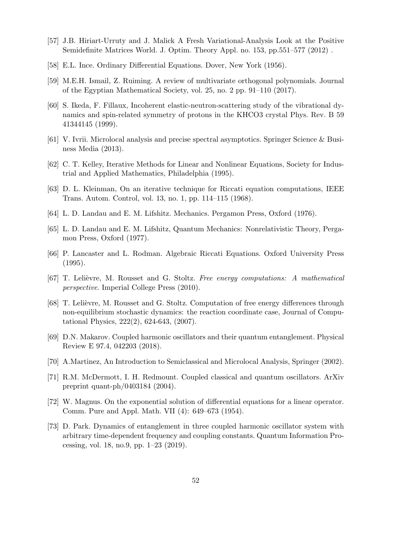- [57] J.B. Hiriart-Urruty and J. Malick A Fresh Variational-Analysis Look at the Positive Semidefinite Matrices World. J. Optim. Theory Appl. no. 153, pp.551–577 (2012) .
- [58] E.L. Ince. Ordinary Differential Equations. Dover, New York (1956).
- [59] M.E.H. Ismail, Z. Ruiming. A review of multivariate orthogonal polynomials. Journal of the Egyptian Mathematical Society, vol. 25, no. 2 pp. 91–110 (2017).
- [60] S. Ikeda, F. Fillaux, Incoherent elastic-neutron-scattering study of the vibrational dynamics and spin-related symmetry of protons in the KHCO3 crystal Phys. Rev. B 59 41344145 (1999).
- [61] V. Ivrii. Microlocal analysis and precise spectral asymptotics. Springer Science & Business Media (2013).
- [62] C. T. Kelley, Iterative Methods for Linear and Nonlinear Equations, Society for Industrial and Applied Mathematics, Philadelphia (1995).
- [63] D. L. Kleinman, On an iterative technique for Riccati equation computations, IEEE Trans. Autom. Control, vol. 13, no. 1, pp. 114–115 (1968).
- [64] L. D. Landau and E. M. Lifshitz. Mechanics. Pergamon Press, Oxford (1976).
- [65] L. D. Landau and E. M. Lifshitz, Quantum Mechanics: Nonrelativistic Theory, Pergamon Press, Oxford (1977).
- [66] P. Lancaster and L. Rodman. Algebraic Riccati Equations. Oxford University Press (1995).
- [67] T. Lelièvre, M. Rousset and G. Stoltz. Free energy computations: A mathematical perspective. Imperial College Press (2010).
- [68] T. Lelièvre, M. Rousset and G. Stoltz. Computation of free energy differences through non-equilibrium stochastic dynamics: the reaction coordinate case, Journal of Computational Physics, 222(2), 624-643, (2007).
- [69] D.N. Makarov. Coupled harmonic oscillators and their quantum entanglement. Physical Review E 97.4, 042203 (2018).
- [70] A.Martinez, An Introduction to Semiclassical and Microlocal Analysis, Springer (2002).
- [71] R.M. McDermott, I. H. Redmount. Coupled classical and quantum oscillators. ArXiv preprint quant-ph/0403184 (2004).
- [72] W. Magnus. On the exponential solution of differential equations for a linear operator. Comm. Pure and Appl. Math. VII (4): 649–673 (1954).
- [73] D. Park. Dynamics of entanglement in three coupled harmonic oscillator system with arbitrary time-dependent frequency and coupling constants. Quantum Information Processing, vol. 18, no.9, pp. 1–23 (2019).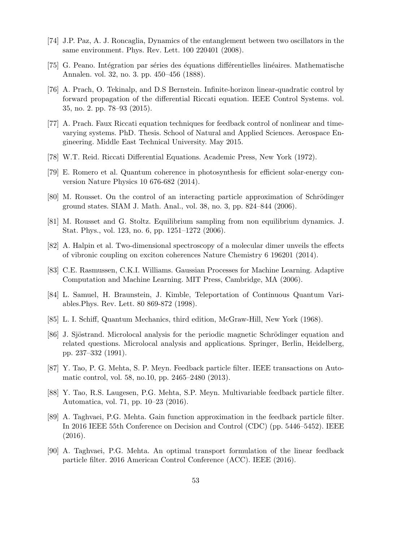- [74] J.P. Paz, A. J. Roncaglia, Dynamics of the entanglement between two oscillators in the same environment. Phys. Rev. Lett. 100 220401 (2008).
- [75] G. Peano. Intégration par séries des équations différentielles linéaires. Mathematische Annalen. vol. 32, no. 3. pp. 450–456 (1888).
- [76] A. Prach, O. Tekinalp, and D.S Bernstein. Infinite-horizon linear-quadratic control by forward propagation of the differential Riccati equation. IEEE Control Systems. vol. 35, no. 2. pp. 78–93 (2015).
- [77] A. Prach. Faux Riccati equation techniques for feedback control of nonlinear and timevarying systems. PhD. Thesis. School of Natural and Applied Sciences. Aerospace Engineering. Middle East Technical University. May 2015.
- [78] W.T. Reid. Riccati Differential Equations. Academic Press, New York (1972).
- [79] E. Romero et al. Quantum coherence in photosynthesis for efficient solar-energy conversion Nature Physics 10 676-682 (2014).
- [80] M. Rousset. On the control of an interacting particle approximation of Schrödinger ground states. SIAM J. Math. Anal., vol. 38, no. 3, pp. 824–844 (2006).
- [81] M. Rousset and G. Stoltz. Equilibrium sampling from non equilibrium dynamics. J. Stat. Phys., vol. 123, no. 6, pp. 1251–1272 (2006).
- [82] A. Halpin et al. Two-dimensional spectroscopy of a molecular dimer unveils the effects of vibronic coupling on exciton coherences Nature Chemistry 6 196201 (2014).
- [83] C.E. Rasmussen, C.K.I. Williams. Gaussian Processes for Machine Learning. Adaptive Computation and Machine Learning. MIT Press, Cambridge, MA (2006).
- [84] L. Samuel, H. Braunstein, J. Kimble, Teleportation of Continuous Quantum Variables.Phys. Rev. Lett. 80 869-872 (1998).
- [85] L. I. Schiff, Quantum Mechanics, third edition, McGraw-Hill, New York (1968).
- [86] J. Sjöstrand. Microlocal analysis for the periodic magnetic Schrödinger equation and related questions. Microlocal analysis and applications. Springer, Berlin, Heidelberg, pp. 237–332 (1991).
- [87] Y. Tao, P. G. Mehta, S. P. Meyn. Feedback particle filter. IEEE transactions on Automatic control, vol. 58, no.10, pp. 2465–2480 (2013).
- [88] Y. Tao, R.S. Laugesen, P.G. Mehta, S.P. Meyn. Multivariable feedback particle filter. Automatica, vol. 71, pp. 10–23 (2016).
- [89] A. Taghvaei, P.G. Mehta. Gain function approximation in the feedback particle filter. In 2016 IEEE 55th Conference on Decision and Control (CDC) (pp. 5446–5452). IEEE (2016).
- [90] A. Taghvaei, P.G. Mehta. An optimal transport formulation of the linear feedback particle filter. 2016 American Control Conference (ACC). IEEE (2016).